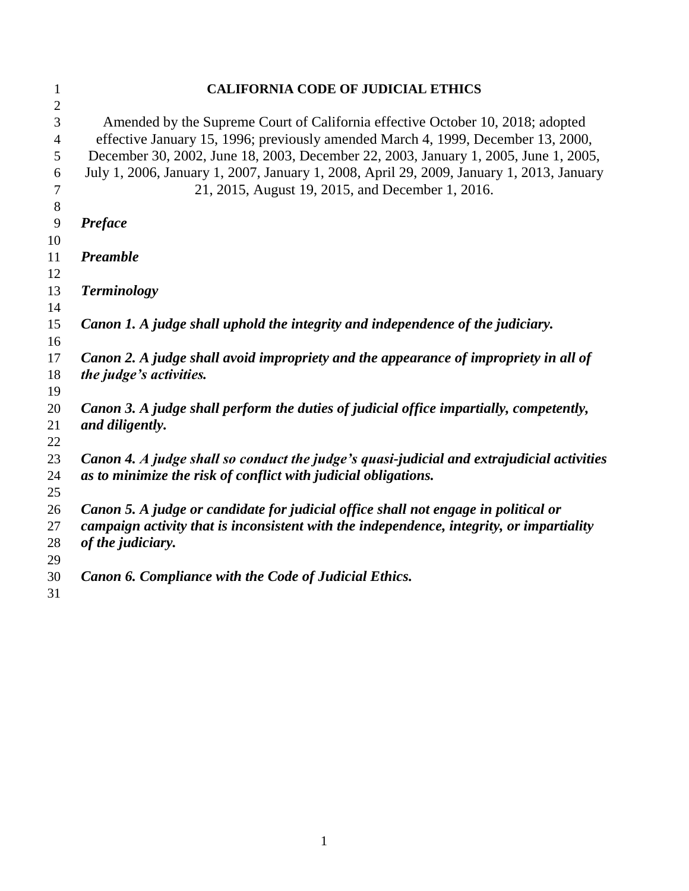| $\mathbf{1}$   | <b>CALIFORNIA CODE OF JUDICIAL ETHICS</b>                                                 |
|----------------|-------------------------------------------------------------------------------------------|
| $\mathbf{2}$   |                                                                                           |
| 3              | Amended by the Supreme Court of California effective October 10, 2018; adopted            |
| $\overline{4}$ | effective January 15, 1996; previously amended March 4, 1999, December 13, 2000,          |
| 5              | December 30, 2002, June 18, 2003, December 22, 2003, January 1, 2005, June 1, 2005,       |
| 6              | July 1, 2006, January 1, 2007, January 1, 2008, April 29, 2009, January 1, 2013, January  |
| $\tau$         | 21, 2015, August 19, 2015, and December 1, 2016.                                          |
| $8\,$          |                                                                                           |
| 9              | Preface                                                                                   |
| 10             |                                                                                           |
| 11             | <b>Preamble</b>                                                                           |
| 12             |                                                                                           |
| 13             | <b>Terminology</b>                                                                        |
| 14             |                                                                                           |
| 15             | Canon 1. A judge shall uphold the integrity and independence of the judiciary.            |
| 16             |                                                                                           |
| 17             | Canon 2. A judge shall avoid impropriety and the appearance of impropriety in all of      |
| 18             | the judge's activities.                                                                   |
| 19             |                                                                                           |
| 20             | Canon 3. A judge shall perform the duties of judicial office impartially, competently,    |
| 21             | and diligently.                                                                           |
| 22             |                                                                                           |
| 23             | Canon 4. A judge shall so conduct the judge's quasi-judicial and extrajudicial activities |
| 24             | as to minimize the risk of conflict with judicial obligations.                            |
| 25             |                                                                                           |
| 26             | Canon 5. A judge or candidate for judicial office shall not engage in political or        |
| 27             | campaign activity that is inconsistent with the independence, integrity, or impartiality  |
| 28             | of the judiciary.                                                                         |
| 29<br>30       |                                                                                           |
| 31             | Canon 6. Compliance with the Code of Judicial Ethics.                                     |
|                |                                                                                           |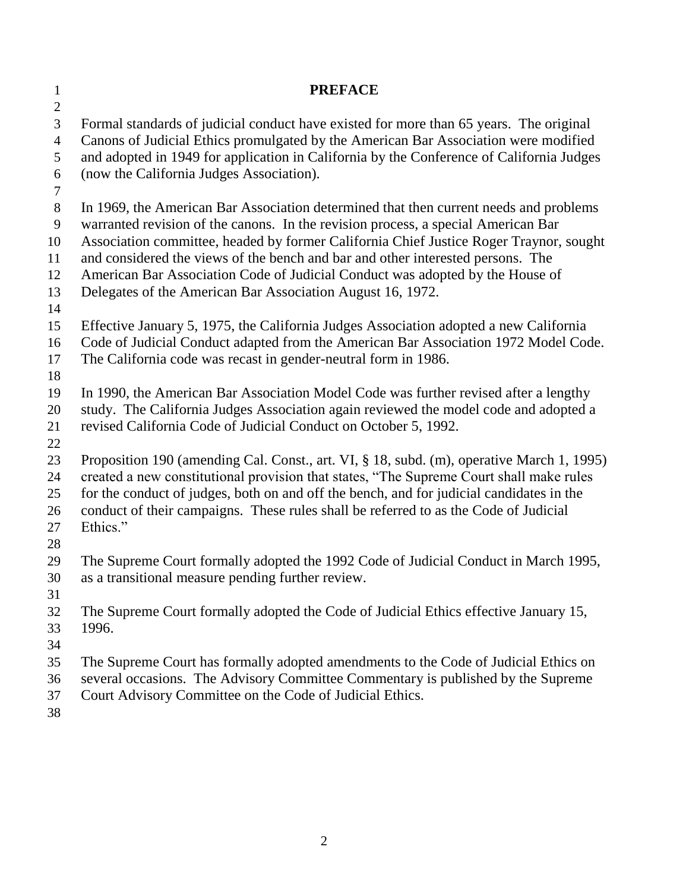| $\mathbf{1}$        | <b>PREFACE</b>                                                                                                                                                                       |
|---------------------|--------------------------------------------------------------------------------------------------------------------------------------------------------------------------------------|
| $\overline{2}$      |                                                                                                                                                                                      |
| 3                   | Formal standards of judicial conduct have existed for more than 65 years. The original                                                                                               |
| $\overline{4}$      | Canons of Judicial Ethics promulgated by the American Bar Association were modified                                                                                                  |
| 5                   | and adopted in 1949 for application in California by the Conference of California Judges                                                                                             |
| 6<br>$\overline{7}$ | (now the California Judges Association).                                                                                                                                             |
| $8\,$               | In 1969, the American Bar Association determined that then current needs and problems                                                                                                |
| 9                   | warranted revision of the canons. In the revision process, a special American Bar                                                                                                    |
| 10                  | Association committee, headed by former California Chief Justice Roger Traynor, sought                                                                                               |
| 11                  | and considered the views of the bench and bar and other interested persons. The                                                                                                      |
| 12                  | American Bar Association Code of Judicial Conduct was adopted by the House of                                                                                                        |
| 13                  | Delegates of the American Bar Association August 16, 1972.                                                                                                                           |
| 14                  |                                                                                                                                                                                      |
| 15                  | Effective January 5, 1975, the California Judges Association adopted a new California                                                                                                |
| 16                  | Code of Judicial Conduct adapted from the American Bar Association 1972 Model Code.                                                                                                  |
| 17                  | The California code was recast in gender-neutral form in 1986.                                                                                                                       |
| 18                  |                                                                                                                                                                                      |
| 19                  | In 1990, the American Bar Association Model Code was further revised after a lengthy                                                                                                 |
| 20                  | study. The California Judges Association again reviewed the model code and adopted a                                                                                                 |
| 21                  | revised California Code of Judicial Conduct on October 5, 1992.                                                                                                                      |
| 22                  |                                                                                                                                                                                      |
| 23                  | Proposition 190 (amending Cal. Const., art. VI, § 18, subd. (m), operative March 1, 1995)<br>created a new constitutional provision that states, "The Supreme Court shall make rules |
| 24<br>25            | for the conduct of judges, both on and off the bench, and for judicial candidates in the                                                                                             |
| 26                  | conduct of their campaigns. These rules shall be referred to as the Code of Judicial                                                                                                 |
| 27                  | Ethics."                                                                                                                                                                             |
| 28                  |                                                                                                                                                                                      |
| 29                  | The Supreme Court formally adopted the 1992 Code of Judicial Conduct in March 1995,                                                                                                  |
| 30                  | as a transitional measure pending further review.                                                                                                                                    |
| 31                  |                                                                                                                                                                                      |
| 32                  | The Supreme Court formally adopted the Code of Judicial Ethics effective January 15,                                                                                                 |
| 33                  | 1996.                                                                                                                                                                                |
| 34                  |                                                                                                                                                                                      |
| 35                  | The Supreme Court has formally adopted amendments to the Code of Judicial Ethics on                                                                                                  |
| 36                  | several occasions. The Advisory Committee Commentary is published by the Supreme                                                                                                     |
| 37                  | Court Advisory Committee on the Code of Judicial Ethics.                                                                                                                             |
| 38                  |                                                                                                                                                                                      |
|                     |                                                                                                                                                                                      |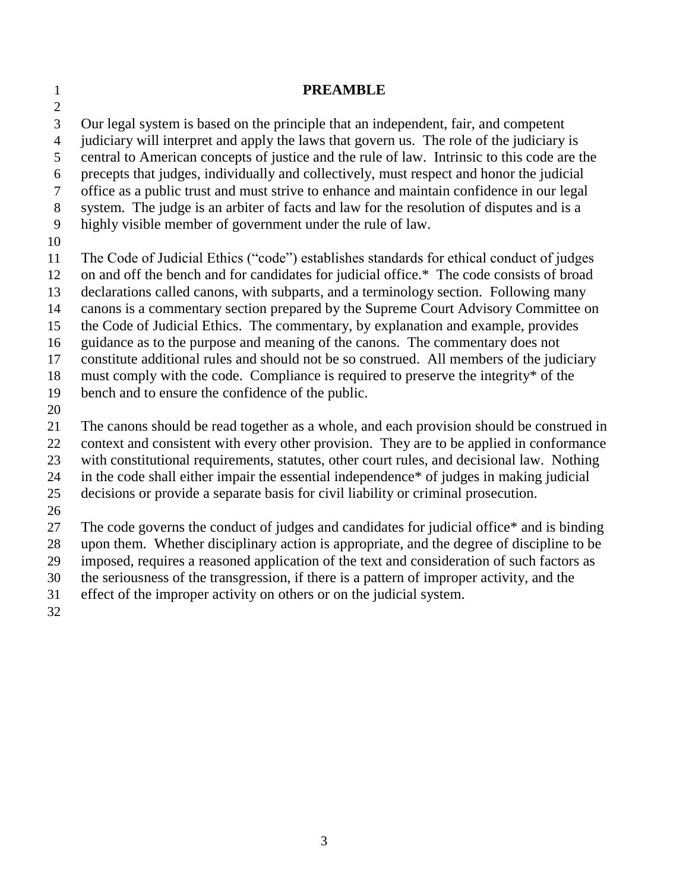| $\mathbf{1}$    | <b>PREAMBLE</b>                                                                                                                                                                      |
|-----------------|--------------------------------------------------------------------------------------------------------------------------------------------------------------------------------------|
| $\sqrt{2}$<br>3 |                                                                                                                                                                                      |
| $\overline{4}$  | Our legal system is based on the principle that an independent, fair, and competent<br>judiciary will interpret and apply the laws that govern us. The role of the judiciary is      |
| 5               | central to American concepts of justice and the rule of law. Intrinsic to this code are the                                                                                          |
| 6               | precepts that judges, individually and collectively, must respect and honor the judicial                                                                                             |
| $\tau$          | office as a public trust and must strive to enhance and maintain confidence in our legal                                                                                             |
| $8\,$           | system. The judge is an arbiter of facts and law for the resolution of disputes and is a                                                                                             |
| 9               | highly visible member of government under the rule of law.                                                                                                                           |
| 10              |                                                                                                                                                                                      |
| 11              | The Code of Judicial Ethics ("code") establishes standards for ethical conduct of judges                                                                                             |
| 12              | on and off the bench and for candidates for judicial office.* The code consists of broad                                                                                             |
| 13              | declarations called canons, with subparts, and a terminology section. Following many                                                                                                 |
| 14              | canons is a commentary section prepared by the Supreme Court Advisory Committee on                                                                                                   |
| 15              | the Code of Judicial Ethics. The commentary, by explanation and example, provides                                                                                                    |
| 16              | guidance as to the purpose and meaning of the canons. The commentary does not                                                                                                        |
| 17              | constitute additional rules and should not be so construed. All members of the judiciary                                                                                             |
| 18              | must comply with the code. Compliance is required to preserve the integrity* of the                                                                                                  |
| 19              | bench and to ensure the confidence of the public.                                                                                                                                    |
| 20              |                                                                                                                                                                                      |
| 21<br>22        | The canons should be read together as a whole, and each provision should be construed in<br>context and consistent with every other provision. They are to be applied in conformance |
| 23              | with constitutional requirements, statutes, other court rules, and decisional law. Nothing                                                                                           |
| 24              | in the code shall either impair the essential independence* of judges in making judicial                                                                                             |
| 25              | decisions or provide a separate basis for civil liability or criminal prosecution.                                                                                                   |
| 26              |                                                                                                                                                                                      |
| 27              | The code governs the conduct of judges and candidates for judicial office* and is binding                                                                                            |
| 28              | upon them. Whether disciplinary action is appropriate, and the degree of discipline to be                                                                                            |
| 29              | imposed, requires a reasoned application of the text and consideration of such factors as                                                                                            |
| 30              | the seriousness of the transgression, if there is a pattern of improper activity, and the                                                                                            |
| 31              | effect of the improper activity on others or on the judicial system.                                                                                                                 |
| 32              |                                                                                                                                                                                      |
|                 |                                                                                                                                                                                      |
|                 |                                                                                                                                                                                      |
|                 |                                                                                                                                                                                      |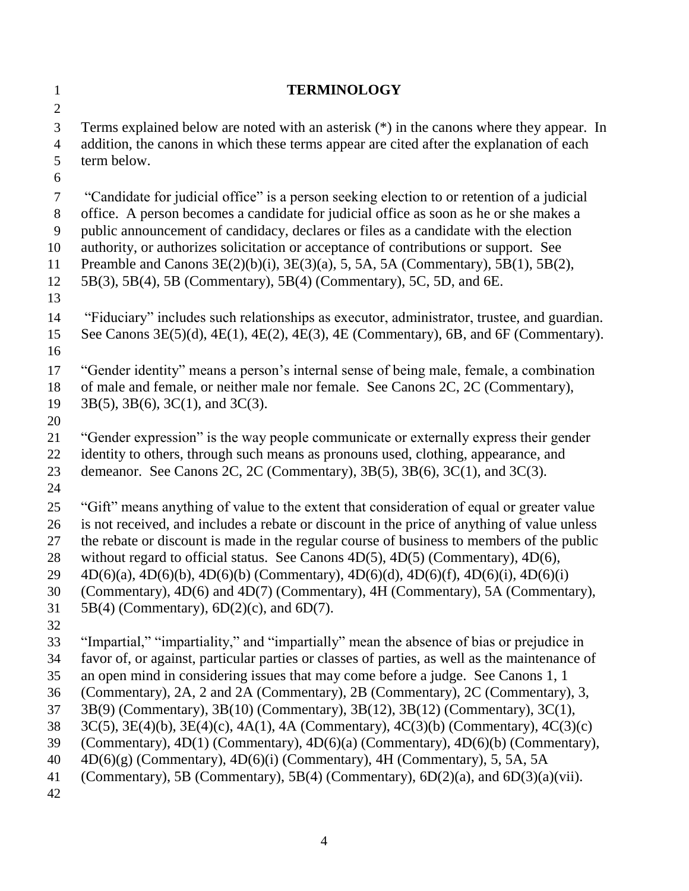| $\mathbf{1}$                                             | <b>TERMINOLOGY</b>                                                                                                                                                                                                                                                                                                                                                                                                                                                                                                                                                                                                                                                                                                                                                                                |  |  |
|----------------------------------------------------------|---------------------------------------------------------------------------------------------------------------------------------------------------------------------------------------------------------------------------------------------------------------------------------------------------------------------------------------------------------------------------------------------------------------------------------------------------------------------------------------------------------------------------------------------------------------------------------------------------------------------------------------------------------------------------------------------------------------------------------------------------------------------------------------------------|--|--|
| $\overline{2}$                                           |                                                                                                                                                                                                                                                                                                                                                                                                                                                                                                                                                                                                                                                                                                                                                                                                   |  |  |
| 3<br>$\overline{4}$<br>5<br>$\boldsymbol{6}$             | Terms explained below are noted with an asterisk $(*)$ in the canons where they appear. In<br>addition, the canons in which these terms appear are cited after the explanation of each<br>term below.                                                                                                                                                                                                                                                                                                                                                                                                                                                                                                                                                                                             |  |  |
| $\overline{7}$<br>$8\,$<br>9<br>10<br>11<br>12<br>13     | "Candidate for judicial office" is a person seeking election to or retention of a judicial<br>office. A person becomes a candidate for judicial office as soon as he or she makes a<br>public announcement of candidacy, declares or files as a candidate with the election<br>authority, or authorizes solicitation or acceptance of contributions or support. See<br>Preamble and Canons $3E(2)(b)(i)$ , $3E(3)(a)$ , 5, 5A, 5A (Commentary), 5B(1), 5B(2),<br>5B(3), 5B(4), 5B (Commentary), 5B(4) (Commentary), 5C, 5D, and 6E.                                                                                                                                                                                                                                                               |  |  |
| 14<br>15<br>16                                           | "Fiduciary" includes such relationships as executor, administrator, trustee, and guardian.<br>See Canons $3E(5)(d)$ , $4E(1)$ , $4E(2)$ , $4E(3)$ , $4E$ (Commentary), 6B, and 6F (Commentary).                                                                                                                                                                                                                                                                                                                                                                                                                                                                                                                                                                                                   |  |  |
| 17<br>18<br>19<br>20                                     | "Gender identity" means a person's internal sense of being male, female, a combination<br>of male and female, or neither male nor female. See Canons 2C, 2C (Commentary),<br>$3B(5)$ , $3B(6)$ , $3C(1)$ , and $3C(3)$ .                                                                                                                                                                                                                                                                                                                                                                                                                                                                                                                                                                          |  |  |
| 21<br>22<br>23<br>24                                     | "Gender expression" is the way people communicate or externally express their gender<br>identity to others, through such means as pronouns used, clothing, appearance, and<br>demeanor. See Canons 2C, 2C (Commentary), $3B(5)$ , $3B(6)$ , $3C(1)$ , and $3C(3)$ .                                                                                                                                                                                                                                                                                                                                                                                                                                                                                                                               |  |  |
| 25<br>26<br>27<br>28<br>29<br>30<br>31<br>32             | "Gift" means anything of value to the extent that consideration of equal or greater value<br>is not received, and includes a rebate or discount in the price of anything of value unless<br>the rebate or discount is made in the regular course of business to members of the public<br>without regard to official status. See Canons $4D(5)$ , $4D(5)$ (Commentary), $4D(6)$ ,<br>$4D(6)(a)$ , $4D(6)(b)$ , $4D(6)(b)$ (Commentary), $4D(6)(d)$ , $4D(6)(f)$ , $4D(6)(i)$ , $4D(6)(i)$<br>(Commentary), $4D(6)$ and $4D(7)$ (Commentary), $4H$ (Commentary), $5A$ (Commentary),<br>$5B(4)$ (Commentary), $6D(2)(c)$ , and $6D(7)$ .                                                                                                                                                             |  |  |
| 33<br>34<br>35<br>36<br>37<br>38<br>39<br>40<br>41<br>42 | "Impartial," "impartiality," and "impartially" mean the absence of bias or prejudice in<br>favor of, or against, particular parties or classes of parties, as well as the maintenance of<br>an open mind in considering issues that may come before a judge. See Canons 1, 1<br>(Commentary), 2A, 2 and 2A (Commentary), 2B (Commentary), 2C (Commentary), 3,<br>3B(9) (Commentary), 3B(10) (Commentary), 3B(12), 3B(12) (Commentary), 3C(1),<br>3C(5), 3E(4)(b), 3E(4)(c), 4A(1), 4A (Commentary), 4C(3)(b) (Commentary), 4C(3)(c)<br>(Commentary), 4D(1) (Commentary), 4D(6)(a) (Commentary), 4D(6)(b) (Commentary),<br>$4D(6)(g)$ (Commentary), $4D(6)(i)$ (Commentary), $4H$ (Commentary), 5, 5A, 5A<br>(Commentary), 5B (Commentary), 5B(4) (Commentary), $6D(2)(a)$ , and $6D(3)(a)(vii)$ . |  |  |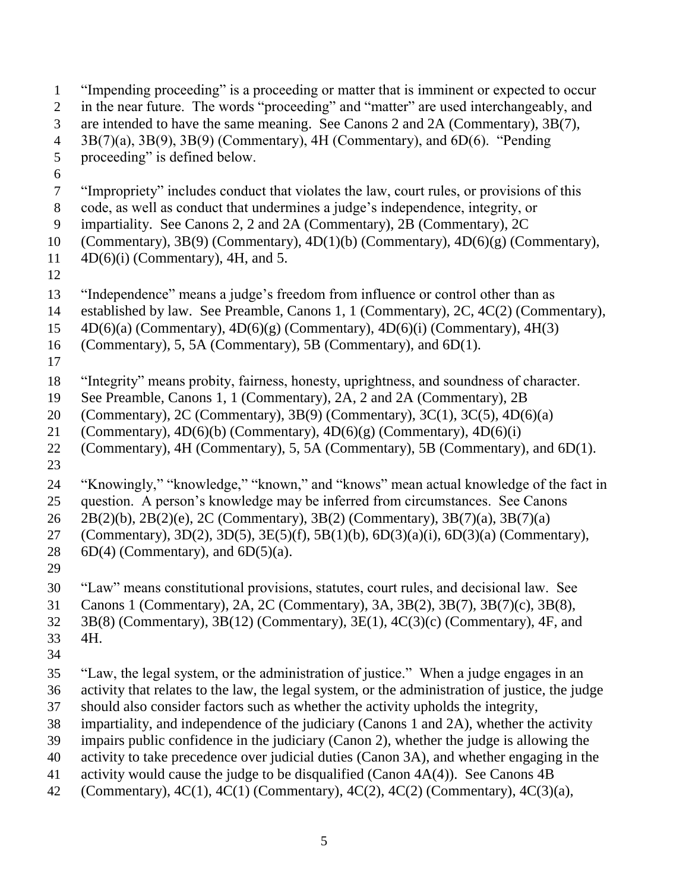- "Impending proceeding" is a proceeding or matter that is imminent or expected to occur in the near future. The words "proceeding" and "matter" are used interchangeably, and are intended to have the same meaning. See Canons 2 and 2A (Commentary), 3B(7), 3B(7)(a), 3B(9), 3B(9) (Commentary), 4H (Commentary), and 6D(6). "Pending proceeding" is defined below. "Impropriety" includes conduct that violates the law, court rules, or provisions of this code, as well as conduct that undermines a judge's independence, integrity, or impartiality. See Canons 2, 2 and 2A (Commentary), 2B (Commentary), 2C (Commentary), 3B(9) (Commentary), 4D(1)(b) (Commentary), 4D(6)(g) (Commentary), 4D(6)(i) (Commentary), 4H, and 5. "Independence" means a judge's freedom from influence or control other than as established by law. See Preamble, Canons 1, 1 (Commentary), 2C, 4C(2) (Commentary), 4D(6)(a) (Commentary), 4D(6)(g) (Commentary), 4D(6)(i) (Commentary), 4H(3) (Commentary), 5, 5A (Commentary), 5B (Commentary), and 6D(1). "Integrity" means probity, fairness, honesty, uprightness, and soundness of character. See Preamble, Canons 1, 1 (Commentary), 2A, 2 and 2A (Commentary), 2B (Commentary), 2C (Commentary), 3B(9) (Commentary), 3C(1), 3C(5), 4D(6)(a) 21 (Commentary),  $4D(6)(b)$  (Commentary),  $4D(6)(g)$  (Commentary),  $4D(6)(i)$  (Commentary), 4H (Commentary), 5, 5A (Commentary), 5B (Commentary), and 6D(1). "Knowingly," "knowledge," "known," and "knows" mean actual knowledge of the fact in question. A person's knowledge may be inferred from circumstances. See Canons 2B(2)(b), 2B(2)(e), 2C (Commentary), 3B(2) (Commentary), 3B(7)(a), 3B(7)(a) (Commentary), 3D(2), 3D(5), 3E(5)(f), 5B(1)(b), 6D(3)(a)(i), 6D(3)(a) (Commentary), 28 6D(4) (Commentary), and  $6D(5)(a)$ . "Law" means constitutional provisions, statutes, court rules, and decisional law. See Canons 1 (Commentary), 2A, 2C (Commentary), 3A, 3B(2), 3B(7), 3B(7)(c), 3B(8), 3B(8) (Commentary), 3B(12) (Commentary), 3E(1), 4C(3)(c) (Commentary), 4F, and 4H. "Law, the legal system, or the administration of justice." When a judge engages in an activity that relates to the law, the legal system, or the administration of justice, the judge should also consider factors such as whether the activity upholds the integrity, impartiality, and independence of the judiciary (Canons 1 and 2A), whether the activity impairs public confidence in the judiciary (Canon 2), whether the judge is allowing the activity to take precedence over judicial duties (Canon 3A), and whether engaging in the activity would cause the judge to be disqualified (Canon 4A(4)). See Canons 4B
- (Commentary), 4C(1), 4C(1) (Commentary), 4C(2), 4C(2) (Commentary), 4C(3)(a),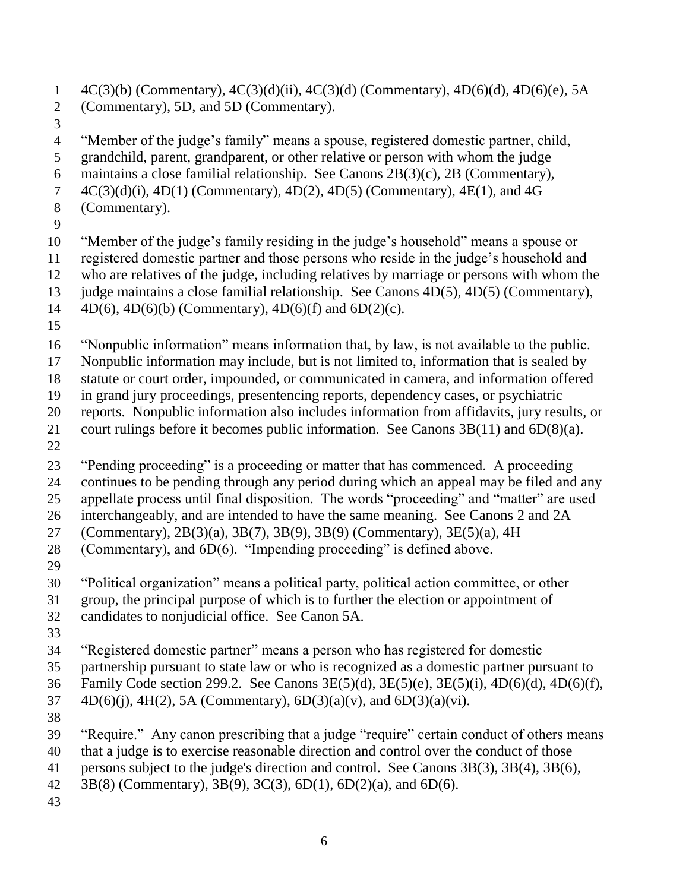4C(3)(b) (Commentary), 4C(3)(d)(ii), 4C(3)(d) (Commentary), 4D(6)(d), 4D(6)(e), 5A (Commentary), 5D, and 5D (Commentary). "Member of the judge's family" means a spouse, registered domestic partner, child, grandchild, parent, grandparent, or other relative or person with whom the judge maintains a close familial relationship. See Canons 2B(3)(c), 2B (Commentary),  $4C(3)(d)(i)$ ,  $4D(1)$  (Commentary),  $4D(2)$ ,  $4D(5)$  (Commentary),  $4E(1)$ , and  $4G$  (Commentary). "Member of the judge's family residing in the judge's household" means a spouse or registered domestic partner and those persons who reside in the judge's household and who are relatives of the judge, including relatives by marriage or persons with whom the judge maintains a close familial relationship. See Canons 4D(5), 4D(5) (Commentary),  $4D(6)$ ,  $4D(6)(b)$  (Commentary),  $4D(6)(f)$  and  $6D(2)(c)$ . "Nonpublic information" means information that, by law, is not available to the public. Nonpublic information may include, but is not limited to, information that is sealed by statute or court order, impounded, or communicated in camera, and information offered in grand jury proceedings, presentencing reports, dependency cases, or psychiatric reports. Nonpublic information also includes information from affidavits, jury results, or court rulings before it becomes public information. See Canons 3B(11) and 6D(8)(a). "Pending proceeding" is a proceeding or matter that has commenced. A proceeding continues to be pending through any period during which an appeal may be filed and any appellate process until final disposition. The words "proceeding" and "matter" are used interchangeably, and are intended to have the same meaning. See Canons 2 and 2A (Commentary), 2B(3)(a), 3B(7), 3B(9), 3B(9) (Commentary), 3E(5)(a), 4H (Commentary), and 6D(6). "Impending proceeding" is defined above. "Political organization" means a political party, political action committee, or other group, the principal purpose of which is to further the election or appointment of candidates to nonjudicial office. See Canon 5A. "Registered domestic partner" means a person who has registered for domestic partnership pursuant to state law or who is recognized as a domestic partner pursuant to Family Code section 299.2. See Canons 3E(5)(d), 3E(5)(e), 3E(5)(i), 4D(6)(d), 4D(6)(f), 37 4D(6)(j), 4H(2), 5A (Commentary),  $6D(3)(a)(v)$ , and  $6D(3)(a)(vi)$ . "Require." Any canon prescribing that a judge "require" certain conduct of others means that a judge is to exercise reasonable direction and control over the conduct of those persons subject to the judge's direction and control. See Canons 3B(3), 3B(4), 3B(6), 3B(8) (Commentary), 3B(9), 3C(3), 6D(1), 6D(2)(a), and 6D(6).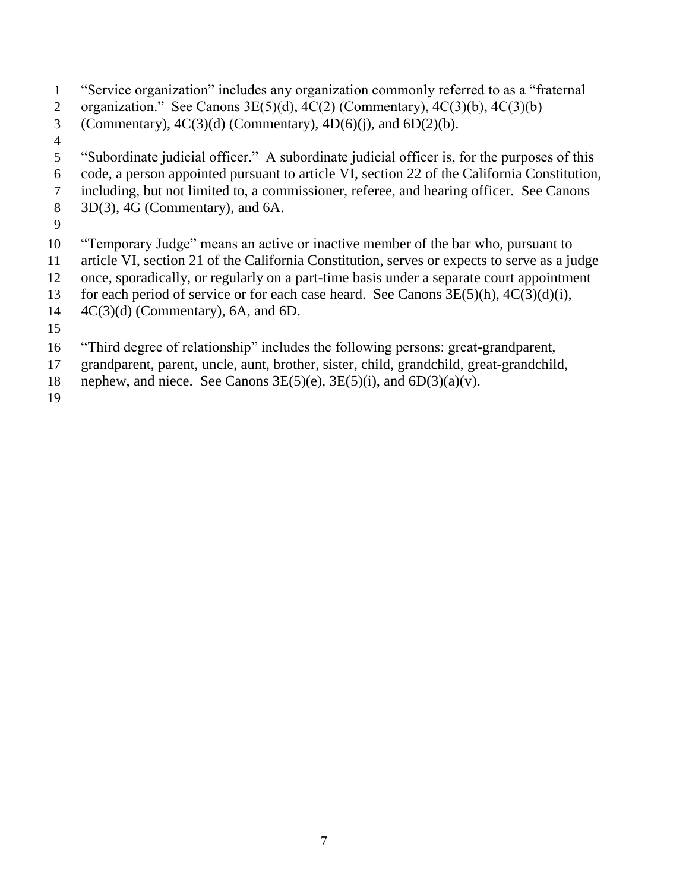- "Service organization" includes any organization commonly referred to as a "fraternal
- 2 organization." See Canons  $3E(5)(d)$ ,  $4C(2)$  (Commentary),  $4C(3)(b)$ ,  $4C(3)(b)$
- 3 (Commentary),  $4C(3)(d)$  (Commentary),  $4D(6)(i)$ , and  $6D(2)(b)$ .
- 
- "Subordinate judicial officer." A subordinate judicial officer is, for the purposes of this
- code, a person appointed pursuant to article VI, section 22 of the California Constitution,
- including, but not limited to, a commissioner, referee, and hearing officer. See Canons
- 3D(3), 4G (Commentary), and 6A.
- 
- "Temporary Judge" means an active or inactive member of the bar who, pursuant to
- article VI, section 21 of the California Constitution, serves or expects to serve as a judge
- once, sporadically, or regularly on a part-time basis under a separate court appointment
- 13 for each period of service or for each case heard. See Canons  $3E(5)(h)$ ,  $4C(3)(d)(i)$ ,
- 14  $4C(3)(d)$  (Commentary), 6A, and 6D.
- 
- "Third degree of relationship" includes the following persons: great-grandparent,
- grandparent, parent, uncle, aunt, brother, sister, child, grandchild, great-grandchild,
- 18 nephew, and niece. See Canons  $3E(5)(e)$ ,  $3E(5)(i)$ , and  $6D(3)(a)(v)$ .
-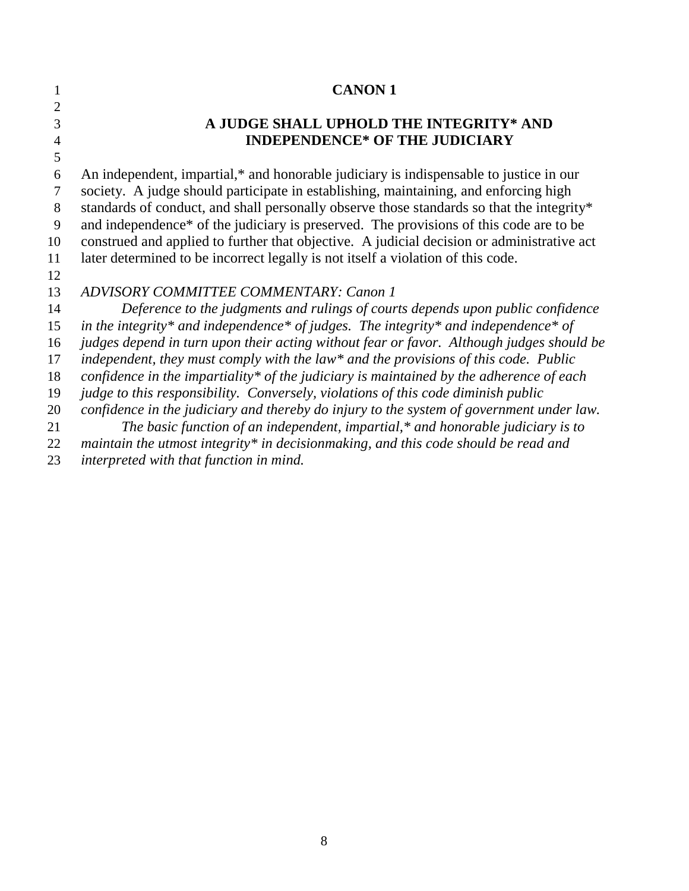|                | <b>CANON1</b>                                                                                      |
|----------------|----------------------------------------------------------------------------------------------------|
| 2              |                                                                                                    |
| 3              | A JUDGE SHALL UPHOLD THE INTEGRITY* AND                                                            |
| 4              | <b>INDEPENDENCE* OF THE JUDICIARY</b>                                                              |
| 5              |                                                                                                    |
| 6              | An independent, impartial,* and honorable judiciary is indispensable to justice in our             |
| $\overline{7}$ | society. A judge should participate in establishing, maintaining, and enforcing high               |
| 8              | standards of conduct, and shall personally observe those standards so that the integrity*          |
| 9              | and independence <sup>*</sup> of the judiciary is preserved. The provisions of this code are to be |
| 10             | construed and applied to further that objective. A judicial decision or administrative act         |
| 11             | later determined to be incorrect legally is not itself a violation of this code.                   |
| 12             |                                                                                                    |
| 13             | <b>ADVISORY COMMITTEE COMMENTARY: Canon 1</b>                                                      |
| 14             | Deference to the judgments and rulings of courts depends upon public confidence                    |
| 15             | in the integrity* and independence* of judges. The integrity* and independence* of                 |
| 16             | judges depend in turn upon their acting without fear or favor. Although judges should be           |
| 17             | independent, they must comply with the law* and the provisions of this code. Public                |
| 18             | confidence in the impartiality* of the judiciary is maintained by the adherence of each            |
| 19             | judge to this responsibility. Conversely, violations of this code diminish public                  |
| 20             | confidence in the judiciary and thereby do injury to the system of government under law.           |
| 21             | The basic function of an independent, impartial, $*$ and honorable judiciary is to                 |
| 22             | maintain the utmost integrity* in decisionmaking, and this code should be read and                 |
|                |                                                                                                    |

*interpreted with that function in mind.*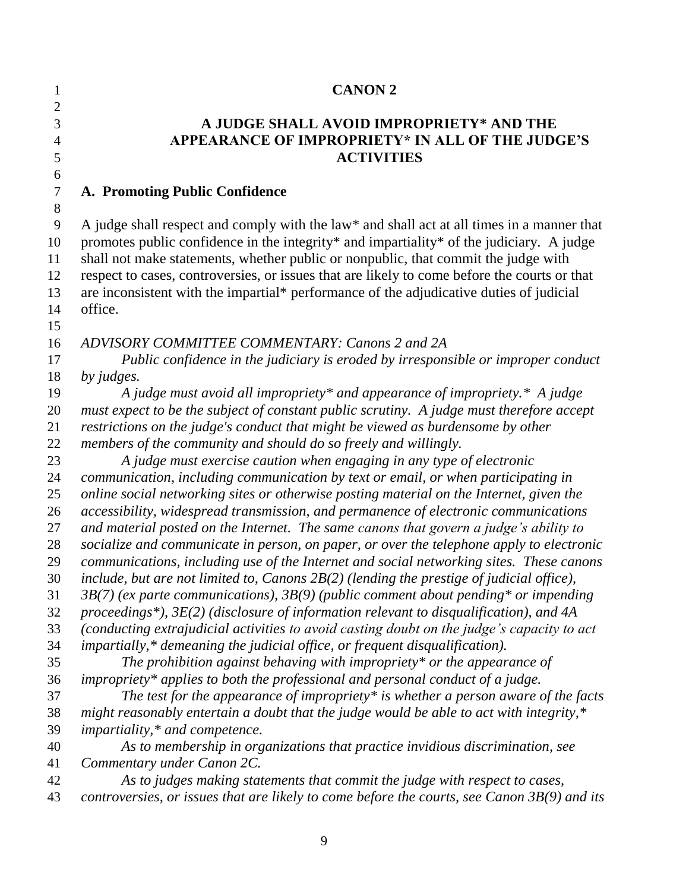| 1                | <b>CANON 2</b>                                                                                                                                                                    |  |  |  |
|------------------|-----------------------------------------------------------------------------------------------------------------------------------------------------------------------------------|--|--|--|
| $\mathbf{2}$     |                                                                                                                                                                                   |  |  |  |
| 3                | A JUDGE SHALL AVOID IMPROPRIETY* AND THE                                                                                                                                          |  |  |  |
| $\overline{4}$   | APPEARANCE OF IMPROPRIETY* IN ALL OF THE JUDGE'S                                                                                                                                  |  |  |  |
| 5                | <b>ACTIVITIES</b>                                                                                                                                                                 |  |  |  |
| $\boldsymbol{6}$ |                                                                                                                                                                                   |  |  |  |
| $\tau$           | A. Promoting Public Confidence                                                                                                                                                    |  |  |  |
| 8                |                                                                                                                                                                                   |  |  |  |
| $\boldsymbol{9}$ | A judge shall respect and comply with the law* and shall act at all times in a manner that                                                                                        |  |  |  |
| 10               | promotes public confidence in the integrity* and impartiality* of the judiciary. A judge                                                                                          |  |  |  |
| 11               | shall not make statements, whether public or nonpublic, that commit the judge with                                                                                                |  |  |  |
| 12               | respect to cases, controversies, or issues that are likely to come before the courts or that                                                                                      |  |  |  |
| 13               | are inconsistent with the impartial* performance of the adjudicative duties of judicial                                                                                           |  |  |  |
| 14               | office.                                                                                                                                                                           |  |  |  |
| 15               |                                                                                                                                                                                   |  |  |  |
| 16               | ADVISORY COMMITTEE COMMENTARY: Canons 2 and 2A                                                                                                                                    |  |  |  |
| 17               | Public confidence in the judiciary is eroded by irresponsible or improper conduct                                                                                                 |  |  |  |
| 18               | by judges.                                                                                                                                                                        |  |  |  |
| 19               | A judge must avoid all impropriety* and appearance of impropriety.* A judge                                                                                                       |  |  |  |
| 20               | must expect to be the subject of constant public scrutiny. A judge must therefore accept                                                                                          |  |  |  |
| 21               | restrictions on the judge's conduct that might be viewed as burdensome by other                                                                                                   |  |  |  |
| 22               | members of the community and should do so freely and willingly.                                                                                                                   |  |  |  |
| 23<br>24         | A judge must exercise caution when engaging in any type of electronic                                                                                                             |  |  |  |
| 25               | communication, including communication by text or email, or when participating in                                                                                                 |  |  |  |
| 26               | online social networking sites or otherwise posting material on the Internet, given the                                                                                           |  |  |  |
| 27               | accessibility, widespread transmission, and permanence of electronic communications                                                                                               |  |  |  |
| 28               | and material posted on the Internet. The same canons that govern a judge's ability to<br>socialize and communicate in person, on paper, or over the telephone apply to electronic |  |  |  |
| 29               | communications, including use of the Internet and social networking sites. These canons                                                                                           |  |  |  |
| 30               | include, but are not limited to, Canons $2B(2)$ (lending the prestige of judicial office),                                                                                        |  |  |  |
| 31               | $3B(7)$ (ex parte communications), $3B(9)$ (public comment about pending* or impending                                                                                            |  |  |  |
| 32               | proceedings*), $3E(2)$ (disclosure of information relevant to disqualification), and 4A                                                                                           |  |  |  |
| 33               | (conducting extrajudicial activities to avoid casting doubt on the judge's capacity to act                                                                                        |  |  |  |
| 34               | impartially,* demeaning the judicial office, or frequent disqualification).                                                                                                       |  |  |  |
| 35               | The prohibition against behaving with impropriety* or the appearance of                                                                                                           |  |  |  |
| 36               | impropriety* applies to both the professional and personal conduct of a judge.                                                                                                    |  |  |  |
| 37               | The test for the appearance of impropriety* is whether a person aware of the facts                                                                                                |  |  |  |
| 38               | might reasonably entertain a doubt that the judge would be able to act with integrity, $*$                                                                                        |  |  |  |
| 39               | impartiality,* and competence.                                                                                                                                                    |  |  |  |
| 40               | As to membership in organizations that practice invidious discrimination, see                                                                                                     |  |  |  |
| 41               | Commentary under Canon 2C.                                                                                                                                                        |  |  |  |
| 42               | As to judges making statements that commit the judge with respect to cases,                                                                                                       |  |  |  |
| 43               | controversies, or issues that are likely to come before the courts, see Canon $3B(9)$ and its                                                                                     |  |  |  |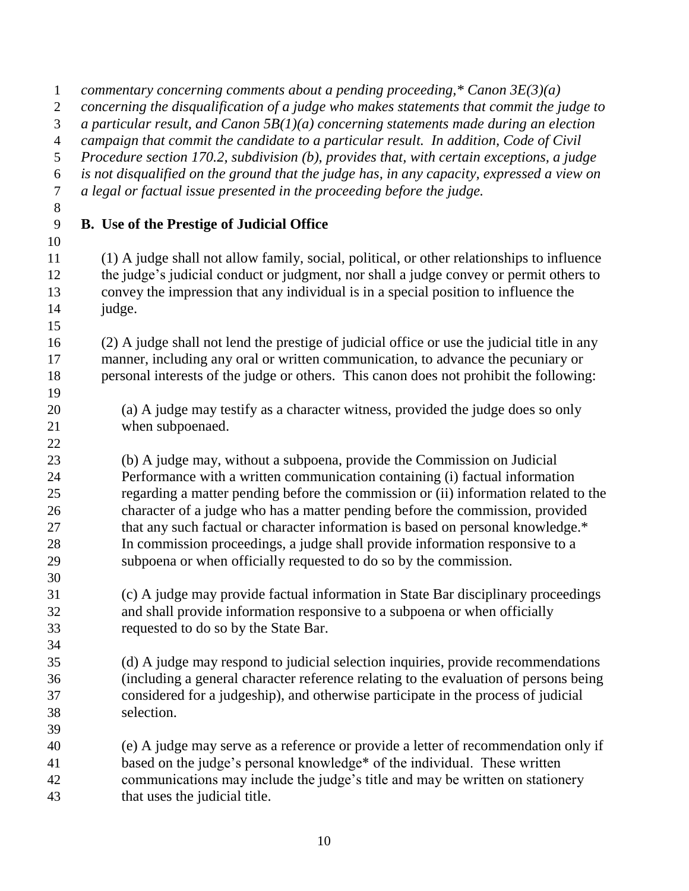| $\mathbf{1}$   | commentary concerning comments about a pending proceeding, $*$ Canon 3E(3)(a)               |  |  |  |
|----------------|---------------------------------------------------------------------------------------------|--|--|--|
| $\overline{2}$ | concerning the disqualification of a judge who makes statements that commit the judge to    |  |  |  |
| 3              | a particular result, and Canon $5B(1)(a)$ concerning statements made during an election     |  |  |  |
| $\overline{4}$ | campaign that commit the candidate to a particular result. In addition, Code of Civil       |  |  |  |
| 5              | Procedure section 170.2, subdivision (b), provides that, with certain exceptions, a judge   |  |  |  |
| 6              | is not disqualified on the ground that the judge has, in any capacity, expressed a view on  |  |  |  |
| $\tau$         | a legal or factual issue presented in the proceeding before the judge.                      |  |  |  |
| $8\,$          |                                                                                             |  |  |  |
| $\overline{9}$ | <b>B.</b> Use of the Prestige of Judicial Office                                            |  |  |  |
| 10             |                                                                                             |  |  |  |
| 11             | (1) A judge shall not allow family, social, political, or other relationships to influence  |  |  |  |
| 12             | the judge's judicial conduct or judgment, nor shall a judge convey or permit others to      |  |  |  |
| 13             | convey the impression that any individual is in a special position to influence the         |  |  |  |
| 14             | judge.                                                                                      |  |  |  |
| 15             |                                                                                             |  |  |  |
| 16             | (2) A judge shall not lend the prestige of judicial office or use the judicial title in any |  |  |  |
| 17             | manner, including any oral or written communication, to advance the pecuniary or            |  |  |  |
| 18             | personal interests of the judge or others. This canon does not prohibit the following:      |  |  |  |
| 19             |                                                                                             |  |  |  |
| 20             | (a) A judge may testify as a character witness, provided the judge does so only             |  |  |  |
| 21             | when subpoenaed.                                                                            |  |  |  |
| 22             |                                                                                             |  |  |  |
| 23             | (b) A judge may, without a subpoena, provide the Commission on Judicial                     |  |  |  |
| 24             | Performance with a written communication containing (i) factual information                 |  |  |  |
| 25             | regarding a matter pending before the commission or (ii) information related to the         |  |  |  |
| 26             | character of a judge who has a matter pending before the commission, provided               |  |  |  |
| 27             | that any such factual or character information is based on personal knowledge.*             |  |  |  |
| 28             | In commission proceedings, a judge shall provide information responsive to a                |  |  |  |
| 29             | subpoena or when officially requested to do so by the commission.                           |  |  |  |
| 30             |                                                                                             |  |  |  |
| 31             | (c) A judge may provide factual information in State Bar disciplinary proceedings           |  |  |  |
| 32             | and shall provide information responsive to a subpoena or when officially                   |  |  |  |
| 33             | requested to do so by the State Bar.                                                        |  |  |  |
| 34             |                                                                                             |  |  |  |
| 35             | (d) A judge may respond to judicial selection inquiries, provide recommendations            |  |  |  |
| 36             | (including a general character reference relating to the evaluation of persons being        |  |  |  |
| 37             | considered for a judgeship), and otherwise participate in the process of judicial           |  |  |  |
| 38             | selection.                                                                                  |  |  |  |
| 39             |                                                                                             |  |  |  |
| 40             | (e) A judge may serve as a reference or provide a letter of recommendation only if          |  |  |  |
| 41             | based on the judge's personal knowledge* of the individual. These written                   |  |  |  |
| 42             | communications may include the judge's title and may be written on stationery               |  |  |  |
| 43             | that uses the judicial title.                                                               |  |  |  |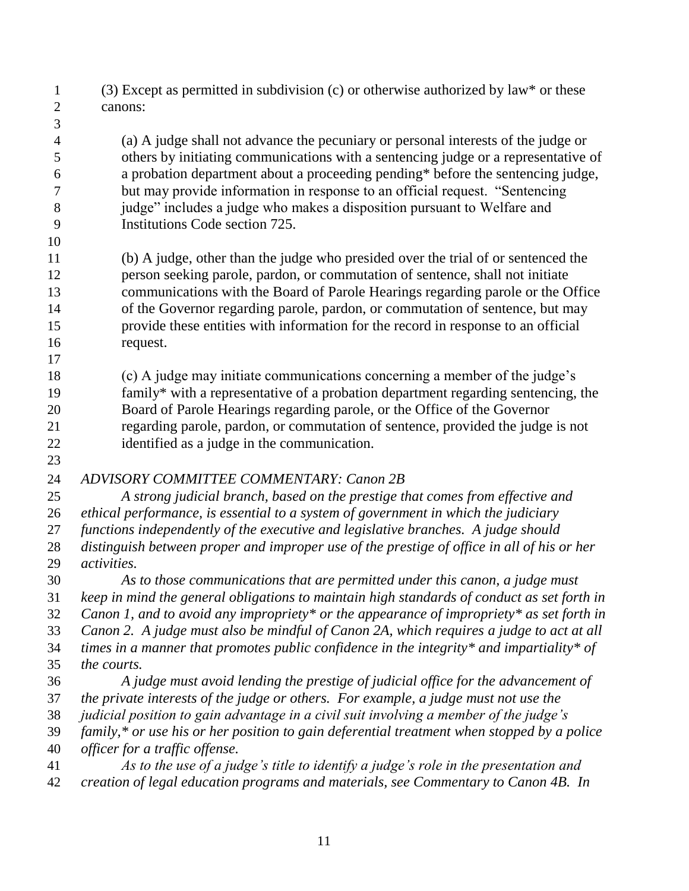(3) Except as permitted in subdivision (c) or otherwise authorized by law\* or these canons:

 (a) A judge shall not advance the pecuniary or personal interests of the judge or others by initiating communications with a sentencing judge or a representative of a probation department about a proceeding pending\* before the sentencing judge, but may provide information in response to an official request. "Sentencing judge" includes a judge who makes a disposition pursuant to Welfare and Institutions Code section 725.

 (b) A judge, other than the judge who presided over the trial of or sentenced the person seeking parole, pardon, or commutation of sentence, shall not initiate communications with the Board of Parole Hearings regarding parole or the Office of the Governor regarding parole, pardon, or commutation of sentence, but may provide these entities with information for the record in response to an official request.

 (c) A judge may initiate communications concerning a member of the judge's family\* with a representative of a probation department regarding sentencing, the Board of Parole Hearings regarding parole, or the Office of the Governor regarding parole, pardon, or commutation of sentence, provided the judge is not identified as a judge in the communication.

## *ADVISORY COMMITTEE COMMENTARY: Canon 2B*

*A strong judicial branch, based on the prestige that comes from effective and* 

*ethical performance, is essential to a system of government in which the judiciary* 

*functions independently of the executive and legislative branches. A judge should* 

 *distinguish between proper and improper use of the prestige of office in all of his or her activities.*

 *As to those communications that are permitted under this canon, a judge must keep in mind the general obligations to maintain high standards of conduct as set forth in* 

*Canon 1, and to avoid any impropriety\* or the appearance of impropriety\* as set forth in* 

*Canon 2. A judge must also be mindful of Canon 2A, which requires a judge to act at all* 

*times in a manner that promotes public confidence in the integrity\* and impartiality\* of* 

*the courts.* 

 *A judge must avoid lending the prestige of judicial office for the advancement of the private interests of the judge or others. For example, a judge must not use the* 

*judicial position to gain advantage in a civil suit involving a member of the judge's* 

*family,\* or use his or her position to gain deferential treatment when stopped by a police* 

*officer for a traffic offense.*

 *As to the use of a judge's title to identify a judge's role in the presentation and creation of legal education programs and materials, see Commentary to Canon 4B. In*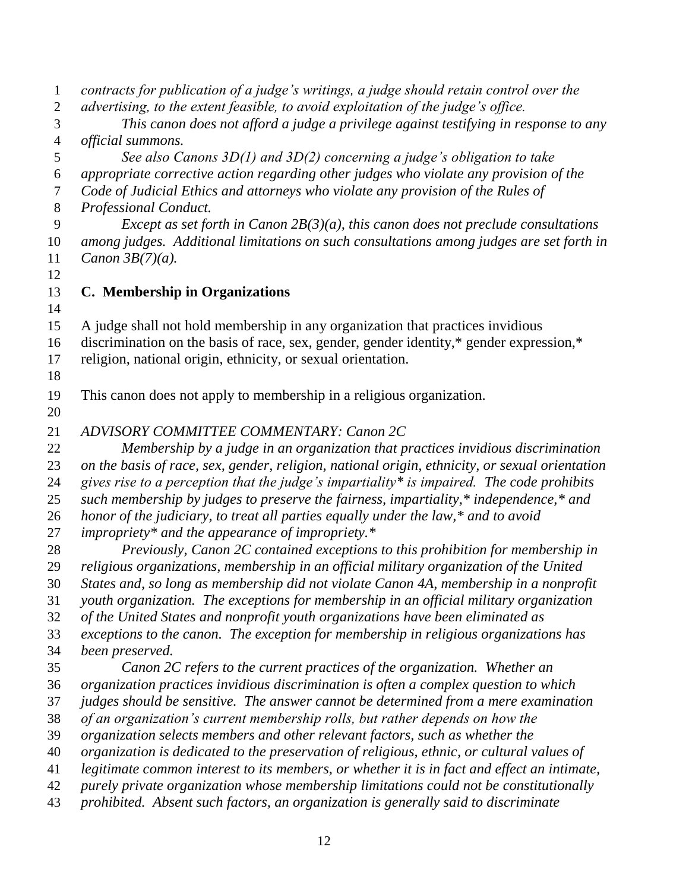*contracts for publication of a judge's writings, a judge should retain control over the advertising, to the extent feasible, to avoid exploitation of the judge's office. This canon does not afford a judge a privilege against testifying in response to any official summons. See also Canons 3D(1) and 3D(2) concerning a judge's obligation to take appropriate corrective action regarding other judges who violate any provision of the Code of Judicial Ethics and attorneys who violate any provision of the Rules of Professional Conduct. Except as set forth in Canon 2B(3)(a), this canon does not preclude consultations among judges. Additional limitations on such consultations among judges are set forth in Canon 3B(7)(a).* **C. Membership in Organizations** A judge shall not hold membership in any organization that practices invidious discrimination on the basis of race, sex, gender, gender identity,\* gender expression,\* religion, national origin, ethnicity, or sexual orientation. This canon does not apply to membership in a religious organization. *ADVISORY COMMITTEE COMMENTARY: Canon 2C Membership by a judge in an organization that practices invidious discrimination on the basis of race, sex, gender, religion, national origin, ethnicity, or sexual orientation gives rise to a perception that the judge's impartiality\* is impaired. The code prohibits such membership by judges to preserve the fairness, impartiality,\* independence,\* and honor of the judiciary, to treat all parties equally under the law,\* and to avoid impropriety\* and the appearance of impropriety.\* Previously, Canon 2C contained exceptions to this prohibition for membership in religious organizations, membership in an official military organization of the United States and, so long as membership did not violate Canon 4A, membership in a nonprofit youth organization. The exceptions for membership in an official military organization of the United States and nonprofit youth organizations have been eliminated as exceptions to the canon. The exception for membership in religious organizations has been preserved. Canon 2C refers to the current practices of the organization. Whether an organization practices invidious discrimination is often a complex question to which judges should be sensitive. The answer cannot be determined from a mere examination of an organization's current membership rolls, but rather depends on how the organization selects members and other relevant factors, such as whether the organization is dedicated to the preservation of religious, ethnic, or cultural values of legitimate common interest to its members, or whether it is in fact and effect an intimate, purely private organization whose membership limitations could not be constitutionally prohibited. Absent such factors, an organization is generally said to discriminate*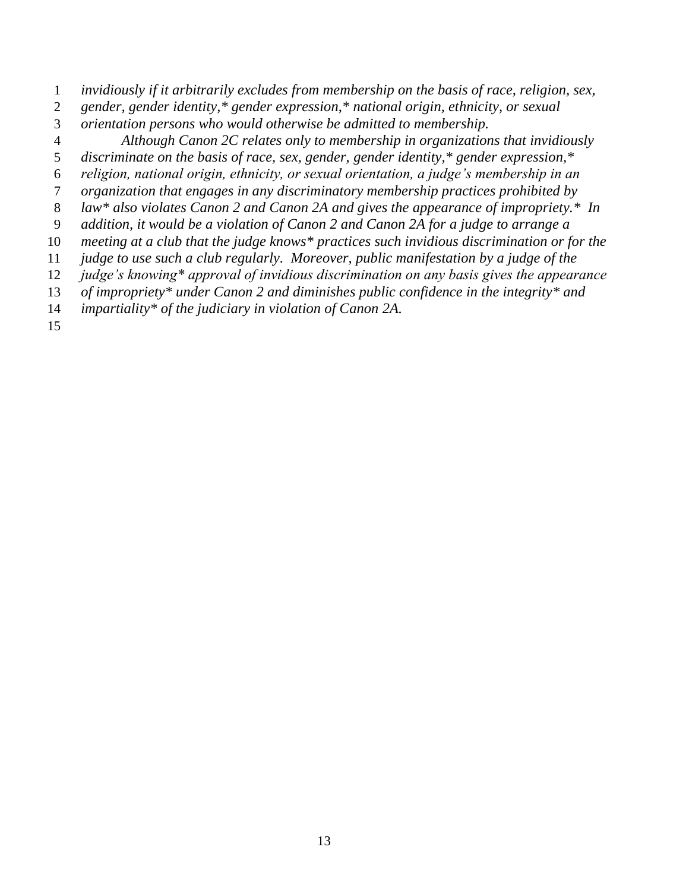- *invidiously if it arbitrarily excludes from membership on the basis of race, religion, sex,*
- *gender, gender identity,\* gender expression,\* national origin, ethnicity, or sexual*
- *orientation persons who would otherwise be admitted to membership.*
- *Although Canon 2C relates only to membership in organizations that invidiously*
- *discriminate on the basis of race, sex, gender, gender identity,\* gender expression,\**
- *religion, national origin, ethnicity, or sexual orientation, a judge's membership in an*
- *organization that engages in any discriminatory membership practices prohibited by*
- *law\* also violates Canon 2 and Canon 2A and gives the appearance of impropriety.\* In*
- *addition, it would be a violation of Canon 2 and Canon 2A for a judge to arrange a*
- *meeting at a club that the judge knows\* practices such invidious discrimination or for the*
- *judge to use such a club regularly. Moreover, public manifestation by a judge of the*
- *judge's knowing\* approval of invidious discrimination on any basis gives the appearance*
- *of impropriety\* under Canon 2 and diminishes public confidence in the integrity\* and*
- *impartiality\* of the judiciary in violation of Canon 2A.*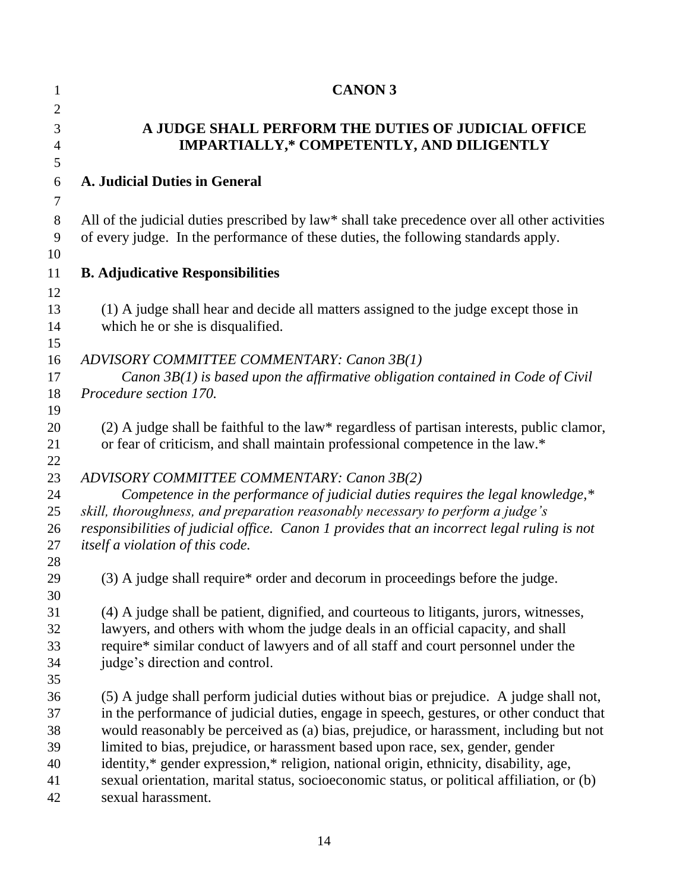| $\mathbf{1}$   | <b>CANON 3</b>                                                                                |
|----------------|-----------------------------------------------------------------------------------------------|
| $\overline{2}$ |                                                                                               |
| 3              | A JUDGE SHALL PERFORM THE DUTIES OF JUDICIAL OFFICE                                           |
| $\overline{4}$ | IMPARTIALLY,* COMPETENTLY, AND DILIGENTLY                                                     |
| 5              |                                                                                               |
| 6              | <b>A. Judicial Duties in General</b>                                                          |
| 7              |                                                                                               |
| $8\,$          | All of the judicial duties prescribed by law* shall take precedence over all other activities |
| 9              | of every judge. In the performance of these duties, the following standards apply.            |
| 10             |                                                                                               |
| 11             | <b>B. Adjudicative Responsibilities</b>                                                       |
| 12             |                                                                                               |
| 13             | (1) A judge shall hear and decide all matters assigned to the judge except those in           |
| 14             | which he or she is disqualified.                                                              |
| 15             |                                                                                               |
| 16             | ADVISORY COMMITTEE COMMENTARY: Canon 3B(1)                                                    |
| 17             | Canon $3B(1)$ is based upon the affirmative obligation contained in Code of Civil             |
| 18             | Procedure section 170.                                                                        |
| 19             |                                                                                               |
| 20             | (2) A judge shall be faithful to the law* regardless of partisan interests, public clamor,    |
| 21             | or fear of criticism, and shall maintain professional competence in the law.*                 |
| 22             |                                                                                               |
| 23             | ADVISORY COMMITTEE COMMENTARY: Canon 3B(2)                                                    |
| 24             | Competence in the performance of judicial duties requires the legal knowledge,*               |
| 25             | skill, thoroughness, and preparation reasonably necessary to perform a judge's                |
| 26             | responsibilities of judicial office. Canon 1 provides that an incorrect legal ruling is not   |
| 27             | itself a violation of this code.                                                              |
| 28             |                                                                                               |
| 29             | (3) A judge shall require* order and decorum in proceedings before the judge.                 |
| 30             |                                                                                               |
| 31             | (4) A judge shall be patient, dignified, and courteous to litigants, jurors, witnesses,       |
| 32             | lawyers, and others with whom the judge deals in an official capacity, and shall              |
| 33             | require* similar conduct of lawyers and of all staff and court personnel under the            |
| 34             | judge's direction and control.                                                                |
| 35             |                                                                                               |
| 36             | (5) A judge shall perform judicial duties without bias or prejudice. A judge shall not,       |
| 37             | in the performance of judicial duties, engage in speech, gestures, or other conduct that      |
| 38             | would reasonably be perceived as (a) bias, prejudice, or harassment, including but not        |
| 39             | limited to bias, prejudice, or harassment based upon race, sex, gender, gender                |
| 40             | identity,* gender expression,* religion, national origin, ethnicity, disability, age,         |
| 41             | sexual orientation, marital status, socioeconomic status, or political affiliation, or (b)    |
| 42             | sexual harassment.                                                                            |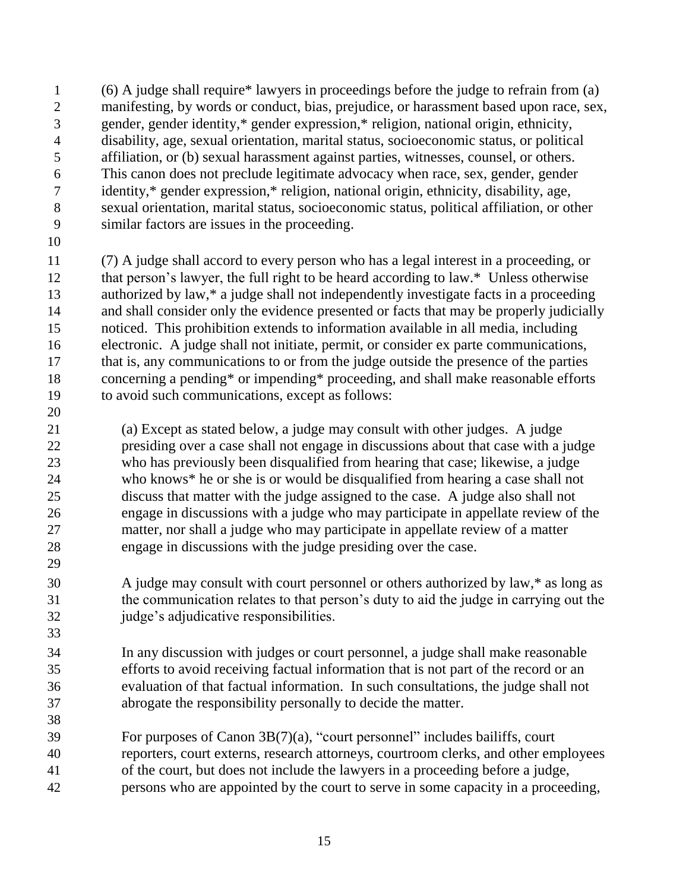(6) A judge shall require\* lawyers in proceedings before the judge to refrain from (a) manifesting, by words or conduct, bias, prejudice, or harassment based upon race, sex, gender, gender identity,\* gender expression,\* religion, national origin, ethnicity, disability, age, sexual orientation, marital status, socioeconomic status, or political affiliation, or (b) sexual harassment against parties, witnesses, counsel, or others. This canon does not preclude legitimate advocacy when race, sex, gender, gender identity,\* gender expression,\* religion, national origin, ethnicity, disability, age, sexual orientation, marital status, socioeconomic status, political affiliation, or other similar factors are issues in the proceeding.

 (7) A judge shall accord to every person who has a legal interest in a proceeding, or that person's lawyer, the full right to be heard according to law.\* Unless otherwise authorized by law,\* a judge shall not independently investigate facts in a proceeding and shall consider only the evidence presented or facts that may be properly judicially noticed. This prohibition extends to information available in all media, including electronic. A judge shall not initiate, permit, or consider ex parte communications, that is, any communications to or from the judge outside the presence of the parties concerning a pending\* or impending\* proceeding, and shall make reasonable efforts to avoid such communications, except as follows:

 (a) Except as stated below, a judge may consult with other judges. A judge presiding over a case shall not engage in discussions about that case with a judge who has previously been disqualified from hearing that case; likewise, a judge who knows\* he or she is or would be disqualified from hearing a case shall not discuss that matter with the judge assigned to the case. A judge also shall not engage in discussions with a judge who may participate in appellate review of the matter, nor shall a judge who may participate in appellate review of a matter engage in discussions with the judge presiding over the case.

 A judge may consult with court personnel or others authorized by law,\* as long as the communication relates to that person's duty to aid the judge in carrying out the judge's adjudicative responsibilities.

- In any discussion with judges or court personnel, a judge shall make reasonable efforts to avoid receiving factual information that is not part of the record or an evaluation of that factual information. In such consultations, the judge shall not abrogate the responsibility personally to decide the matter.
- For purposes of Canon 3B(7)(a), "court personnel" includes bailiffs, court reporters, court externs, research attorneys, courtroom clerks, and other employees of the court, but does not include the lawyers in a proceeding before a judge,
- persons who are appointed by the court to serve in some capacity in a proceeding,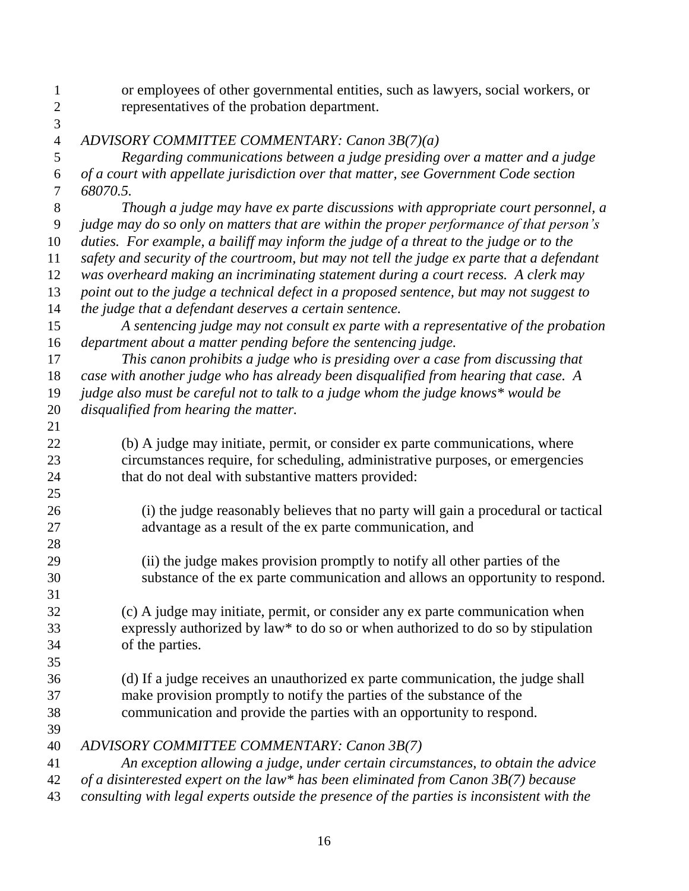or employees of other governmental entities, such as lawyers, social workers, or representatives of the probation department. *ADVISORY COMMITTEE COMMENTARY: Canon 3B(7)(a) Regarding communications between a judge presiding over a matter and a judge of a court with appellate jurisdiction over that matter, see Government Code section 68070.5. Though a judge may have ex parte discussions with appropriate court personnel, a judge may do so only on matters that are within the proper performance of that person's duties. For example, a bailiff may inform the judge of a threat to the judge or to the safety and security of the courtroom, but may not tell the judge ex parte that a defendant was overheard making an incriminating statement during a court recess. A clerk may point out to the judge a technical defect in a proposed sentence, but may not suggest to the judge that a defendant deserves a certain sentence. A sentencing judge may not consult ex parte with a representative of the probation department about a matter pending before the sentencing judge. This canon prohibits a judge who is presiding over a case from discussing that case with another judge who has already been disqualified from hearing that case. A judge also must be careful not to talk to a judge whom the judge knows\* would be disqualified from hearing the matter.*  (b) A judge may initiate, permit, or consider ex parte communications, where circumstances require, for scheduling, administrative purposes, or emergencies 24 that do not deal with substantive matters provided: (i) the judge reasonably believes that no party will gain a procedural or tactical advantage as a result of the ex parte communication, and (ii) the judge makes provision promptly to notify all other parties of the substance of the ex parte communication and allows an opportunity to respond. (c) A judge may initiate, permit, or consider any ex parte communication when expressly authorized by law\* to do so or when authorized to do so by stipulation of the parties. (d) If a judge receives an unauthorized ex parte communication, the judge shall make provision promptly to notify the parties of the substance of the communication and provide the parties with an opportunity to respond. *ADVISORY COMMITTEE COMMENTARY: Canon 3B(7) An exception allowing a judge, under certain circumstances, to obtain the advice of a disinterested expert on the law\* has been eliminated from Canon 3B(7) because consulting with legal experts outside the presence of the parties is inconsistent with the*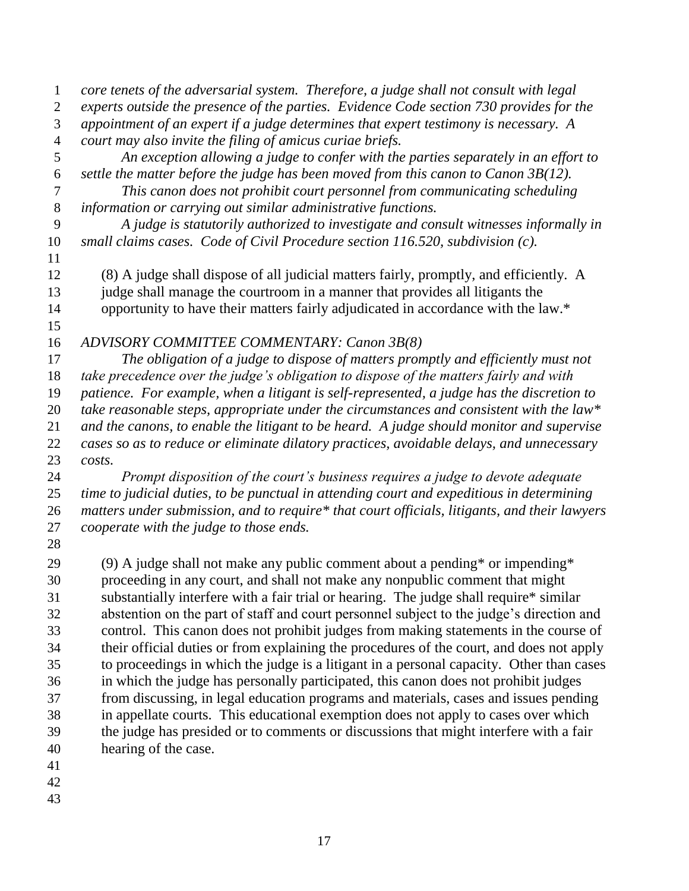*core tenets of the adversarial system. Therefore, a judge shall not consult with legal experts outside the presence of the parties. Evidence Code section 730 provides for the appointment of an expert if a judge determines that expert testimony is necessary. A court may also invite the filing of amicus curiae briefs. An exception allowing a judge to confer with the parties separately in an effort to settle the matter before the judge has been moved from this canon to Canon 3B(12). This canon does not prohibit court personnel from communicating scheduling information or carrying out similar administrative functions. A judge is statutorily authorized to investigate and consult witnesses informally in small claims cases. Code of Civil Procedure section 116.520, subdivision (c).* (8) A judge shall dispose of all judicial matters fairly, promptly, and efficiently. A judge shall manage the courtroom in a manner that provides all litigants the opportunity to have their matters fairly adjudicated in accordance with the law.\* *ADVISORY COMMITTEE COMMENTARY: Canon 3B(8) The obligation of a judge to dispose of matters promptly and efficiently must not take precedence over the judge's obligation to dispose of the matters fairly and with patience. For example, when a litigant is self-represented, a judge has the discretion to take reasonable steps, appropriate under the circumstances and consistent with the law\* and the canons, to enable the litigant to be heard. A judge should monitor and supervise cases so as to reduce or eliminate dilatory practices, avoidable delays, and unnecessary costs. Prompt disposition of the court's business requires a judge to devote adequate time to judicial duties, to be punctual in attending court and expeditious in determining matters under submission, and to require\* that court officials, litigants, and their lawyers cooperate with the judge to those ends.*  29 (9) A judge shall not make any public comment about a pending\* or impending\* proceeding in any court, and shall not make any nonpublic comment that might substantially interfere with a fair trial or hearing. The judge shall require\* similar abstention on the part of staff and court personnel subject to the judge's direction and control. This canon does not prohibit judges from making statements in the course of their official duties or from explaining the procedures of the court, and does not apply to proceedings in which the judge is a litigant in a personal capacity. Other than cases in which the judge has personally participated, this canon does not prohibit judges from discussing, in legal education programs and materials, cases and issues pending in appellate courts. This educational exemption does not apply to cases over which the judge has presided or to comments or discussions that might interfere with a fair hearing of the case.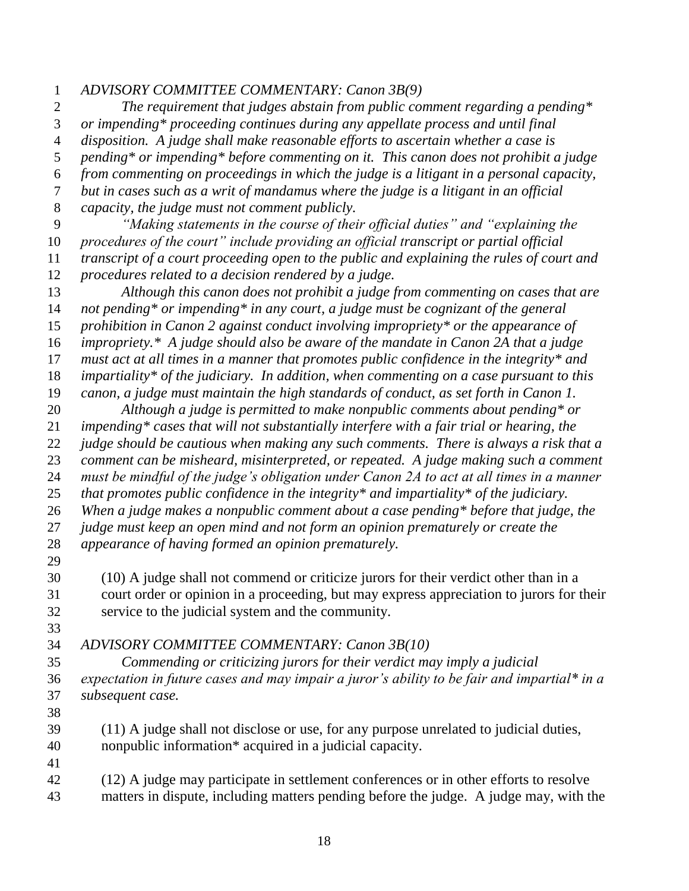#### *ADVISORY COMMITTEE COMMENTARY: Canon 3B(9)*

 *The requirement that judges abstain from public comment regarding a pending\* or impending\* proceeding continues during any appellate process and until final disposition. A judge shall make reasonable efforts to ascertain whether a case is pending\* or impending\* before commenting on it. This canon does not prohibit a judge from commenting on proceedings in which the judge is a litigant in a personal capacity, but in cases such as a writ of mandamus where the judge is a litigant in an official capacity, the judge must not comment publicly. "Making statements in the course of their official duties" and "explaining the procedures of the court" include providing an official transcript or partial official transcript of a court proceeding open to the public and explaining the rules of court and procedures related to a decision rendered by a judge. Although this canon does not prohibit a judge from commenting on cases that are not pending\* or impending\* in any court, a judge must be cognizant of the general prohibition in Canon 2 against conduct involving impropriety\* or the appearance of impropriety.\* A judge should also be aware of the mandate in Canon 2A that a judge must act at all times in a manner that promotes public confidence in the integrity\* and impartiality\* of the judiciary. In addition, when commenting on a case pursuant to this canon, a judge must maintain the high standards of conduct, as set forth in Canon 1. Although a judge is permitted to make nonpublic comments about pending\* or impending\* cases that will not substantially interfere with a fair trial or hearing, the judge should be cautious when making any such comments. There is always a risk that a comment can be misheard, misinterpreted, or repeated. A judge making such a comment must be mindful of the judge's obligation under Canon 2A to act at all times in a manner that promotes public confidence in the integrity\* and impartiality\* of the judiciary. When a judge makes a nonpublic comment about a case pending\* before that judge, the judge must keep an open mind and not form an opinion prematurely or create the appearance of having formed an opinion prematurely.* (10) A judge shall not commend or criticize jurors for their verdict other than in a court order or opinion in a proceeding, but may express appreciation to jurors for their service to the judicial system and the community. *ADVISORY COMMITTEE COMMENTARY: Canon 3B(10) Commending or criticizing jurors for their verdict may imply a judicial expectation in future cases and may impair a juror's ability to be fair and impartial\* in a subsequent case.*  (11) A judge shall not disclose or use, for any purpose unrelated to judicial duties, nonpublic information\* acquired in a judicial capacity. (12) A judge may participate in settlement conferences or in other efforts to resolve matters in dispute, including matters pending before the judge. A judge may, with the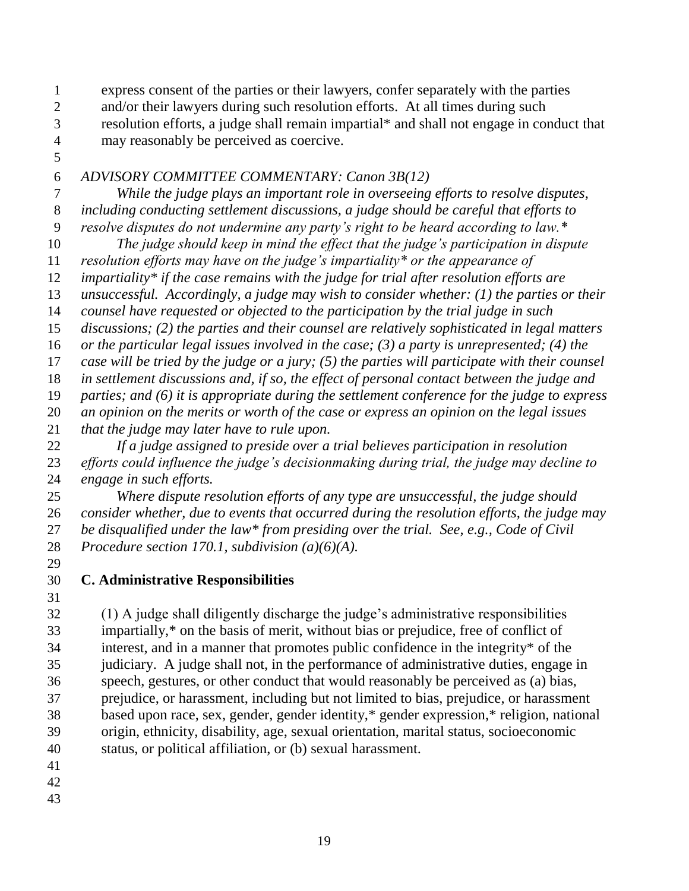- express consent of the parties or their lawyers, confer separately with the parties
- and/or their lawyers during such resolution efforts. At all times during such
- resolution efforts, a judge shall remain impartial\* and shall not engage in conduct that may reasonably be perceived as coercive.
- 
- *ADVISORY COMMITTEE COMMENTARY: Canon 3B(12)*
- *While the judge plays an important role in overseeing efforts to resolve disputes, including conducting settlement discussions, a judge should be careful that efforts to*
- *resolve disputes do not undermine any party's right to be heard according to law.\**
- *The judge should keep in mind the effect that the judge's participation in dispute*
- *resolution efforts may have on the judge's impartiality\* or the appearance of*
- *impartiality\* if the case remains with the judge for trial after resolution efforts are*
- *unsuccessful. Accordingly, a judge may wish to consider whether: (1) the parties or their*
- *counsel have requested or objected to the participation by the trial judge in such*
- *discussions; (2) the parties and their counsel are relatively sophisticated in legal matters*
- *or the particular legal issues involved in the case; (3) a party is unrepresented; (4) the*
- *case will be tried by the judge or a jury; (5) the parties will participate with their counsel*
- *in settlement discussions and, if so, the effect of personal contact between the judge and*
- *parties; and (6) it is appropriate during the settlement conference for the judge to express*
- *an opinion on the merits or worth of the case or express an opinion on the legal issues that the judge may later have to rule upon.*
- *If a judge assigned to preside over a trial believes participation in resolution efforts could influence the judge's decisionmaking during trial, the judge may decline to engage in such efforts.*
- *Where dispute resolution efforts of any type are unsuccessful, the judge should consider whether, due to events that occurred during the resolution efforts, the judge may be disqualified under the law\* from presiding over the trial. See, e.g., Code of Civil Procedure section 170.1, subdivision (a)(6)(A).*
- 

## **C. Administrative Responsibilities**

 (1) A judge shall diligently discharge the judge's administrative responsibilities impartially,\* on the basis of merit, without bias or prejudice, free of conflict of interest, and in a manner that promotes public confidence in the integrity\* of the judiciary. A judge shall not, in the performance of administrative duties, engage in speech, gestures, or other conduct that would reasonably be perceived as (a) bias, prejudice, or harassment, including but not limited to bias, prejudice, or harassment based upon race, sex, gender, gender identity,\* gender expression,\* religion, national origin, ethnicity, disability, age, sexual orientation, marital status, socioeconomic status, or political affiliation, or (b) sexual harassment.

- 
- 
-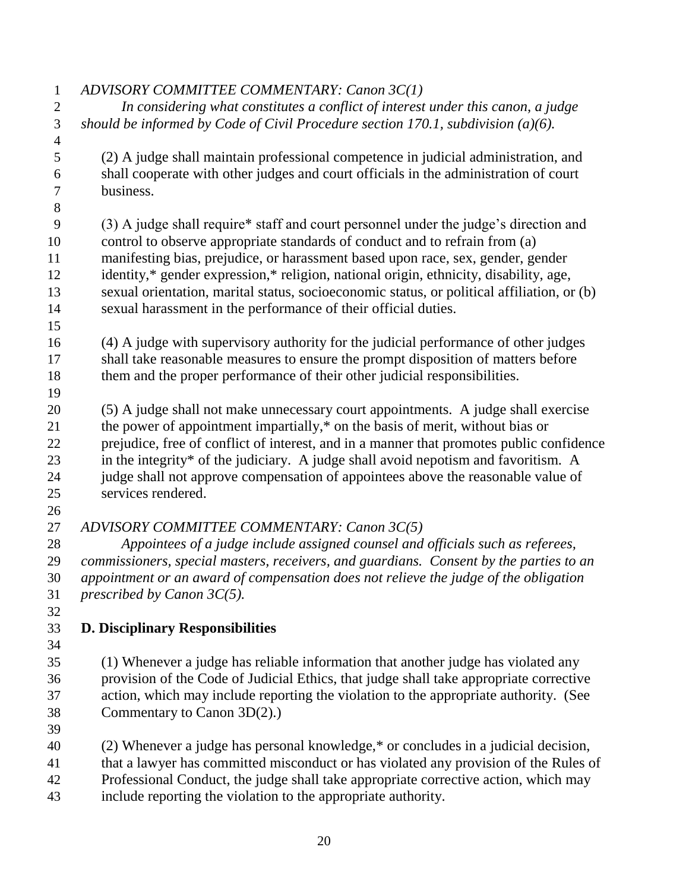*ADVISORY COMMITTEE COMMENTARY: Canon 3C(1) In considering what constitutes a conflict of interest under this canon, a judge should be informed by Code of Civil Procedure section 170.1, subdivision (a)(6).* (2) A judge shall maintain professional competence in judicial administration, and shall cooperate with other judges and court officials in the administration of court business. (3) A judge shall require\* staff and court personnel under the judge's direction and control to observe appropriate standards of conduct and to refrain from (a) manifesting bias, prejudice, or harassment based upon race, sex, gender, gender identity,\* gender expression,\* religion, national origin, ethnicity, disability, age, sexual orientation, marital status, socioeconomic status, or political affiliation, or (b) sexual harassment in the performance of their official duties. (4) A judge with supervisory authority for the judicial performance of other judges shall take reasonable measures to ensure the prompt disposition of matters before them and the proper performance of their other judicial responsibilities. (5) A judge shall not make unnecessary court appointments. A judge shall exercise 21 the power of appointment impartially,<sup>\*</sup> on the basis of merit, without bias or prejudice, free of conflict of interest, and in a manner that promotes public confidence in the integrity\* of the judiciary. A judge shall avoid nepotism and favoritism. A judge shall not approve compensation of appointees above the reasonable value of services rendered. *ADVISORY COMMITTEE COMMENTARY: Canon 3C(5) Appointees of a judge include assigned counsel and officials such as referees, commissioners, special masters, receivers, and guardians. Consent by the parties to an appointment or an award of compensation does not relieve the judge of the obligation prescribed by Canon 3C(5).* **D. Disciplinary Responsibilities** (1) Whenever a judge has reliable information that another judge has violated any provision of the Code of Judicial Ethics, that judge shall take appropriate corrective action, which may include reporting the violation to the appropriate authority. (See Commentary to Canon 3D(2).) (2) Whenever a judge has personal knowledge,\* or concludes in a judicial decision, that a lawyer has committed misconduct or has violated any provision of the Rules of Professional Conduct, the judge shall take appropriate corrective action, which may include reporting the violation to the appropriate authority.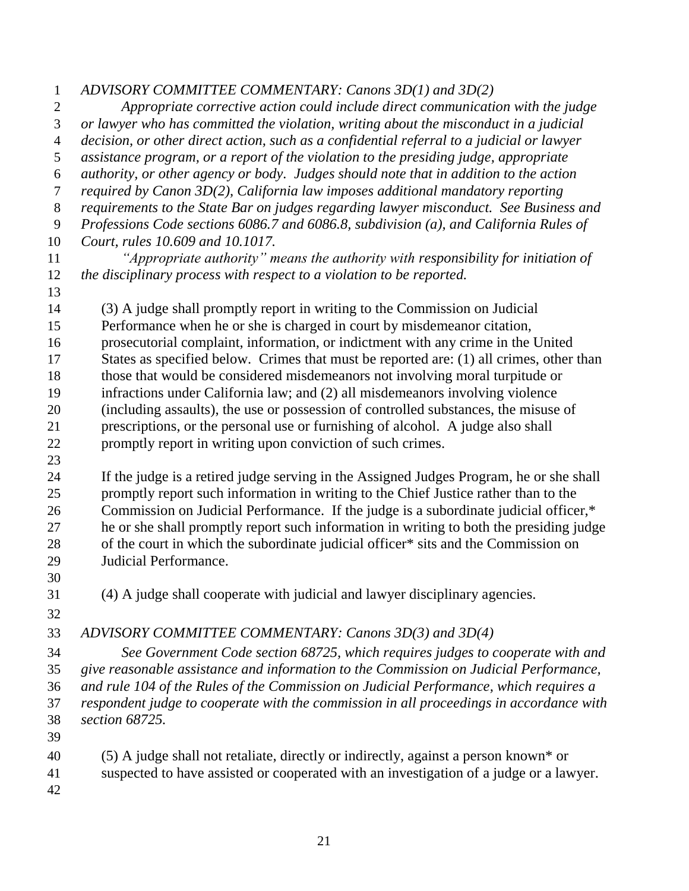*ADVISORY COMMITTEE COMMENTARY: Canons 3D(1) and 3D(2) Appropriate corrective action could include direct communication with the judge or lawyer who has committed the violation, writing about the misconduct in a judicial decision, or other direct action, such as a confidential referral to a judicial or lawyer assistance program, or a report of the violation to the presiding judge, appropriate authority, or other agency or body. Judges should note that in addition to the action required by Canon 3D(2), California law imposes additional mandatory reporting requirements to the State Bar on judges regarding lawyer misconduct. See Business and Professions Code sections 6086.7 and 6086.8, subdivision (a), and California Rules of Court, rules 10.609 and 10.1017. "Appropriate authority" means the authority with responsibility for initiation of the disciplinary process with respect to a violation to be reported.* (3) A judge shall promptly report in writing to the Commission on Judicial Performance when he or she is charged in court by misdemeanor citation, prosecutorial complaint, information, or indictment with any crime in the United States as specified below. Crimes that must be reported are: (1) all crimes, other than those that would be considered misdemeanors not involving moral turpitude or infractions under California law; and (2) all misdemeanors involving violence (including assaults), the use or possession of controlled substances, the misuse of prescriptions, or the personal use or furnishing of alcohol. A judge also shall promptly report in writing upon conviction of such crimes. If the judge is a retired judge serving in the Assigned Judges Program, he or she shall promptly report such information in writing to the Chief Justice rather than to the Commission on Judicial Performance. If the judge is a subordinate judicial officer,\* he or she shall promptly report such information in writing to both the presiding judge of the court in which the subordinate judicial officer\* sits and the Commission on Judicial Performance. (4) A judge shall cooperate with judicial and lawyer disciplinary agencies. *ADVISORY COMMITTEE COMMENTARY: Canons 3D(3) and 3D(4) See Government Code section 68725, which requires judges to cooperate with and give reasonable assistance and information to the Commission on Judicial Performance, and rule 104 of the Rules of the Commission on Judicial Performance, which requires a respondent judge to cooperate with the commission in all proceedings in accordance with section 68725.* (5) A judge shall not retaliate, directly or indirectly, against a person known\* or suspected to have assisted or cooperated with an investigation of a judge or a lawyer.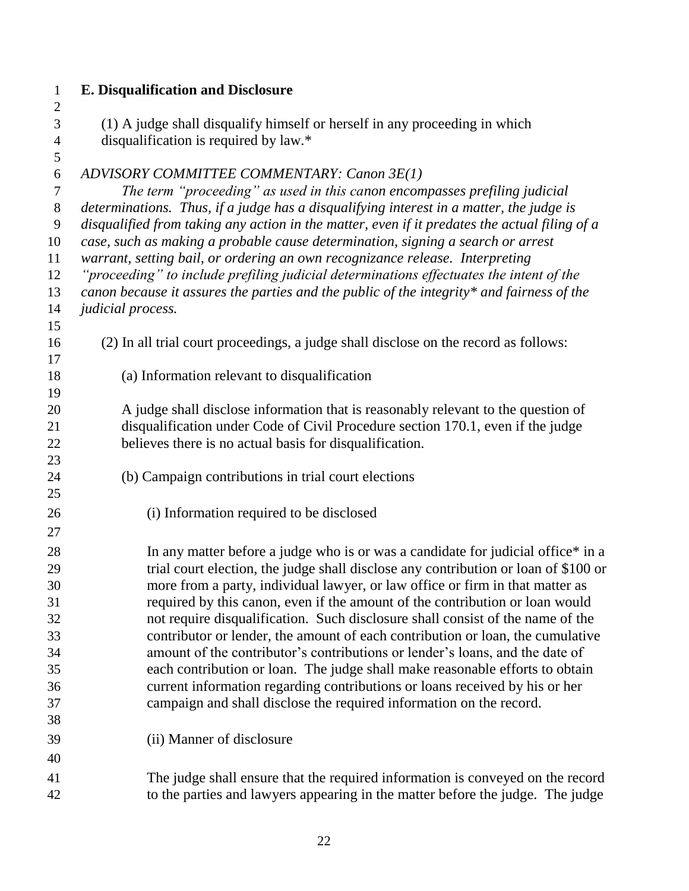| $\mathbf{1}$   | <b>E. Disqualification and Disclosure</b>                                                                                                                                                |  |  |  |
|----------------|------------------------------------------------------------------------------------------------------------------------------------------------------------------------------------------|--|--|--|
| $\overline{2}$ |                                                                                                                                                                                          |  |  |  |
| 3              | (1) A judge shall disqualify himself or herself in any proceeding in which                                                                                                               |  |  |  |
| $\overline{4}$ | disqualification is required by law.*                                                                                                                                                    |  |  |  |
| 5              |                                                                                                                                                                                          |  |  |  |
| 6              | ADVISORY COMMITTEE COMMENTARY: Canon 3E(1)                                                                                                                                               |  |  |  |
| 7              | The term "proceeding" as used in this canon encompasses prefiling judicial                                                                                                               |  |  |  |
| $8\,$<br>9     | determinations. Thus, if a judge has a disqualifying interest in a matter, the judge is<br>disqualified from taking any action in the matter, even if it predates the actual filing of a |  |  |  |
| 10             | case, such as making a probable cause determination, signing a search or arrest                                                                                                          |  |  |  |
| 11             | warrant, setting bail, or ordering an own recognizance release. Interpreting                                                                                                             |  |  |  |
| 12             | "proceeding" to include prefiling judicial determinations effectuates the intent of the                                                                                                  |  |  |  |
| 13             | canon because it assures the parties and the public of the integrity* and fairness of the                                                                                                |  |  |  |
| 14             | <i>judicial process.</i>                                                                                                                                                                 |  |  |  |
| 15             |                                                                                                                                                                                          |  |  |  |
| 16             | (2) In all trial court proceedings, a judge shall disclose on the record as follows:                                                                                                     |  |  |  |
| 17             |                                                                                                                                                                                          |  |  |  |
| 18             | (a) Information relevant to disqualification                                                                                                                                             |  |  |  |
| 19             |                                                                                                                                                                                          |  |  |  |
| 20             | A judge shall disclose information that is reasonably relevant to the question of                                                                                                        |  |  |  |
| 21             | disqualification under Code of Civil Procedure section 170.1, even if the judge                                                                                                          |  |  |  |
| 22             | believes there is no actual basis for disqualification.                                                                                                                                  |  |  |  |
| 23             |                                                                                                                                                                                          |  |  |  |
| 24             | (b) Campaign contributions in trial court elections                                                                                                                                      |  |  |  |
| 25             |                                                                                                                                                                                          |  |  |  |
| 26             | (i) Information required to be disclosed                                                                                                                                                 |  |  |  |
| 27             |                                                                                                                                                                                          |  |  |  |
| 28             | In any matter before a judge who is or was a candidate for judicial office* in a                                                                                                         |  |  |  |
| 29             | trial court election, the judge shall disclose any contribution or loan of \$100 or                                                                                                      |  |  |  |
| 30             | more from a party, individual lawyer, or law office or firm in that matter as                                                                                                            |  |  |  |
| 31             | required by this canon, even if the amount of the contribution or loan would                                                                                                             |  |  |  |
| 32             | not require disqualification. Such disclosure shall consist of the name of the                                                                                                           |  |  |  |
| 33             | contributor or lender, the amount of each contribution or loan, the cumulative                                                                                                           |  |  |  |
| 34             | amount of the contributor's contributions or lender's loans, and the date of                                                                                                             |  |  |  |
| 35             | each contribution or loan. The judge shall make reasonable efforts to obtain                                                                                                             |  |  |  |
| 36             | current information regarding contributions or loans received by his or her                                                                                                              |  |  |  |
| 37<br>38       | campaign and shall disclose the required information on the record.                                                                                                                      |  |  |  |
| 39             | (ii) Manner of disclosure                                                                                                                                                                |  |  |  |
|                |                                                                                                                                                                                          |  |  |  |
| 40             |                                                                                                                                                                                          |  |  |  |
| 41             | The judge shall ensure that the required information is conveyed on the record                                                                                                           |  |  |  |
| 42             | to the parties and lawyers appearing in the matter before the judge. The judge                                                                                                           |  |  |  |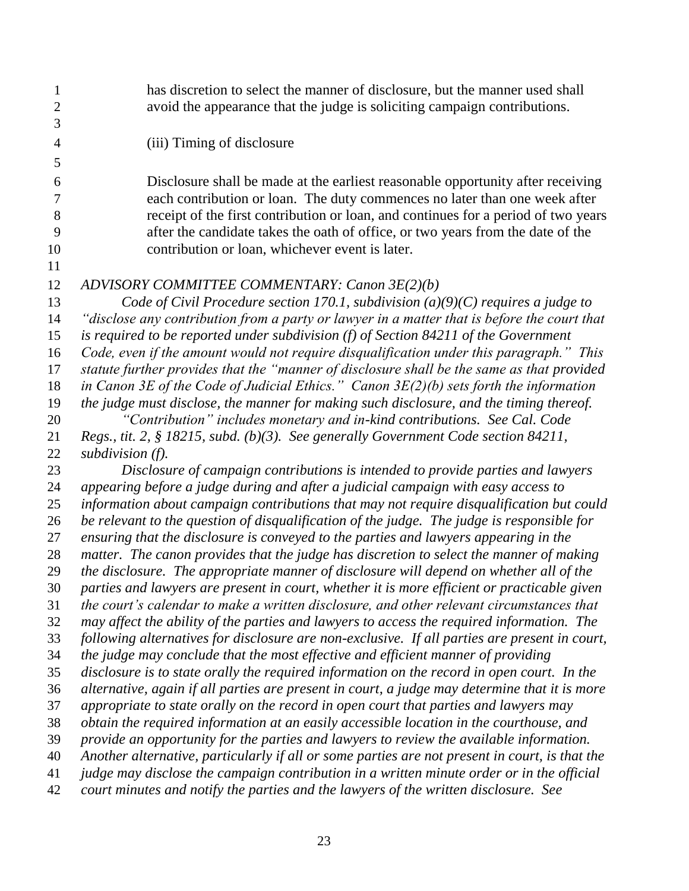| 1<br>$\mathbf{2}$<br>3 | has discretion to select the manner of disclosure, but the manner used shall<br>avoid the appearance that the judge is soliciting campaign contributions.                                                                |  |  |  |
|------------------------|--------------------------------------------------------------------------------------------------------------------------------------------------------------------------------------------------------------------------|--|--|--|
| $\overline{4}$<br>5    | (iii) Timing of disclosure                                                                                                                                                                                               |  |  |  |
| 6<br>$\boldsymbol{7}$  | Disclosure shall be made at the earliest reasonable opportunity after receiving<br>each contribution or loan. The duty commences no later than one week after                                                            |  |  |  |
| $8\,$<br>9<br>10       | receipt of the first contribution or loan, and continues for a period of two years<br>after the candidate takes the oath of office, or two years from the date of the<br>contribution or loan, whichever event is later. |  |  |  |
| 11                     |                                                                                                                                                                                                                          |  |  |  |
| 12                     | ADVISORY COMMITTEE COMMENTARY: Canon 3E(2)(b)                                                                                                                                                                            |  |  |  |
| 13                     | Code of Civil Procedure section 170.1, subdivision $(a)(9)(C)$ requires a judge to                                                                                                                                       |  |  |  |
| 14                     | "disclose any contribution from a party or lawyer in a matter that is before the court that                                                                                                                              |  |  |  |
| 15                     | is required to be reported under subdivision (f) of Section 84211 of the Government                                                                                                                                      |  |  |  |
| 16                     | Code, even if the amount would not require disqualification under this paragraph." This                                                                                                                                  |  |  |  |
| 17                     | statute further provides that the "manner of disclosure shall be the same as that provided                                                                                                                               |  |  |  |
| 18                     | in Canon 3E of the Code of Judicial Ethics." Canon $3E(2)(b)$ sets forth the information                                                                                                                                 |  |  |  |
| 19                     | the judge must disclose, the manner for making such disclosure, and the timing thereof.                                                                                                                                  |  |  |  |
| 20                     | "Contribution" includes monetary and in-kind contributions. See Cal. Code                                                                                                                                                |  |  |  |
| 21                     | Regs., tit. 2, $\S$ 18215, subd. (b)(3). See generally Government Code section 84211,                                                                                                                                    |  |  |  |
| 22                     | subdivision $(f)$ .                                                                                                                                                                                                      |  |  |  |
| 23                     | Disclosure of campaign contributions is intended to provide parties and lawyers                                                                                                                                          |  |  |  |
| 24                     | appearing before a judge during and after a judicial campaign with easy access to                                                                                                                                        |  |  |  |
| 25                     | information about campaign contributions that may not require disqualification but could                                                                                                                                 |  |  |  |
| 26                     | be relevant to the question of disqualification of the judge. The judge is responsible for                                                                                                                               |  |  |  |
| 27                     | ensuring that the disclosure is conveyed to the parties and lawyers appearing in the                                                                                                                                     |  |  |  |
| 28                     | matter. The canon provides that the judge has discretion to select the manner of making                                                                                                                                  |  |  |  |
| 29                     | the disclosure. The appropriate manner of disclosure will depend on whether all of the                                                                                                                                   |  |  |  |
| 30                     | parties and lawyers are present in court, whether it is more efficient or practicable given                                                                                                                              |  |  |  |
| 31                     | the court's calendar to make a written disclosure, and other relevant circumstances that                                                                                                                                 |  |  |  |
| 32                     | may affect the ability of the parties and lawyers to access the required information. The                                                                                                                                |  |  |  |
| 33                     | following alternatives for disclosure are non-exclusive. If all parties are present in court,                                                                                                                            |  |  |  |
| 34                     | the judge may conclude that the most effective and efficient manner of providing                                                                                                                                         |  |  |  |
| 35                     | disclosure is to state orally the required information on the record in open court. In the                                                                                                                               |  |  |  |
| 36                     | alternative, again if all parties are present in court, a judge may determine that it is more                                                                                                                            |  |  |  |
| 37                     | appropriate to state orally on the record in open court that parties and lawyers may                                                                                                                                     |  |  |  |
| 38                     | obtain the required information at an easily accessible location in the courthouse, and                                                                                                                                  |  |  |  |
| 39                     | provide an opportunity for the parties and lawyers to review the available information.                                                                                                                                  |  |  |  |
| 40                     | Another alternative, particularly if all or some parties are not present in court, is that the                                                                                                                           |  |  |  |
| 41                     | judge may disclose the campaign contribution in a written minute order or in the official                                                                                                                                |  |  |  |
| 42                     | court minutes and notify the parties and the lawyers of the written disclosure. See                                                                                                                                      |  |  |  |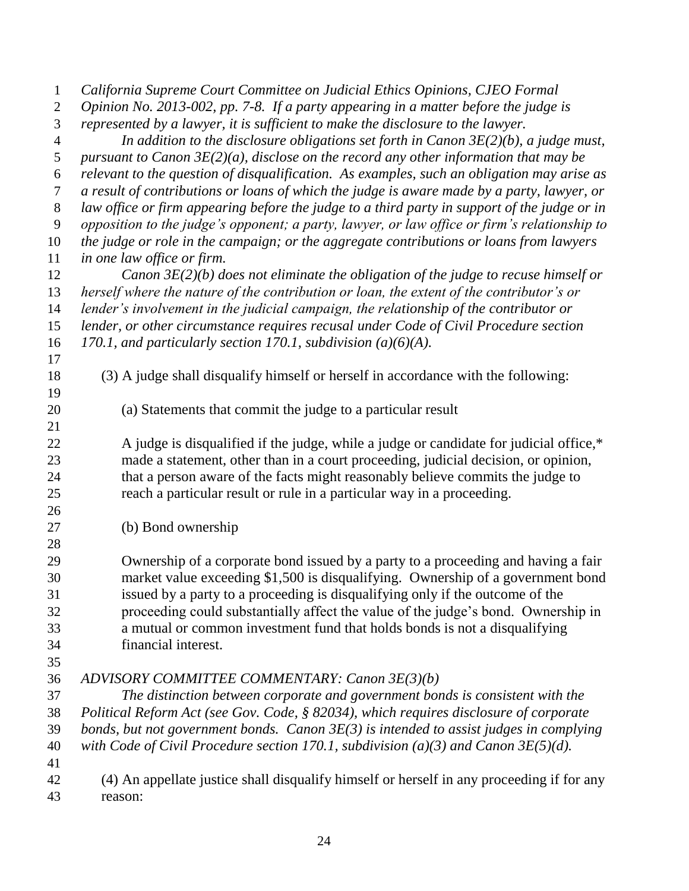*California Supreme Court Committee on Judicial Ethics Opinions, CJEO Formal Opinion No. 2013-002, pp. 7-8. If a party appearing in a matter before the judge is represented by a lawyer, it is sufficient to make the disclosure to the lawyer. In addition to the disclosure obligations set forth in Canon 3E(2)(b), a judge must, pursuant to Canon 3E(2)(a), disclose on the record any other information that may be relevant to the question of disqualification. As examples, such an obligation may arise as a result of contributions or loans of which the judge is aware made by a party, lawyer, or law office or firm appearing before the judge to a third party in support of the judge or in opposition to the judge's opponent; a party, lawyer, or law office or firm's relationship to the judge or role in the campaign; or the aggregate contributions or loans from lawyers in one law office or firm. Canon 3E(2)(b) does not eliminate the obligation of the judge to recuse himself or herself where the nature of the contribution or loan, the extent of the contributor's or lender's involvement in the judicial campaign, the relationship of the contributor or lender, or other circumstance requires recusal under Code of Civil Procedure section 170.1, and particularly section 170.1, subdivision (a)(6)(A).* (3) A judge shall disqualify himself or herself in accordance with the following: (a) Statements that commit the judge to a particular result 22 A judge is disqualified if the judge, while a judge or candidate for judicial office,\* made a statement, other than in a court proceeding, judicial decision, or opinion, that a person aware of the facts might reasonably believe commits the judge to reach a particular result or rule in a particular way in a proceeding. (b) Bond ownership Ownership of a corporate bond issued by a party to a proceeding and having a fair market value exceeding \$1,500 is disqualifying. Ownership of a government bond issued by a party to a proceeding is disqualifying only if the outcome of the proceeding could substantially affect the value of the judge's bond. Ownership in a mutual or common investment fund that holds bonds is not a disqualifying financial interest. *ADVISORY COMMITTEE COMMENTARY: Canon 3E(3)(b) The distinction between corporate and government bonds is consistent with the Political Reform Act (see Gov. Code, § 82034), which requires disclosure of corporate bonds, but not government bonds. Canon 3E(3) is intended to assist judges in complying with Code of Civil Procedure section 170.1, subdivision (a)(3) and Canon 3E(5)(d).* (4) An appellate justice shall disqualify himself or herself in any proceeding if for any reason: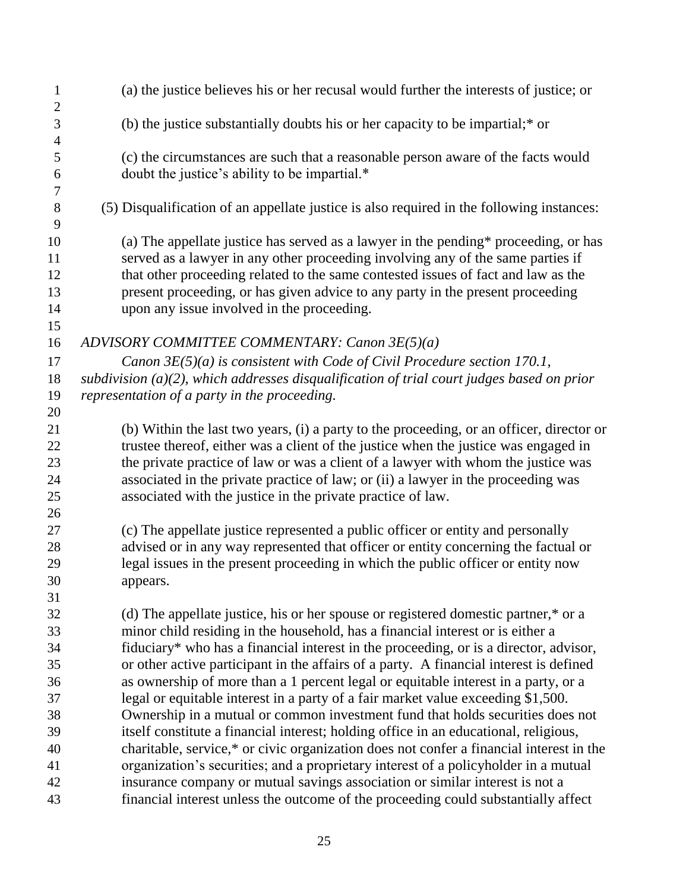| $\mathbf{1}$                       | (a) the justice believes his or her recusal would further the interests of justice; or                                                                               |  |  |  |
|------------------------------------|----------------------------------------------------------------------------------------------------------------------------------------------------------------------|--|--|--|
| $\mathbf{2}$<br>3                  | (b) the justice substantially doubts his or her capacity to be impartial;* or                                                                                        |  |  |  |
| $\overline{\mathcal{A}}$<br>5<br>6 | (c) the circumstances are such that a reasonable person aware of the facts would<br>doubt the justice's ability to be impartial.*                                    |  |  |  |
| 7                                  |                                                                                                                                                                      |  |  |  |
| $8\,$<br>9                         | (5) Disqualification of an appellate justice is also required in the following instances:                                                                            |  |  |  |
| 10                                 | (a) The appellate justice has served as a lawyer in the pending* proceeding, or has                                                                                  |  |  |  |
| 11                                 | served as a lawyer in any other proceeding involving any of the same parties if                                                                                      |  |  |  |
| 12                                 | that other proceeding related to the same contested issues of fact and law as the                                                                                    |  |  |  |
| 13                                 | present proceeding, or has given advice to any party in the present proceeding                                                                                       |  |  |  |
| 14<br>15                           | upon any issue involved in the proceeding.                                                                                                                           |  |  |  |
| 16                                 | ADVISORY COMMITTEE COMMENTARY: Canon 3E(5)(a)                                                                                                                        |  |  |  |
| 17                                 | Canon $3E(5)(a)$ is consistent with Code of Civil Procedure section 170.1,                                                                                           |  |  |  |
| 18                                 | subdivision $(a)(2)$ , which addresses disqualification of trial court judges based on prior                                                                         |  |  |  |
| 19                                 | representation of a party in the proceeding.                                                                                                                         |  |  |  |
| 20                                 |                                                                                                                                                                      |  |  |  |
| 21                                 | (b) Within the last two years, (i) a party to the proceeding, or an officer, director or                                                                             |  |  |  |
| 22                                 | trustee thereof, either was a client of the justice when the justice was engaged in                                                                                  |  |  |  |
| 23                                 | the private practice of law or was a client of a lawyer with whom the justice was                                                                                    |  |  |  |
| 24                                 | associated in the private practice of law; or (ii) a lawyer in the proceeding was                                                                                    |  |  |  |
| 25                                 | associated with the justice in the private practice of law.                                                                                                          |  |  |  |
| 26                                 |                                                                                                                                                                      |  |  |  |
| 27                                 | (c) The appellate justice represented a public officer or entity and personally                                                                                      |  |  |  |
| 28                                 | advised or in any way represented that officer or entity concerning the factual or                                                                                   |  |  |  |
| 29                                 | legal issues in the present proceeding in which the public officer or entity now                                                                                     |  |  |  |
| $30\,$                             | appears.                                                                                                                                                             |  |  |  |
| 31<br>32                           |                                                                                                                                                                      |  |  |  |
| 33                                 | (d) The appellate justice, his or her spouse or registered domestic partner,* or a<br>minor child residing in the household, has a financial interest or is either a |  |  |  |
| 34                                 | fiduciary* who has a financial interest in the proceeding, or is a director, advisor,                                                                                |  |  |  |
| 35                                 | or other active participant in the affairs of a party. A financial interest is defined                                                                               |  |  |  |
| 36                                 | as ownership of more than a 1 percent legal or equitable interest in a party, or a                                                                                   |  |  |  |
| 37                                 | legal or equitable interest in a party of a fair market value exceeding \$1,500.                                                                                     |  |  |  |
| 38                                 | Ownership in a mutual or common investment fund that holds securities does not                                                                                       |  |  |  |
| 39                                 | itself constitute a financial interest; holding office in an educational, religious,                                                                                 |  |  |  |
| 40                                 | charitable, service,* or civic organization does not confer a financial interest in the                                                                              |  |  |  |
| 41                                 | organization's securities; and a proprietary interest of a policyholder in a mutual                                                                                  |  |  |  |
| 42                                 | insurance company or mutual savings association or similar interest is not a                                                                                         |  |  |  |
| 43                                 | financial interest unless the outcome of the proceeding could substantially affect                                                                                   |  |  |  |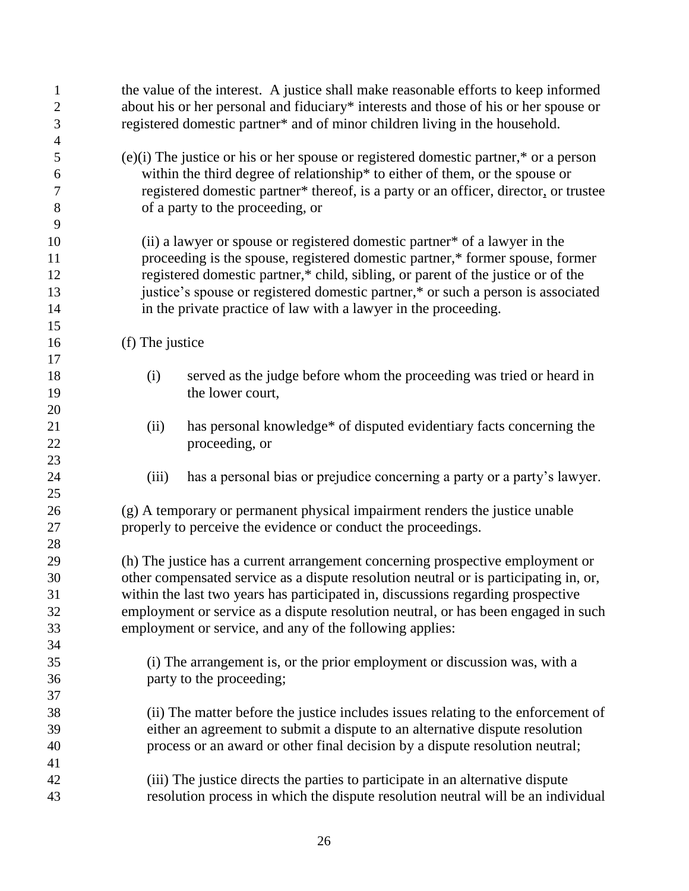| 1<br>$\overline{2}$ | the value of the interest. A justice shall make reasonable efforts to keep informed<br>about his or her personal and fiduciary* interests and those of his or her spouse or |                                                                                       |  |  |
|---------------------|-----------------------------------------------------------------------------------------------------------------------------------------------------------------------------|---------------------------------------------------------------------------------------|--|--|
| 3                   | registered domestic partner* and of minor children living in the household.                                                                                                 |                                                                                       |  |  |
| $\overline{4}$      |                                                                                                                                                                             |                                                                                       |  |  |
| 5<br>6              | $(e)(i)$ The justice or his or her spouse or registered domestic partner,* or a person<br>within the third degree of relationship* to either of them, or the spouse or      |                                                                                       |  |  |
| 7                   | registered domestic partner* thereof, is a party or an officer, director, or trustee                                                                                        |                                                                                       |  |  |
| 8                   | of a party to the proceeding, or                                                                                                                                            |                                                                                       |  |  |
| 9                   |                                                                                                                                                                             |                                                                                       |  |  |
| 10                  |                                                                                                                                                                             | (ii) a lawyer or spouse or registered domestic partner* of a lawyer in the            |  |  |
| 11                  | proceeding is the spouse, registered domestic partner,* former spouse, former                                                                                               |                                                                                       |  |  |
| 12                  | registered domestic partner,* child, sibling, or parent of the justice or of the                                                                                            |                                                                                       |  |  |
| 13                  | justice's spouse or registered domestic partner,* or such a person is associated                                                                                            |                                                                                       |  |  |
| 14                  | in the private practice of law with a lawyer in the proceeding.                                                                                                             |                                                                                       |  |  |
| 15                  |                                                                                                                                                                             |                                                                                       |  |  |
| 16                  | (f) The justice                                                                                                                                                             |                                                                                       |  |  |
| 17                  |                                                                                                                                                                             |                                                                                       |  |  |
| 18                  | (i)                                                                                                                                                                         | served as the judge before whom the proceeding was tried or heard in                  |  |  |
| 19                  |                                                                                                                                                                             | the lower court,                                                                      |  |  |
| 20                  |                                                                                                                                                                             |                                                                                       |  |  |
| 21                  | (ii)                                                                                                                                                                        | has personal knowledge* of disputed evidentiary facts concerning the                  |  |  |
| 22                  |                                                                                                                                                                             | proceeding, or                                                                        |  |  |
| 23                  |                                                                                                                                                                             |                                                                                       |  |  |
| 24                  | (iii)                                                                                                                                                                       | has a personal bias or prejudice concerning a party or a party's lawyer.              |  |  |
| 25                  |                                                                                                                                                                             |                                                                                       |  |  |
| 26                  |                                                                                                                                                                             | (g) A temporary or permanent physical impairment renders the justice unable           |  |  |
| 27                  | properly to perceive the evidence or conduct the proceedings.                                                                                                               |                                                                                       |  |  |
| 28                  |                                                                                                                                                                             |                                                                                       |  |  |
| 29                  |                                                                                                                                                                             | (h) The justice has a current arrangement concerning prospective employment or        |  |  |
| 30                  |                                                                                                                                                                             | other compensated service as a dispute resolution neutral or is participating in, or, |  |  |
| 31                  | within the last two years has participated in, discussions regarding prospective                                                                                            |                                                                                       |  |  |
| 32                  |                                                                                                                                                                             | employment or service as a dispute resolution neutral, or has been engaged in such    |  |  |
| 33                  |                                                                                                                                                                             | employment or service, and any of the following applies:                              |  |  |
| 34                  |                                                                                                                                                                             |                                                                                       |  |  |
| 35                  |                                                                                                                                                                             | (i) The arrangement is, or the prior employment or discussion was, with a             |  |  |
| 36                  |                                                                                                                                                                             | party to the proceeding;                                                              |  |  |
| 37                  |                                                                                                                                                                             |                                                                                       |  |  |
| 38                  | (ii) The matter before the justice includes issues relating to the enforcement of                                                                                           |                                                                                       |  |  |
| 39                  |                                                                                                                                                                             | either an agreement to submit a dispute to an alternative dispute resolution          |  |  |
| 40                  |                                                                                                                                                                             | process or an award or other final decision by a dispute resolution neutral;          |  |  |
| 41                  |                                                                                                                                                                             |                                                                                       |  |  |
| 42                  |                                                                                                                                                                             | (iii) The justice directs the parties to participate in an alternative dispute        |  |  |
| 43                  |                                                                                                                                                                             | resolution process in which the dispute resolution neutral will be an individual      |  |  |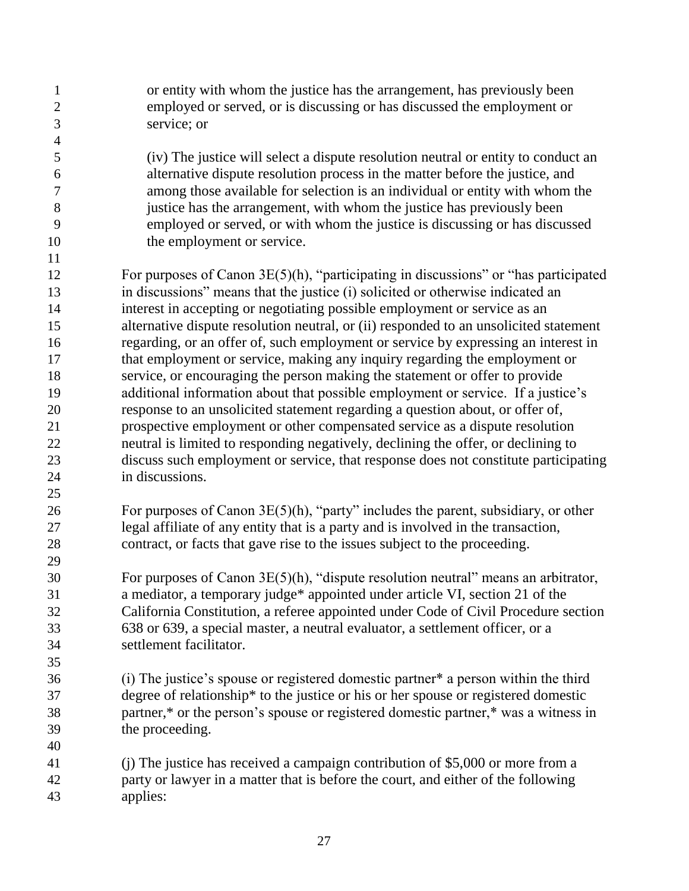or entity with whom the justice has the arrangement, has previously been employed or served, or is discussing or has discussed the employment or service; or (iv) The justice will select a dispute resolution neutral or entity to conduct an alternative dispute resolution process in the matter before the justice, and among those available for selection is an individual or entity with whom the justice has the arrangement, with whom the justice has previously been employed or served, or with whom the justice is discussing or has discussed 10 the employment or service. For purposes of Canon 3E(5)(h), "participating in discussions" or "has participated in discussions" means that the justice (i) solicited or otherwise indicated an interest in accepting or negotiating possible employment or service as an alternative dispute resolution neutral, or (ii) responded to an unsolicited statement regarding, or an offer of, such employment or service by expressing an interest in that employment or service, making any inquiry regarding the employment or service, or encouraging the person making the statement or offer to provide additional information about that possible employment or service. If a justice's response to an unsolicited statement regarding a question about, or offer of, prospective employment or other compensated service as a dispute resolution neutral is limited to responding negatively, declining the offer, or declining to discuss such employment or service, that response does not constitute participating in discussions. For purposes of Canon 3E(5)(h), "party" includes the parent, subsidiary, or other legal affiliate of any entity that is a party and is involved in the transaction, contract, or facts that gave rise to the issues subject to the proceeding. For purposes of Canon 3E(5)(h), "dispute resolution neutral" means an arbitrator, a mediator, a temporary judge\* appointed under article VI, section 21 of the California Constitution, a referee appointed under Code of Civil Procedure section 638 or 639, a special master, a neutral evaluator, a settlement officer, or a settlement facilitator. (i) The justice's spouse or registered domestic partner\* a person within the third degree of relationship\* to the justice or his or her spouse or registered domestic partner,\* or the person's spouse or registered domestic partner,\* was a witness in the proceeding. (j) The justice has received a campaign contribution of \$5,000 or more from a party or lawyer in a matter that is before the court, and either of the following applies: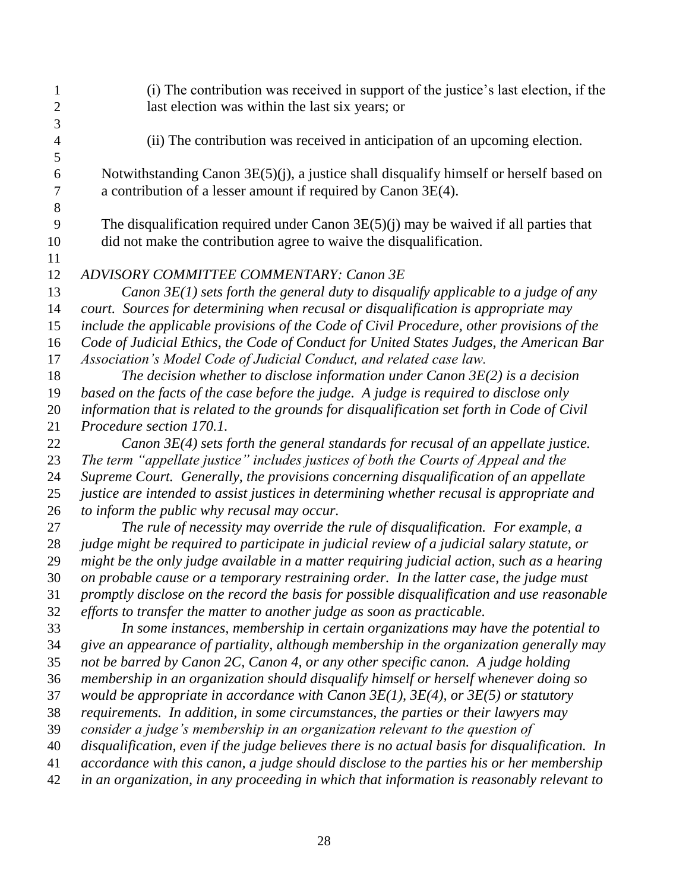| $\mathbf{1}$<br>$\overline{c}$ | (i) The contribution was received in support of the justice's last election, if the<br>last election was within the last six years; or |
|--------------------------------|----------------------------------------------------------------------------------------------------------------------------------------|
| $\overline{3}$                 |                                                                                                                                        |
| $\overline{4}$                 | (ii) The contribution was received in anticipation of an upcoming election.                                                            |
| 5                              |                                                                                                                                        |
| 6                              | Notwithstanding Canon $3E(5)(j)$ , a justice shall disqualify himself or herself based on                                              |
| $\tau$                         | a contribution of a lesser amount if required by Canon $3E(4)$ .                                                                       |
| $8\,$                          |                                                                                                                                        |
| 9                              | The disqualification required under Canon $3E(5)(j)$ may be waived if all parties that                                                 |
| 10                             | did not make the contribution agree to waive the disqualification.                                                                     |
| 11                             |                                                                                                                                        |
| 12                             | <b>ADVISORY COMMITTEE COMMENTARY: Canon 3E</b>                                                                                         |
| 13                             | Canon $3E(1)$ sets forth the general duty to disqualify applicable to a judge of any                                                   |
| 14                             | court. Sources for determining when recusal or disqualification is appropriate may                                                     |
| 15                             | include the applicable provisions of the Code of Civil Procedure, other provisions of the                                              |
| 16                             | Code of Judicial Ethics, the Code of Conduct for United States Judges, the American Bar                                                |
| 17                             | Association's Model Code of Judicial Conduct, and related case law.                                                                    |
| 18                             | The decision whether to disclose information under Canon $3E(2)$ is a decision                                                         |
| 19                             | based on the facts of the case before the judge. A judge is required to disclose only                                                  |
| 20                             | information that is related to the grounds for disqualification set forth in Code of Civil                                             |
| 21                             | Procedure section 170.1.                                                                                                               |
| 22                             | Canon $3E(4)$ sets forth the general standards for recusal of an appellate justice.                                                    |
| 23                             | The term "appellate justice" includes justices of both the Courts of Appeal and the                                                    |
| 24                             | Supreme Court. Generally, the provisions concerning disqualification of an appellate                                                   |
| 25                             | justice are intended to assist justices in determining whether recusal is appropriate and                                              |
| 26                             | to inform the public why recusal may occur.                                                                                            |
| 27                             | The rule of necessity may override the rule of disqualification. For example, a                                                        |
| 28                             | judge might be required to participate in judicial review of a judicial salary statute, or                                             |
| 29                             | might be the only judge available in a matter requiring judicial action, such as a hearing                                             |
| 30                             | on probable cause or a temporary restraining order. In the latter case, the judge must                                                 |
| 31                             | promptly disclose on the record the basis for possible disqualification and use reasonable                                             |
| 32                             | efforts to transfer the matter to another judge as soon as practicable.                                                                |
| 33                             | In some instances, membership in certain organizations may have the potential to                                                       |
| 34                             | give an appearance of partiality, although membership in the organization generally may                                                |
| 35                             | not be barred by Canon 2C, Canon 4, or any other specific canon. A judge holding                                                       |
| 36                             | membership in an organization should disqualify himself or herself whenever doing so                                                   |
| 37                             | would be appropriate in accordance with Canon $3E(1)$ , $3E(4)$ , or $3E(5)$ or statutory                                              |
| 38                             | requirements. In addition, in some circumstances, the parties or their lawyers may                                                     |
| 39                             | consider a judge's membership in an organization relevant to the question of                                                           |
| 40                             | disqualification, even if the judge believes there is no actual basis for disqualification. In                                         |
| 41                             | accordance with this canon, a judge should disclose to the parties his or her membership                                               |
| 42                             | in an organization, in any proceeding in which that information is reasonably relevant to                                              |
|                                |                                                                                                                                        |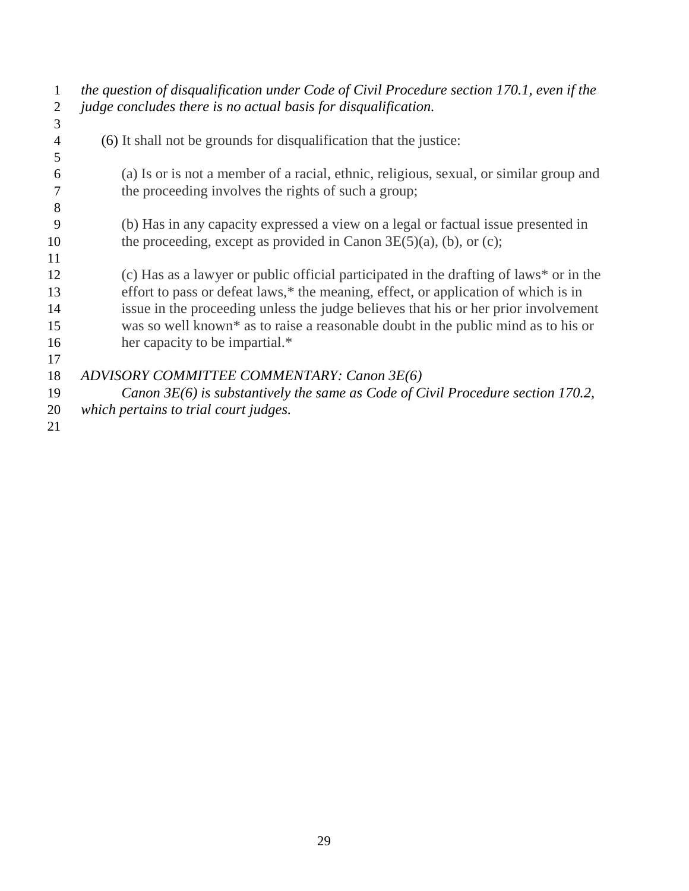*the question of disqualification under Code of Civil Procedure section 170.1, even if the judge concludes there is no actual basis for disqualification.*

- (6) It shall not be grounds for disqualification that the justice: (a) Is or is not a member of a racial, ethnic, religious, sexual, or similar group and the proceeding involves the rights of such a group; (b) Has in any capacity expressed a view on a legal or factual issue presented in 10 the proceeding, except as provided in Canon  $3E(5)(a)$ , (b), or (c); (c) Has as a lawyer or public official participated in the drafting of laws\* or in the effort to pass or defeat laws,\* the meaning, effect, or application of which is in issue in the proceeding unless the judge believes that his or her prior involvement was so well known\* as to raise a reasonable doubt in the public mind as to his or 16 her capacity to be impartial.\* *ADVISORY COMMITTEE COMMENTARY: Canon 3E(6) Canon 3E(6) is substantively the same as Code of Civil Procedure section 170.2, which pertains to trial court judges.*
-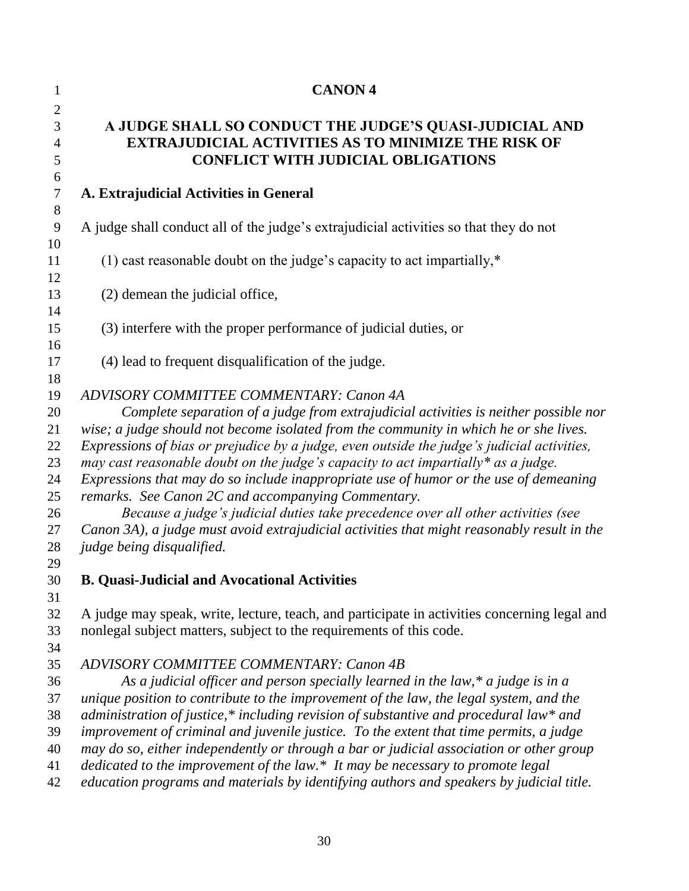| $\mathbf{1}$                                                   | <b>CANON 4</b>                                                                                                                                                                                                                                                                                                                                                                                                                                                                                                                                                                                                                                                                                                                                                                   |
|----------------------------------------------------------------|----------------------------------------------------------------------------------------------------------------------------------------------------------------------------------------------------------------------------------------------------------------------------------------------------------------------------------------------------------------------------------------------------------------------------------------------------------------------------------------------------------------------------------------------------------------------------------------------------------------------------------------------------------------------------------------------------------------------------------------------------------------------------------|
| $\overline{2}$<br>3<br>$\overline{4}$<br>5<br>$\boldsymbol{6}$ | A JUDGE SHALL SO CONDUCT THE JUDGE'S QUASI-JUDICIAL AND<br><b>EXTRAJUDICIAL ACTIVITIES AS TO MINIMIZE THE RISK OF</b><br><b>CONFLICT WITH JUDICIAL OBLIGATIONS</b>                                                                                                                                                                                                                                                                                                                                                                                                                                                                                                                                                                                                               |
| $\boldsymbol{7}$                                               | A. Extrajudicial Activities in General                                                                                                                                                                                                                                                                                                                                                                                                                                                                                                                                                                                                                                                                                                                                           |
| 8<br>$\overline{9}$<br>10                                      | A judge shall conduct all of the judge's extrajudicial activities so that they do not                                                                                                                                                                                                                                                                                                                                                                                                                                                                                                                                                                                                                                                                                            |
| 11<br>12                                                       | (1) cast reasonable doubt on the judge's capacity to act impartially, $*$                                                                                                                                                                                                                                                                                                                                                                                                                                                                                                                                                                                                                                                                                                        |
| 13<br>14                                                       | (2) demean the judicial office,                                                                                                                                                                                                                                                                                                                                                                                                                                                                                                                                                                                                                                                                                                                                                  |
| 15<br>16                                                       | (3) interfere with the proper performance of judicial duties, or                                                                                                                                                                                                                                                                                                                                                                                                                                                                                                                                                                                                                                                                                                                 |
| 17<br>18                                                       | (4) lead to frequent disqualification of the judge.                                                                                                                                                                                                                                                                                                                                                                                                                                                                                                                                                                                                                                                                                                                              |
| 19<br>20<br>21<br>22<br>23<br>24<br>25<br>26<br>27<br>28<br>29 | <b>ADVISORY COMMITTEE COMMENTARY: Canon 4A</b><br>Complete separation of a judge from extrajudicial activities is neither possible nor<br>wise; a judge should not become isolated from the community in which he or she lives.<br>Expressions of bias or prejudice by a judge, even outside the judge's judicial activities,<br>may cast reasonable doubt on the judge's capacity to act impartially* as a judge.<br>Expressions that may do so include inappropriate use of humor or the use of demeaning<br>remarks. See Canon 2C and accompanying Commentary.<br>Because a judge's judicial duties take precedence over all other activities (see<br>Canon 3A), a judge must avoid extrajudicial activities that might reasonably result in the<br>judge being disqualified. |
| 30<br>31                                                       | <b>B. Quasi-Judicial and Avocational Activities</b>                                                                                                                                                                                                                                                                                                                                                                                                                                                                                                                                                                                                                                                                                                                              |
| 32<br>33<br>34                                                 | A judge may speak, write, lecture, teach, and participate in activities concerning legal and<br>nonlegal subject matters, subject to the requirements of this code.                                                                                                                                                                                                                                                                                                                                                                                                                                                                                                                                                                                                              |
| 35<br>36                                                       | <b>ADVISORY COMMITTEE COMMENTARY: Canon 4B</b><br>As a judicial officer and person specially learned in the law, $*$ a judge is in a                                                                                                                                                                                                                                                                                                                                                                                                                                                                                                                                                                                                                                             |
| 37<br>38<br>39<br>40<br>41<br>42                               | unique position to contribute to the improvement of the law, the legal system, and the<br>administration of justice,* including revision of substantive and procedural law* and<br>improvement of criminal and juvenile justice. To the extent that time permits, a judge<br>may do so, either independently or through a bar or judicial association or other group<br>dedicated to the improvement of the law.* It may be necessary to promote legal<br>education programs and materials by identifying authors and speakers by judicial title.                                                                                                                                                                                                                                |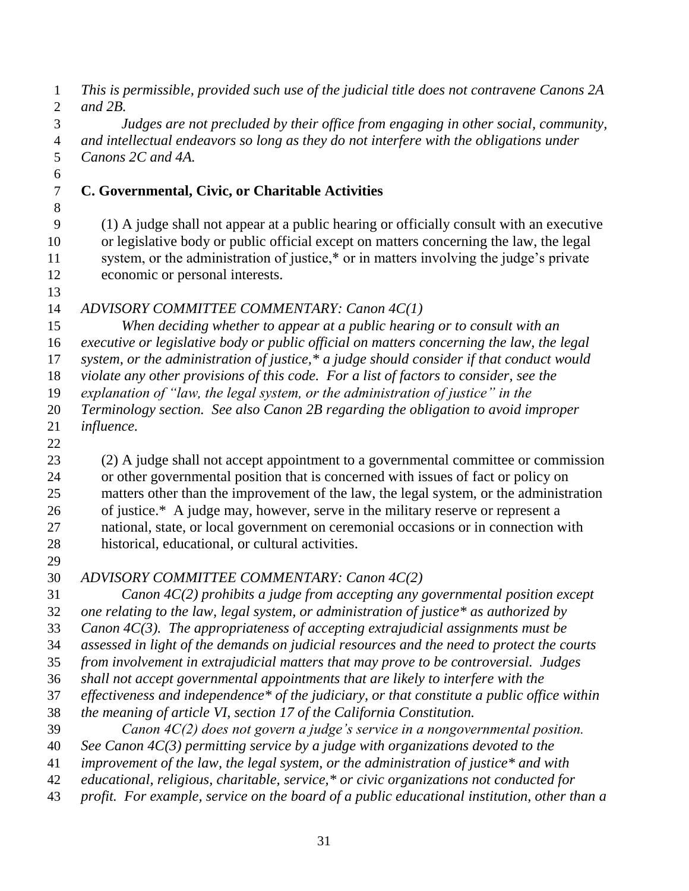*This is permissible, provided such use of the judicial title does not contravene Canons 2A and 2B. Judges are not precluded by their office from engaging in other social, community, and intellectual endeavors so long as they do not interfere with the obligations under Canons 2C and 4A.*  **C. Governmental, Civic, or Charitable Activities**  (1) A judge shall not appear at a public hearing or officially consult with an executive or legislative body or public official except on matters concerning the law, the legal system, or the administration of justice,\* or in matters involving the judge's private economic or personal interests. *ADVISORY COMMITTEE COMMENTARY: Canon 4C(1) When deciding whether to appear at a public hearing or to consult with an executive or legislative body or public official on matters concerning the law, the legal system, or the administration of justice,\* a judge should consider if that conduct would violate any other provisions of this code. For a list of factors to consider, see the explanation of "law, the legal system, or the administration of justice" in the Terminology section. See also Canon 2B regarding the obligation to avoid improper influence.* (2) A judge shall not accept appointment to a governmental committee or commission or other governmental position that is concerned with issues of fact or policy on matters other than the improvement of the law, the legal system, or the administration of justice.\* A judge may, however, serve in the military reserve or represent a national, state, or local government on ceremonial occasions or in connection with historical, educational, or cultural activities. *ADVISORY COMMITTEE COMMENTARY: Canon 4C(2) Canon 4C(2) prohibits a judge from accepting any governmental position except one relating to the law, legal system, or administration of justice\* as authorized by Canon 4C(3). The appropriateness of accepting extrajudicial assignments must be assessed in light of the demands on judicial resources and the need to protect the courts from involvement in extrajudicial matters that may prove to be controversial. Judges shall not accept governmental appointments that are likely to interfere with the effectiveness and independence\* of the judiciary, or that constitute a public office within the meaning of article VI, section 17 of the California Constitution. Canon 4C(2) does not govern a judge's service in a nongovernmental position. See Canon 4C(3) permitting service by a judge with organizations devoted to the improvement of the law, the legal system, or the administration of justice\* and with educational, religious, charitable, service,\* or civic organizations not conducted for profit. For example, service on the board of a public educational institution, other than a*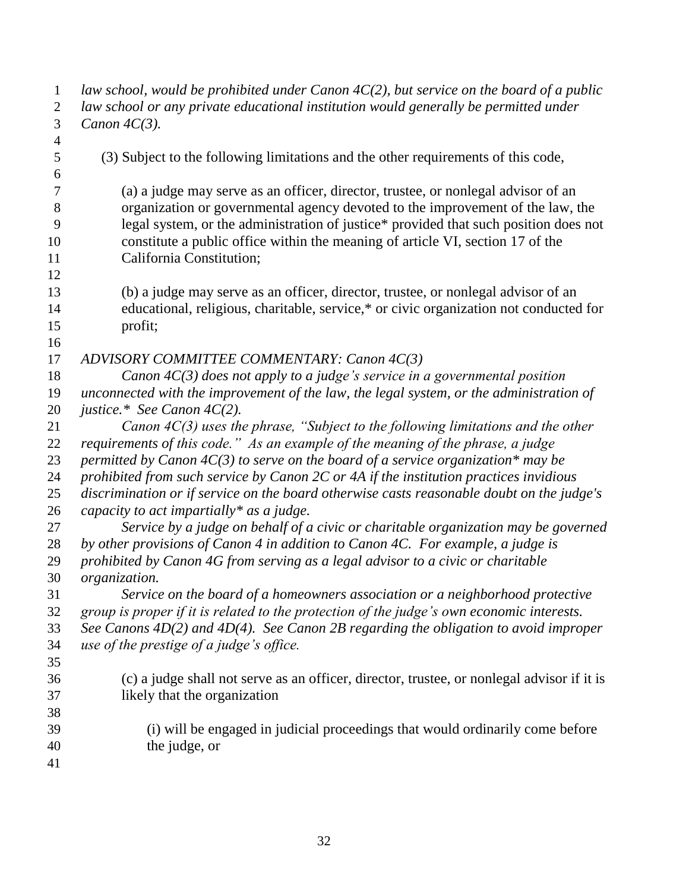*law school, would be prohibited under Canon 4C(2), but service on the board of a public law school or any private educational institution would generally be permitted under Canon 4C(3).*  (3) Subject to the following limitations and the other requirements of this code, (a) a judge may serve as an officer, director, trustee, or nonlegal advisor of an organization or governmental agency devoted to the improvement of the law, the legal system, or the administration of justice\* provided that such position does not constitute a public office within the meaning of article VI, section 17 of the California Constitution; (b) a judge may serve as an officer, director, trustee, or nonlegal advisor of an educational, religious, charitable, service,\* or civic organization not conducted for profit; *ADVISORY COMMITTEE COMMENTARY: Canon 4C(3) Canon 4C(3) does not apply to a judge's service in a governmental position unconnected with the improvement of the law, the legal system, or the administration of justice.\* See Canon 4C(2). Canon 4C(3) uses the phrase, "Subject to the following limitations and the other requirements of this code." As an example of the meaning of the phrase, a judge permitted by Canon 4C(3) to serve on the board of a service organization\* may be prohibited from such service by Canon 2C or 4A if the institution practices invidious discrimination or if service on the board otherwise casts reasonable doubt on the judge's capacity to act impartially\* as a judge. Service by a judge on behalf of a civic or charitable organization may be governed by other provisions of Canon 4 in addition to Canon 4C. For example, a judge is prohibited by Canon 4G from serving as a legal advisor to a civic or charitable organization. Service on the board of a homeowners association or a neighborhood protective group is proper if it is related to the protection of the judge's own economic interests. See Canons 4D(2) and 4D(4). See Canon 2B regarding the obligation to avoid improper use of the prestige of a judge's office.*  (c) a judge shall not serve as an officer, director, trustee, or nonlegal advisor if it is likely that the organization (i) will be engaged in judicial proceedings that would ordinarily come before the judge, or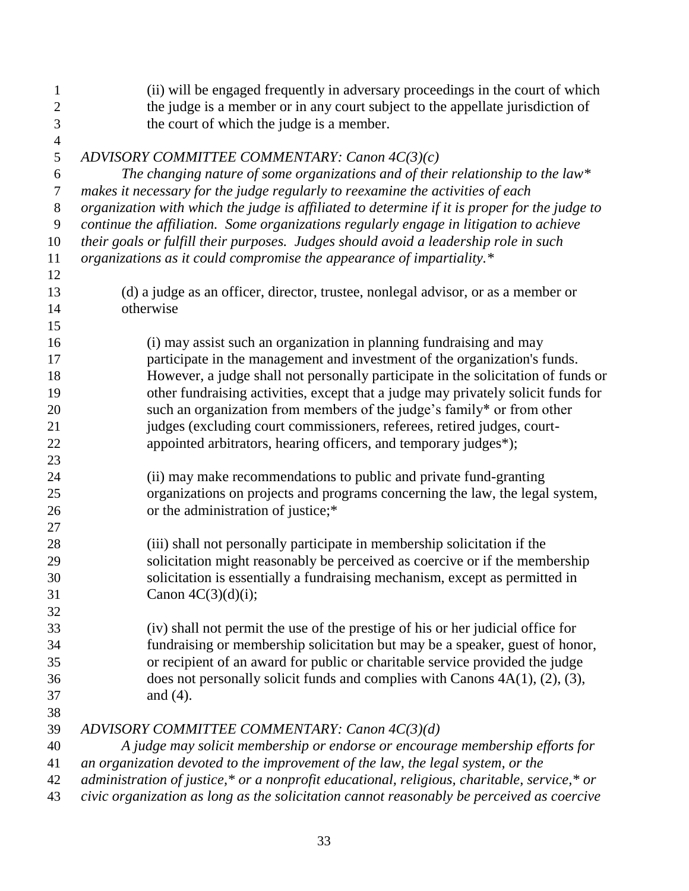| $\mathbf{1}$     | (ii) will be engaged frequently in adversary proceedings in the court of which                |
|------------------|-----------------------------------------------------------------------------------------------|
| $\overline{2}$   | the judge is a member or in any court subject to the appellate jurisdiction of                |
| 3                | the court of which the judge is a member.                                                     |
| $\overline{4}$   |                                                                                               |
| 5                | ADVISORY COMMITTEE COMMENTARY: Canon 4C(3)(c)                                                 |
| 6                | The changing nature of some organizations and of their relationship to the law*               |
| $\boldsymbol{7}$ | makes it necessary for the judge regularly to reexamine the activities of each                |
| $8\,$            | organization with which the judge is affiliated to determine if it is proper for the judge to |
| $\overline{9}$   | continue the affiliation. Some organizations regularly engage in litigation to achieve        |
| 10               | their goals or fulfill their purposes. Judges should avoid a leadership role in such          |
| 11               | organizations as it could compromise the appearance of impartiality.*                         |
| 12               |                                                                                               |
| 13               | (d) a judge as an officer, director, trustee, nonlegal advisor, or as a member or             |
| 14               | otherwise                                                                                     |
| 15               |                                                                                               |
| 16               | (i) may assist such an organization in planning fundraising and may                           |
| 17               | participate in the management and investment of the organization's funds.                     |
| 18               | However, a judge shall not personally participate in the solicitation of funds or             |
| 19               | other fundraising activities, except that a judge may privately solicit funds for             |
| 20               | such an organization from members of the judge's family* or from other                        |
| 21               | judges (excluding court commissioners, referees, retired judges, court-                       |
| 22               | appointed arbitrators, hearing officers, and temporary judges*);                              |
| 23               |                                                                                               |
| 24               | (ii) may make recommendations to public and private fund-granting                             |
| 25               | organizations on projects and programs concerning the law, the legal system,                  |
| 26               | or the administration of justice;*                                                            |
| 27               |                                                                                               |
| 28               | (iii) shall not personally participate in membership solicitation if the                      |
| 29               | solicitation might reasonably be perceived as coercive or if the membership                   |
| 30               | solicitation is essentially a fundraising mechanism, except as permitted in                   |
| 31               | Canon $4C(3)(d)(i)$ ;                                                                         |
| 32               |                                                                                               |
| 33               | (iv) shall not permit the use of the prestige of his or her judicial office for               |
| 34               | fundraising or membership solicitation but may be a speaker, guest of honor,                  |
| 35               | or recipient of an award for public or charitable service provided the judge                  |
| 36               | does not personally solicit funds and complies with Canons $4A(1)$ , $(2)$ , $(3)$ ,          |
| 37               | and $(4)$ .                                                                                   |
| 38               |                                                                                               |
| 39               | ADVISORY COMMITTEE COMMENTARY: Canon 4C(3)(d)                                                 |
| 40               | A judge may solicit membership or endorse or encourage membership efforts for                 |
| 41               | an organization devoted to the improvement of the law, the legal system, or the               |
| 42               | administration of justice,* or a nonprofit educational, religious, charitable, service,* or   |
| 43               | civic organization as long as the solicitation cannot reasonably be perceived as coercive     |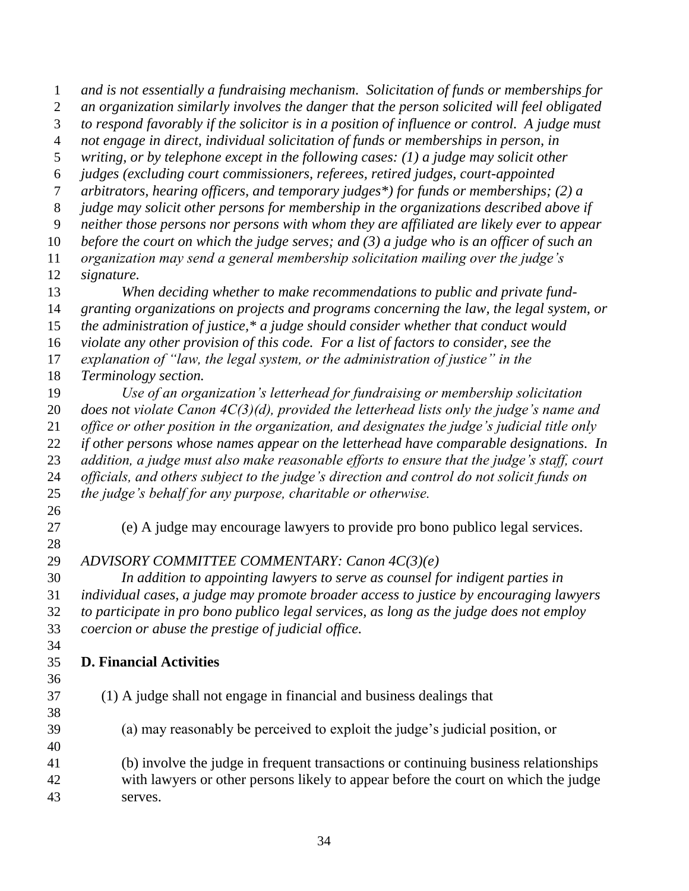*and is not essentially a fundraising mechanism. Solicitation of funds or memberships for an organization similarly involves the danger that the person solicited will feel obligated to respond favorably if the solicitor is in a position of influence or control. A judge must not engage in direct, individual solicitation of funds or memberships in person, in writing, or by telephone except in the following cases: (1) a judge may solicit other judges (excluding court commissioners, referees, retired judges, court-appointed arbitrators, hearing officers, and temporary judges\*) for funds or memberships; (2) a judge may solicit other persons for membership in the organizations described above if neither those persons nor persons with whom they are affiliated are likely ever to appear before the court on which the judge serves; and (3) a judge who is an officer of such an organization may send a general membership solicitation mailing over the judge's signature. When deciding whether to make recommendations to public and private fund- granting organizations on projects and programs concerning the law, the legal system, or the administration of justice,\* a judge should consider whether that conduct would violate any other provision of this code. For a list of factors to consider, see the explanation of "law, the legal system, or the administration of justice" in the Terminology section. Use of an organization's letterhead for fundraising or membership solicitation does not violate Canon 4C(3)(d), provided the letterhead lists only the judge's name and office or other position in the organization, and designates the judge's judicial title only if other persons whose names appear on the letterhead have comparable designations. In addition, a judge must also make reasonable efforts to ensure that the judge's staff, court officials, and others subject to the judge's direction and control do not solicit funds on the judge's behalf for any purpose, charitable or otherwise.*  (e) A judge may encourage lawyers to provide pro bono publico legal services. *ADVISORY COMMITTEE COMMENTARY: Canon 4C(3)(e) In addition to appointing lawyers to serve as counsel for indigent parties in individual cases, a judge may promote broader access to justice by encouraging lawyers to participate in pro bono publico legal services, as long as the judge does not employ coercion or abuse the prestige of judicial office.* **D. Financial Activities**  (1) A judge shall not engage in financial and business dealings that (a) may reasonably be perceived to exploit the judge's judicial position, or (b) involve the judge in frequent transactions or continuing business relationships with lawyers or other persons likely to appear before the court on which the judge serves.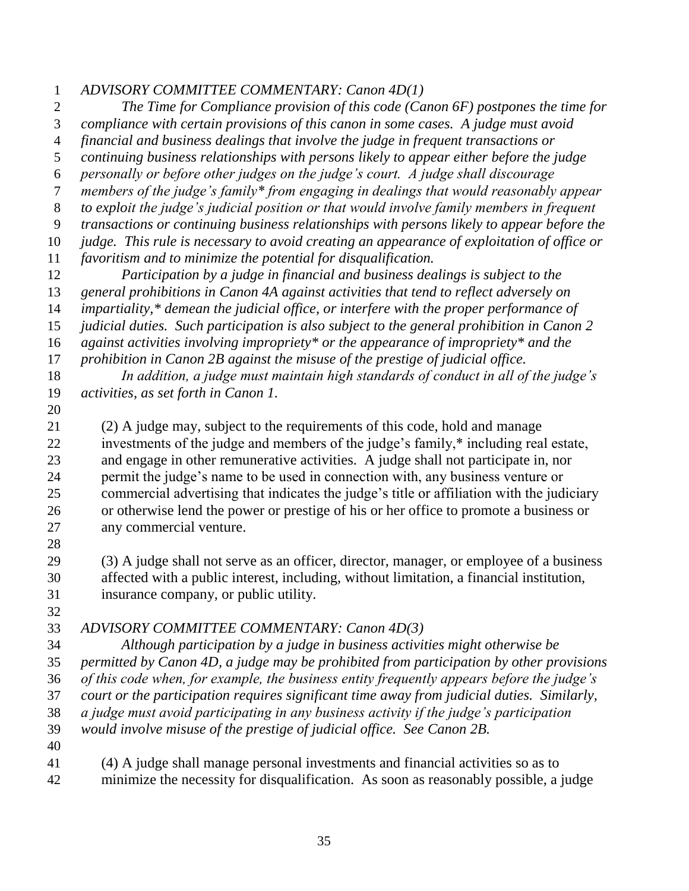#### *ADVISORY COMMITTEE COMMENTARY: Canon 4D(1)*

 *The Time for Compliance provision of this code (Canon 6F) postpones the time for compliance with certain provisions of this canon in some cases. A judge must avoid financial and business dealings that involve the judge in frequent transactions or continuing business relationships with persons likely to appear either before the judge personally or before other judges on the judge's court. A judge shall discourage members of the judge's family\* from engaging in dealings that would reasonably appear to exploit the judge's judicial position or that would involve family members in frequent transactions or continuing business relationships with persons likely to appear before the judge. This rule is necessary to avoid creating an appearance of exploitation of office or favoritism and to minimize the potential for disqualification. Participation by a judge in financial and business dealings is subject to the general prohibitions in Canon 4A against activities that tend to reflect adversely on impartiality,\* demean the judicial office, or interfere with the proper performance of judicial duties. Such participation is also subject to the general prohibition in Canon 2 against activities involving impropriety\* or the appearance of impropriety\* and the prohibition in Canon 2B against the misuse of the prestige of judicial office. In addition, a judge must maintain high standards of conduct in all of the judge's activities, as set forth in Canon 1.*  (2) A judge may, subject to the requirements of this code, hold and manage investments of the judge and members of the judge's family,\* including real estate, and engage in other remunerative activities. A judge shall not participate in, nor permit the judge's name to be used in connection with, any business venture or commercial advertising that indicates the judge's title or affiliation with the judiciary or otherwise lend the power or prestige of his or her office to promote a business or any commercial venture. (3) A judge shall not serve as an officer, director, manager, or employee of a business affected with a public interest, including, without limitation, a financial institution, insurance company, or public utility. *ADVISORY COMMITTEE COMMENTARY: Canon 4D(3) Although participation by a judge in business activities might otherwise be permitted by Canon 4D, a judge may be prohibited from participation by other provisions of this code when, for example, the business entity frequently appears before the judge's court or the participation requires significant time away from judicial duties. Similarly, a judge must avoid participating in any business activity if the judge's participation would involve misuse of the prestige of judicial office. See Canon 2B.*  (4) A judge shall manage personal investments and financial activities so as to

minimize the necessity for disqualification. As soon as reasonably possible, a judge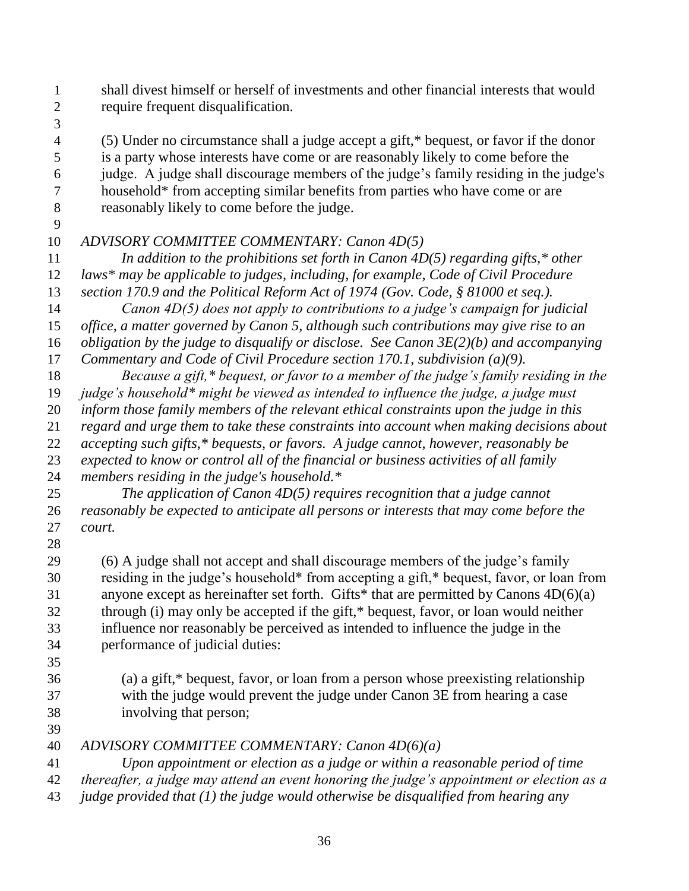shall divest himself or herself of investments and other financial interests that would require frequent disqualification. (5) Under no circumstance shall a judge accept a gift,\* bequest, or favor if the donor is a party whose interests have come or are reasonably likely to come before the judge. A judge shall discourage members of the judge's family residing in the judge's household\* from accepting similar benefits from parties who have come or are reasonably likely to come before the judge. *ADVISORY COMMITTEE COMMENTARY: Canon 4D(5) In addition to the prohibitions set forth in Canon 4D(5) regarding gifts,\* other laws\* may be applicable to judges, including, for example, Code of Civil Procedure section 170.9 and the Political Reform Act of 1974 (Gov. Code, § 81000 et seq.). Canon 4D(5) does not apply to contributions to a judge's campaign for judicial office, a matter governed by Canon 5, although such contributions may give rise to an obligation by the judge to disqualify or disclose. See Canon 3E(2)(b) and accompanying Commentary and Code of Civil Procedure section 170.1, subdivision (a)(9). Because a gift,\* bequest, or favor to a member of the judge's family residing in the judge's household\* might be viewed as intended to influence the judge, a judge must inform those family members of the relevant ethical constraints upon the judge in this regard and urge them to take these constraints into account when making decisions about accepting such gifts,\* bequests, or favors. A judge cannot, however, reasonably be expected to know or control all of the financial or business activities of all family members residing in the judge's household.\* The application of Canon 4D(5) requires recognition that a judge cannot reasonably be expected to anticipate all persons or interests that may come before the court.*  (6) A judge shall not accept and shall discourage members of the judge's family residing in the judge's household\* from accepting a gift,\* bequest, favor, or loan from anyone except as hereinafter set forth. Gifts\* that are permitted by Canons 4D(6)(a) through (i) may only be accepted if the gift,\* bequest, favor, or loan would neither influence nor reasonably be perceived as intended to influence the judge in the performance of judicial duties: (a) a gift,\* bequest, favor, or loan from a person whose preexisting relationship with the judge would prevent the judge under Canon 3E from hearing a case involving that person; *ADVISORY COMMITTEE COMMENTARY: Canon 4D(6)(a) Upon appointment or election as a judge or within a reasonable period of time thereafter, a judge may attend an event honoring the judge's appointment or election as a judge provided that (1) the judge would otherwise be disqualified from hearing any*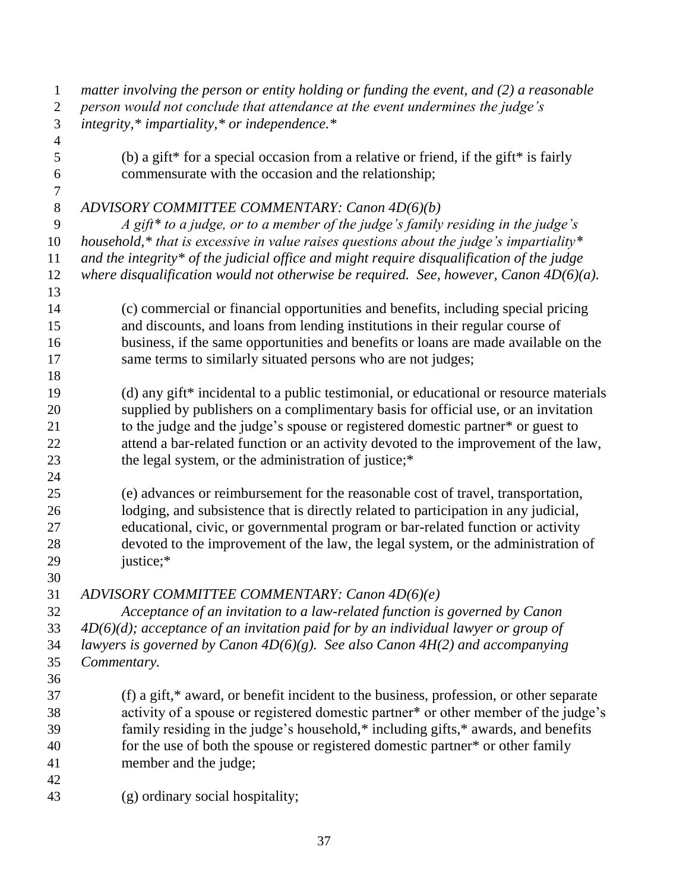*matter involving the person or entity holding or funding the event, and (2) a reasonable person would not conclude that attendance at the event undermines the judge's integrity,\* impartiality,\* or independence.\** (b) a gift\* for a special occasion from a relative or friend, if the gift\* is fairly commensurate with the occasion and the relationship; *ADVISORY COMMITTEE COMMENTARY: Canon 4D(6)(b) A gift\* to a judge, or to a member of the judge's family residing in the judge's household,\* that is excessive in value raises questions about the judge's impartiality\* and the integrity\* of the judicial office and might require disqualification of the judge where disqualification would not otherwise be required. See, however, Canon 4D(6)(a).*  (c) commercial or financial opportunities and benefits, including special pricing and discounts, and loans from lending institutions in their regular course of business, if the same opportunities and benefits or loans are made available on the same terms to similarly situated persons who are not judges; (d) any gift\* incidental to a public testimonial, or educational or resource materials supplied by publishers on a complimentary basis for official use, or an invitation to the judge and the judge's spouse or registered domestic partner\* or guest to attend a bar-related function or an activity devoted to the improvement of the law, 23 the legal system, or the administration of justice;\* (e) advances or reimbursement for the reasonable cost of travel, transportation, lodging, and subsistence that is directly related to participation in any judicial, educational, civic, or governmental program or bar-related function or activity devoted to the improvement of the law, the legal system, or the administration of 29 justice;\* *ADVISORY COMMITTEE COMMENTARY: Canon 4D(6)(e) Acceptance of an invitation to a law-related function is governed by Canon 4D(6)(d); acceptance of an invitation paid for by an individual lawyer or group of lawyers is governed by Canon 4D(6)(g). See also Canon 4H(2) and accompanying Commentary.* (f) a gift,\* award, or benefit incident to the business, profession, or other separate activity of a spouse or registered domestic partner\* or other member of the judge's family residing in the judge's household,\* including gifts,\* awards, and benefits for the use of both the spouse or registered domestic partner\* or other family member and the judge; (g) ordinary social hospitality;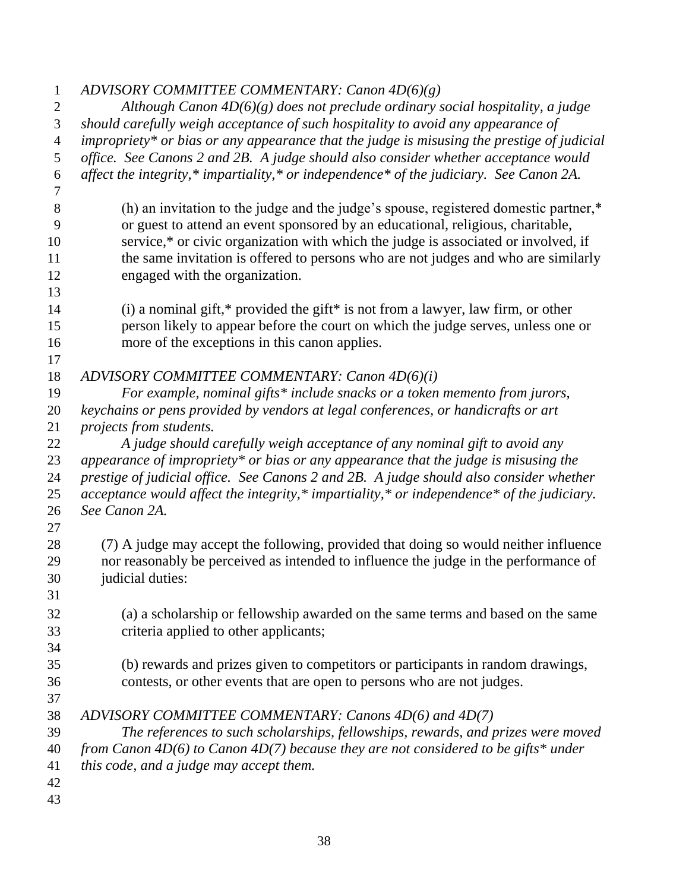| $\mathbf{1}$   | ADVISORY COMMITTEE COMMENTARY: Canon 4D(6)(g)                                                                                                                           |
|----------------|-------------------------------------------------------------------------------------------------------------------------------------------------------------------------|
| $\overline{2}$ | Although Canon $4D(6)(g)$ does not preclude ordinary social hospitality, a judge                                                                                        |
| 3              | should carefully weigh acceptance of such hospitality to avoid any appearance of                                                                                        |
| $\overline{4}$ | impropriety* or bias or any appearance that the judge is misusing the prestige of judicial                                                                              |
| 5              | office. See Canons 2 and 2B. A judge should also consider whether acceptance would                                                                                      |
| 6<br>7         | affect the integrity,* impartiality,* or independence* of the judiciary. See Canon 2A.                                                                                  |
| 8              |                                                                                                                                                                         |
| 9              | (h) an invitation to the judge and the judge's spouse, registered domestic partner,*<br>or guest to attend an event sponsored by an educational, religious, charitable, |
| 10             | service,* or civic organization with which the judge is associated or involved, if                                                                                      |
| 11             | the same invitation is offered to persons who are not judges and who are similarly                                                                                      |
| 12             | engaged with the organization.                                                                                                                                          |
| 13             |                                                                                                                                                                         |
| 14             | (i) a nominal gift,* provided the gift* is not from a lawyer, law firm, or other                                                                                        |
| 15             | person likely to appear before the court on which the judge serves, unless one or                                                                                       |
| 16             | more of the exceptions in this canon applies.                                                                                                                           |
| 17             |                                                                                                                                                                         |
| 18             | ADVISORY COMMITTEE COMMENTARY: Canon 4D(6)(i)                                                                                                                           |
| 19             | For example, nominal gifts* include snacks or a token memento from jurors,                                                                                              |
| 20             | keychains or pens provided by vendors at legal conferences, or handicrafts or art                                                                                       |
| 21             | projects from students.                                                                                                                                                 |
| 22             | A judge should carefully weigh acceptance of any nominal gift to avoid any                                                                                              |
| 23             | appearance of impropriety* or bias or any appearance that the judge is misusing the                                                                                     |
| 24             | prestige of judicial office. See Canons 2 and 2B. A judge should also consider whether                                                                                  |
| 25             | acceptance would affect the integrity,* impartiality,* or independence* of the judiciary.                                                                               |
| 26             | See Canon 2A.                                                                                                                                                           |
| 27             |                                                                                                                                                                         |
| 28             | (7) A judge may accept the following, provided that doing so would neither influence                                                                                    |
| 29             | nor reasonably be perceived as intended to influence the judge in the performance of                                                                                    |
| 30             | judicial duties:                                                                                                                                                        |
| 31             |                                                                                                                                                                         |
| 32             | (a) a scholarship or fellowship awarded on the same terms and based on the same                                                                                         |
| 33             | criteria applied to other applicants;                                                                                                                                   |
| 34             |                                                                                                                                                                         |
| 35             | (b) rewards and prizes given to competitors or participants in random drawings,                                                                                         |
| 36             | contests, or other events that are open to persons who are not judges.                                                                                                  |
| 37             |                                                                                                                                                                         |
| 38             | ADVISORY COMMITTEE COMMENTARY: Canons 4D(6) and 4D(7)                                                                                                                   |
| 39             | The references to such scholarships, fellowships, rewards, and prizes were moved                                                                                        |
| 40             | from Canon 4D(6) to Canon 4D(7) because they are not considered to be gifts* under                                                                                      |
| 41             | this code, and a judge may accept them.                                                                                                                                 |
| 42             |                                                                                                                                                                         |
| 43             |                                                                                                                                                                         |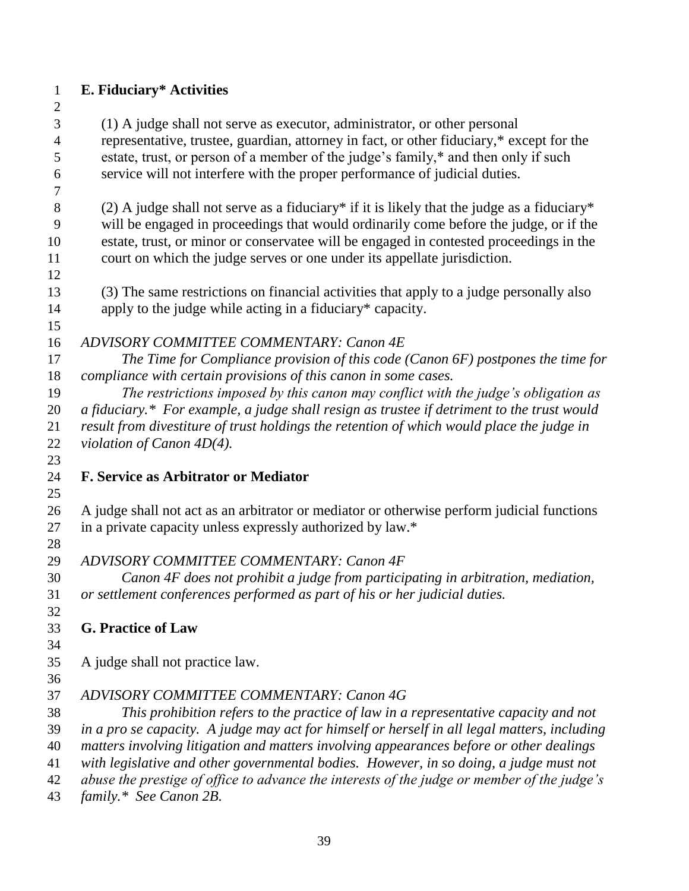| $\mathbf{1}$   | E. Fiduciary* Activities                                                                                                                                                        |
|----------------|---------------------------------------------------------------------------------------------------------------------------------------------------------------------------------|
| $\overline{2}$ |                                                                                                                                                                                 |
| 3              | (1) A judge shall not serve as executor, administrator, or other personal                                                                                                       |
| 4              | representative, trustee, guardian, attorney in fact, or other fiduciary,* except for the                                                                                        |
| 5              | estate, trust, or person of a member of the judge's family,* and then only if such                                                                                              |
| 6              | service will not interfere with the proper performance of judicial duties.                                                                                                      |
| 7              |                                                                                                                                                                                 |
| 8<br>9         | (2) A judge shall not serve as a fiduciary* if it is likely that the judge as a fiduciary*                                                                                      |
| 10             | will be engaged in proceedings that would ordinarily come before the judge, or if the<br>estate, trust, or minor or conservatee will be engaged in contested proceedings in the |
| 11             | court on which the judge serves or one under its appellate jurisdiction.                                                                                                        |
| 12             |                                                                                                                                                                                 |
| 13             | (3) The same restrictions on financial activities that apply to a judge personally also                                                                                         |
| 14             | apply to the judge while acting in a fiduciary* capacity.                                                                                                                       |
| 15             |                                                                                                                                                                                 |
| 16             | <b>ADVISORY COMMITTEE COMMENTARY: Canon 4E</b>                                                                                                                                  |
| 17             | The Time for Compliance provision of this code (Canon $6F$ ) postpones the time for                                                                                             |
| 18             | compliance with certain provisions of this canon in some cases.                                                                                                                 |
| 19             | The restrictions imposed by this canon may conflict with the judge's obligation as                                                                                              |
| 20             | a fiduciary.* For example, a judge shall resign as trustee if detriment to the trust would                                                                                      |
| 21             | result from divestiture of trust holdings the retention of which would place the judge in                                                                                       |
| 22             | violation of Canon $4D(4)$ .                                                                                                                                                    |
| 23             |                                                                                                                                                                                 |
| 24             | <b>F. Service as Arbitrator or Mediator</b>                                                                                                                                     |
| 25             |                                                                                                                                                                                 |
| 26             | A judge shall not act as an arbitrator or mediator or otherwise perform judicial functions                                                                                      |
| 27             | in a private capacity unless expressly authorized by law.*                                                                                                                      |
| 28<br>29       | ADVISORY COMMITTEE COMMENTARY: Canon 4F                                                                                                                                         |
| 30             | Canon 4F does not prohibit a judge from participating in arbitration, mediation,                                                                                                |
| 31             | or settlement conferences performed as part of his or her judicial duties.                                                                                                      |
| 32             |                                                                                                                                                                                 |
| 33             | <b>G. Practice of Law</b>                                                                                                                                                       |
| 34             |                                                                                                                                                                                 |
| 35             | A judge shall not practice law.                                                                                                                                                 |
| 36             |                                                                                                                                                                                 |
| 37             | <b>ADVISORY COMMITTEE COMMENTARY: Canon 4G</b>                                                                                                                                  |
| 38             | This prohibition refers to the practice of law in a representative capacity and not                                                                                             |
| 39             | in a pro se capacity. A judge may act for himself or herself in all legal matters, including                                                                                    |
| 40             | matters involving litigation and matters involving appearances before or other dealings                                                                                         |
| 41             | with legislative and other governmental bodies. However, in so doing, a judge must not                                                                                          |
| 42             | abuse the prestige of office to advance the interests of the judge or member of the judge's                                                                                     |
| 43             | family.* See Canon 2B.                                                                                                                                                          |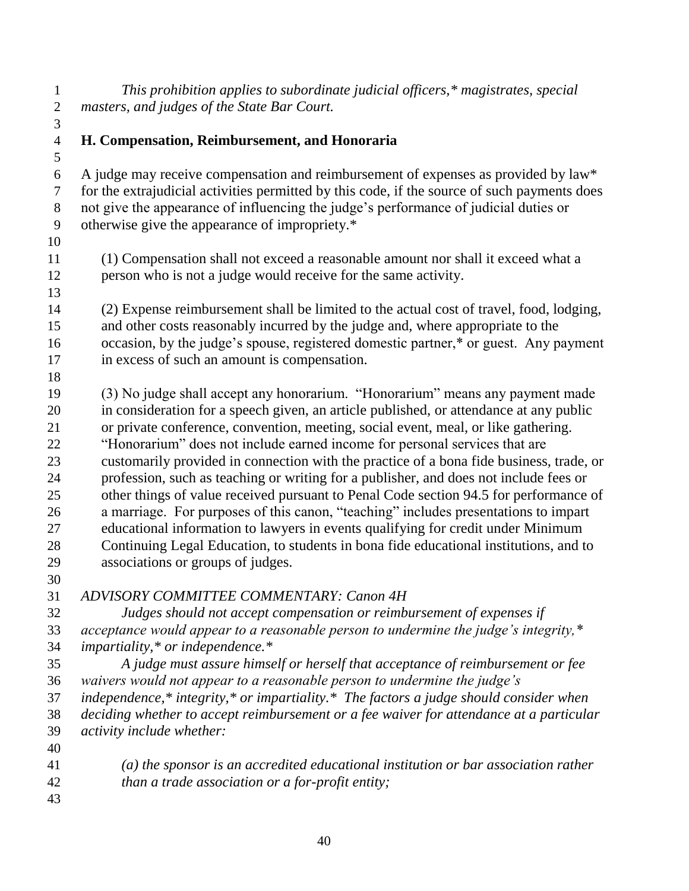*This prohibition applies to subordinate judicial officers,\* magistrates, special masters, and judges of the State Bar Court.* 

## **H. Compensation, Reimbursement, and Honoraria**

- A judge may receive compensation and reimbursement of expenses as provided by law\* for the extrajudicial activities permitted by this code, if the source of such payments does not give the appearance of influencing the judge's performance of judicial duties or otherwise give the appearance of impropriety.\*
- 

 (1) Compensation shall not exceed a reasonable amount nor shall it exceed what a person who is not a judge would receive for the same activity.

 (2) Expense reimbursement shall be limited to the actual cost of travel, food, lodging, and other costs reasonably incurred by the judge and, where appropriate to the occasion, by the judge's spouse, registered domestic partner,\* or guest. Any payment in excess of such an amount is compensation.

 (3) No judge shall accept any honorarium. "Honorarium" means any payment made in consideration for a speech given, an article published, or attendance at any public or private conference, convention, meeting, social event, meal, or like gathering. "Honorarium" does not include earned income for personal services that are customarily provided in connection with the practice of a bona fide business, trade, or profession, such as teaching or writing for a publisher, and does not include fees or other things of value received pursuant to Penal Code section 94.5 for performance of a marriage. For purposes of this canon, "teaching" includes presentations to impart educational information to lawyers in events qualifying for credit under Minimum Continuing Legal Education, to students in bona fide educational institutions, and to associations or groups of judges.

*ADVISORY COMMITTEE COMMENTARY: Canon 4H*

 *Judges should not accept compensation or reimbursement of expenses if acceptance would appear to a reasonable person to undermine the judge's integrity,\* impartiality,\* or independence.\**

 *A judge must assure himself or herself that acceptance of reimbursement or fee waivers would not appear to a reasonable person to undermine the judge's* 

- *independence,\* integrity,\* or impartiality.\* The factors a judge should consider when*
- *deciding whether to accept reimbursement or a fee waiver for attendance at a particular activity include whether:*
- 
- *(a) the sponsor is an accredited educational institution or bar association rather than a trade association or a for-profit entity;*
-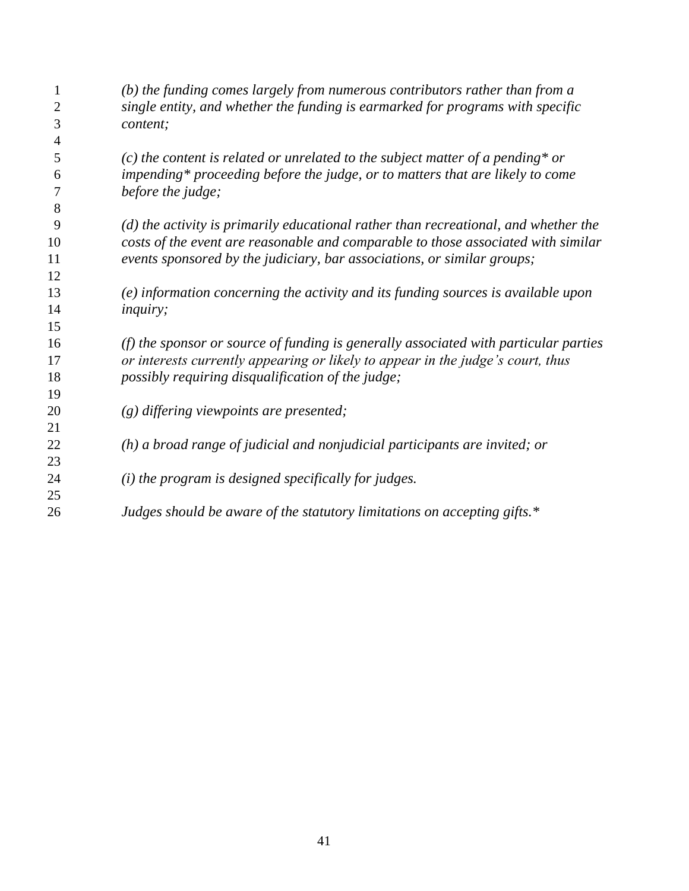| $\mathbf{1}$ | (b) the funding comes largely from numerous contributors rather than from a            |
|--------------|----------------------------------------------------------------------------------------|
| $\mathbf{2}$ | single entity, and whether the funding is earmarked for programs with specific         |
| 3            | content;                                                                               |
| 4            |                                                                                        |
| 5            | (c) the content is related or unrelated to the subject matter of a pending* or         |
| 6            | impending* proceeding before the judge, or to matters that are likely to come          |
| 7            | before the judge;                                                                      |
| 8            |                                                                                        |
| 9            | (d) the activity is primarily educational rather than recreational, and whether the    |
| 10           | costs of the event are reasonable and comparable to those associated with similar      |
| 11           | events sponsored by the judiciary, bar associations, or similar groups;                |
| 12           |                                                                                        |
| 13           | (e) information concerning the activity and its funding sources is available upon      |
| 14           | <i>inquiry;</i>                                                                        |
| 15           |                                                                                        |
| 16           | $(f)$ the sponsor or source of funding is generally associated with particular parties |
| 17           | or interests currently appearing or likely to appear in the judge's court, thus        |
| 18           | possibly requiring disqualification of the judge;                                      |
| 19           |                                                                                        |
| 20           | $(g)$ differing viewpoints are presented;                                              |
| 21           |                                                                                        |
| 22           | $(h)$ a broad range of judicial and nonjudicial participants are invited; or           |
| 23           |                                                                                        |
| 24           | $(i)$ the program is designed specifically for judges.                                 |
| 25           |                                                                                        |
| 26           | Judges should be aware of the statutory limitations on accepting gifts. $*$            |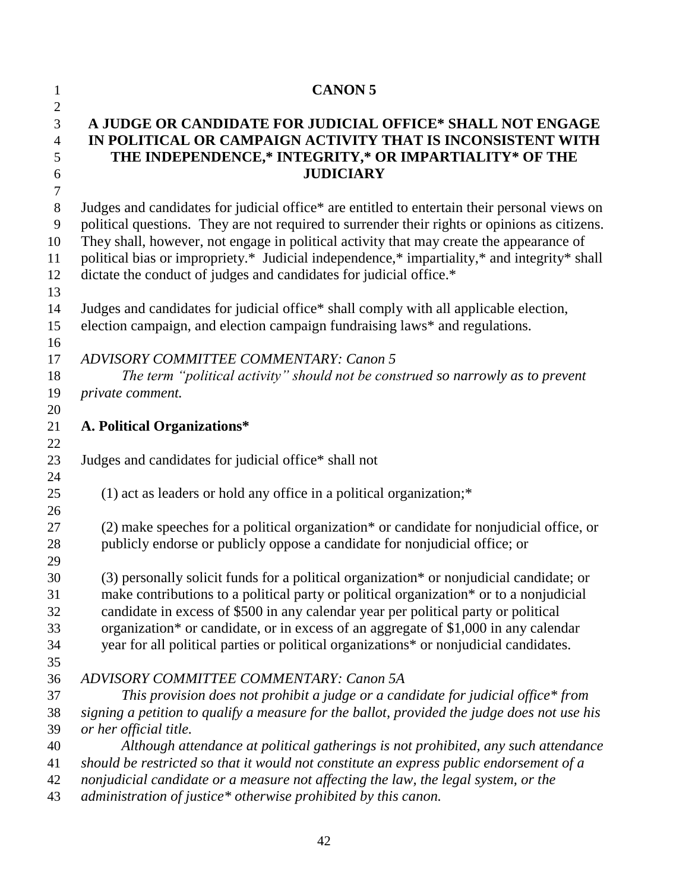| $\mathbf{1}$        | <b>CANON 5</b>                                                                                     |
|---------------------|----------------------------------------------------------------------------------------------------|
| $\overline{2}$<br>3 | A JUDGE OR CANDIDATE FOR JUDICIAL OFFICE* SHALL NOT ENGAGE                                         |
| $\overline{4}$      | IN POLITICAL OR CAMPAIGN ACTIVITY THAT IS INCONSISTENT WITH                                        |
| 5                   | THE INDEPENDENCE,* INTEGRITY,* OR IMPARTIALITY* OF THE                                             |
| $\boldsymbol{6}$    | <b>JUDICIARY</b>                                                                                   |
| $\overline{7}$      |                                                                                                    |
| $8\,$               | Judges and candidates for judicial office* are entitled to entertain their personal views on       |
| $\overline{9}$      | political questions. They are not required to surrender their rights or opinions as citizens.      |
| 10                  | They shall, however, not engage in political activity that may create the appearance of            |
| 11                  | political bias or impropriety.* Judicial independence,* impartiality,* and integrity* shall        |
| 12                  | dictate the conduct of judges and candidates for judicial office.*                                 |
| 13                  |                                                                                                    |
| 14                  | Judges and candidates for judicial office* shall comply with all applicable election,              |
| 15                  | election campaign, and election campaign fundraising laws* and regulations.                        |
| 16                  |                                                                                                    |
| 17                  | <b>ADVISORY COMMITTEE COMMENTARY: Canon 5</b>                                                      |
| 18                  | The term "political activity" should not be construed so narrowly as to prevent                    |
| 19                  | private comment.                                                                                   |
| 20                  |                                                                                                    |
| 21                  | <b>A. Political Organizations*</b>                                                                 |
| 22                  |                                                                                                    |
| 23<br>24            | Judges and candidates for judicial office* shall not                                               |
| 25                  | (1) act as leaders or hold any office in a political organization;*                                |
| 26                  |                                                                                                    |
| 27                  | (2) make speeches for a political organization* or candidate for nonjudicial office, or            |
| 28                  | publicly endorse or publicly oppose a candidate for nonjudicial office; or                         |
| 29                  |                                                                                                    |
| 30                  | (3) personally solicit funds for a political organization* or nonjudicial candidate; or            |
| 31                  | make contributions to a political party or political organization <sup>*</sup> or to a nonjudicial |
| 32                  | candidate in excess of \$500 in any calendar year per political party or political                 |
| 33                  | organization* or candidate, or in excess of an aggregate of \$1,000 in any calendar                |
| 34                  | year for all political parties or political organizations* or nonjudicial candidates.              |
| 35                  |                                                                                                    |
| 36                  | <b>ADVISORY COMMITTEE COMMENTARY: Canon 5A</b>                                                     |
| 37                  | This provision does not prohibit a judge or a candidate for judicial office* from                  |
| 38                  | signing a petition to qualify a measure for the ballot, provided the judge does not use his        |
| 39                  | or her official title.                                                                             |
| 40                  | Although attendance at political gatherings is not prohibited, any such attendance                 |
| 41                  | should be restricted so that it would not constitute an express public endorsement of a            |
| 42                  | nonjudicial candidate or a measure not affecting the law, the legal system, or the                 |
| 43                  | administration of justice* otherwise prohibited by this canon.                                     |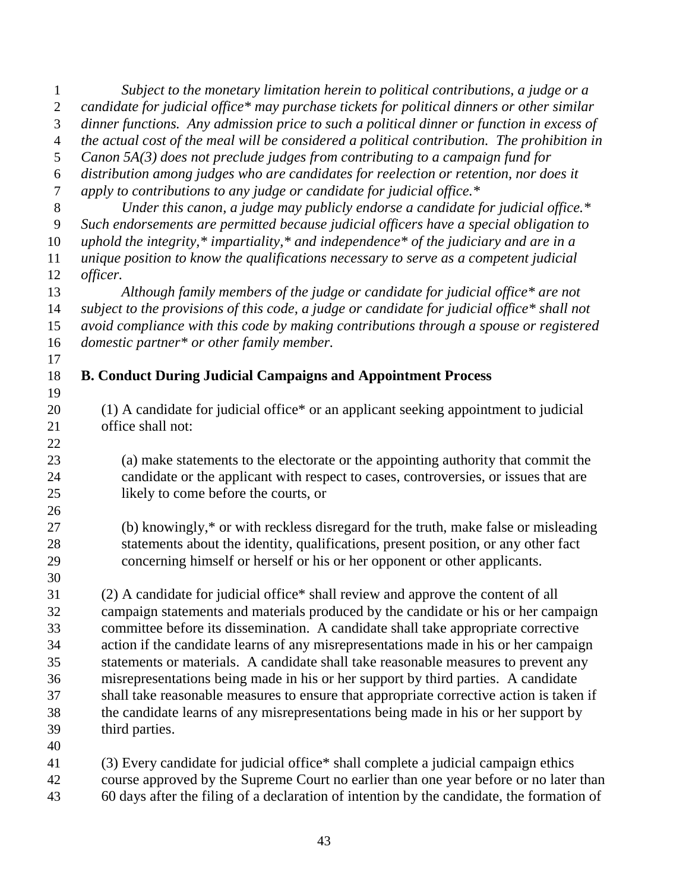| 1              | Subject to the monetary limitation herein to political contributions, a judge or a          |
|----------------|---------------------------------------------------------------------------------------------|
| $\mathbf{2}$   | candidate for judicial office* may purchase tickets for political dinners or other similar  |
| 3              | dinner functions. Any admission price to such a political dinner or function in excess of   |
| $\overline{4}$ | the actual cost of the meal will be considered a political contribution. The prohibition in |
| 5              | Canon 5A(3) does not preclude judges from contributing to a campaign fund for               |
| 6              | distribution among judges who are candidates for reelection or retention, nor does it       |
| $\overline{7}$ | apply to contributions to any judge or candidate for judicial office.*                      |
| $8\,$          | Under this canon, a judge may publicly endorse a candidate for judicial office.*            |
| $\mathbf{9}$   | Such endorsements are permitted because judicial officers have a special obligation to      |
| 10             | uphold the integrity,* impartiality,* and independence* of the judiciary and are in a       |
| 11             | unique position to know the qualifications necessary to serve as a competent judicial       |
| 12             | officer.                                                                                    |
| 13             | Although family members of the judge or candidate for judicial office* are not              |
| 14             | subject to the provisions of this code, a judge or candidate for judicial office* shall not |
| 15             | avoid compliance with this code by making contributions through a spouse or registered      |
| 16             | domestic partner* or other family member.                                                   |
| 17             |                                                                                             |
| 18             | <b>B. Conduct During Judicial Campaigns and Appointment Process</b>                         |
| 19             |                                                                                             |
| 20             | (1) A candidate for judicial office* or an applicant seeking appointment to judicial        |
| 21             | office shall not:                                                                           |
| 22             |                                                                                             |
| 23             | (a) make statements to the electorate or the appointing authority that commit the           |
| 24             | candidate or the applicant with respect to cases, controversies, or issues that are         |
| 25             | likely to come before the courts, or                                                        |
| 26             |                                                                                             |
| 27             | (b) knowingly,* or with reckless disregard for the truth, make false or misleading          |
| 28             | statements about the identity, qualifications, present position, or any other fact          |
| 29             | concerning himself or herself or his or her opponent or other applicants.                   |
| 30             |                                                                                             |
| 31             | (2) A candidate for judicial office* shall review and approve the content of all            |
| 32             | campaign statements and materials produced by the candidate or his or her campaign          |
| 33             | committee before its dissemination. A candidate shall take appropriate corrective           |
| 34             | action if the candidate learns of any misrepresentations made in his or her campaign        |
| 35             | statements or materials. A candidate shall take reasonable measures to prevent any          |
| 36             | misrepresentations being made in his or her support by third parties. A candidate           |
| 37             | shall take reasonable measures to ensure that appropriate corrective action is taken if     |
| 38             | the candidate learns of any misrepresentations being made in his or her support by          |
| 39             | third parties.                                                                              |
| 40             |                                                                                             |
| 41             | (3) Every candidate for judicial office* shall complete a judicial campaign ethics          |
| 42             | course approved by the Supreme Court no earlier than one year before or no later than       |
| 43             | 60 days after the filing of a declaration of intention by the candidate, the formation of   |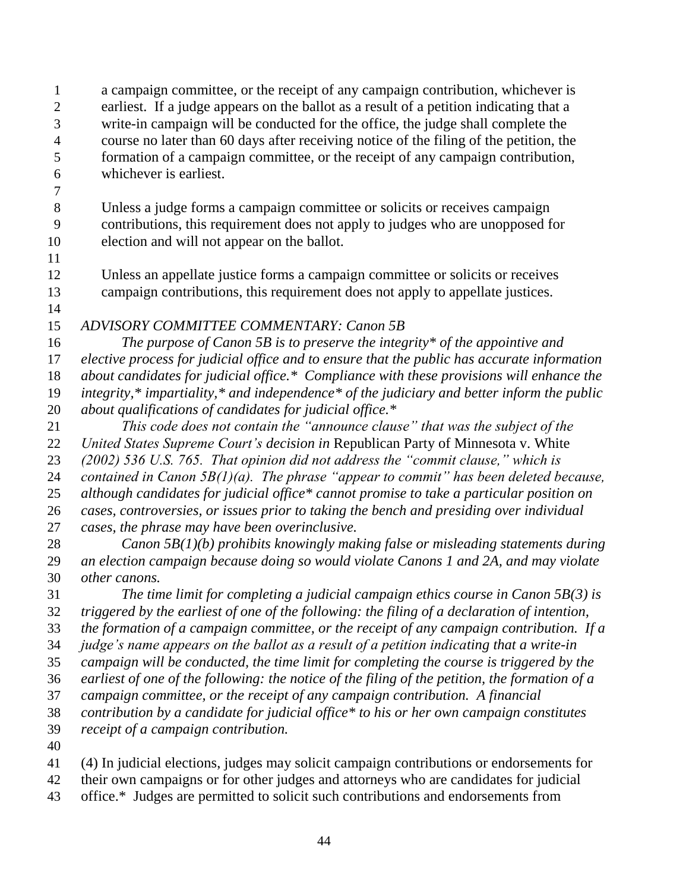- a campaign committee, or the receipt of any campaign contribution, whichever is earliest. If a judge appears on the ballot as a result of a petition indicating that a write-in campaign will be conducted for the office, the judge shall complete the course no later than 60 days after receiving notice of the filing of the petition, the formation of a campaign committee, or the receipt of any campaign contribution, whichever is earliest. Unless a judge forms a campaign committee or solicits or receives campaign contributions, this requirement does not apply to judges who are unopposed for election and will not appear on the ballot. Unless an appellate justice forms a campaign committee or solicits or receives campaign contributions, this requirement does not apply to appellate justices. *ADVISORY COMMITTEE COMMENTARY: Canon 5B The purpose of Canon 5B is to preserve the integrity\* of the appointive and elective process for judicial office and to ensure that the public has accurate information about candidates for judicial office.\* Compliance with these provisions will enhance the integrity,\* impartiality,\* and independence\* of the judiciary and better inform the public about qualifications of candidates for judicial office.\* This code does not contain the "announce clause" that was the subject of the United States Supreme Court's decision in* Republican Party of Minnesota v. White *(2002) 536 U.S. 765. That opinion did not address the "commit clause," which is contained in Canon 5B(1)(a). The phrase "appear to commit" has been deleted because, although candidates for judicial office\* cannot promise to take a particular position on cases, controversies, or issues prior to taking the bench and presiding over individual cases, the phrase may have been overinclusive. Canon 5B(1)(b) prohibits knowingly making false or misleading statements during an election campaign because doing so would violate Canons 1 and 2A, and may violate other canons. The time limit for completing a judicial campaign ethics course in Canon 5B(3) is triggered by the earliest of one of the following: the filing of a declaration of intention, the formation of a campaign committee, or the receipt of any campaign contribution. If a judge's name appears on the ballot as a result of a petition indicating that a write-in campaign will be conducted, the time limit for completing the course is triggered by the earliest of one of the following: the notice of the filing of the petition, the formation of a campaign committee, or the receipt of any campaign contribution. A financial contribution by a candidate for judicial office\* to his or her own campaign constitutes receipt of a campaign contribution.* (4) In judicial elections, judges may solicit campaign contributions or endorsements for their own campaigns or for other judges and attorneys who are candidates for judicial
- office.\* Judges are permitted to solicit such contributions and endorsements from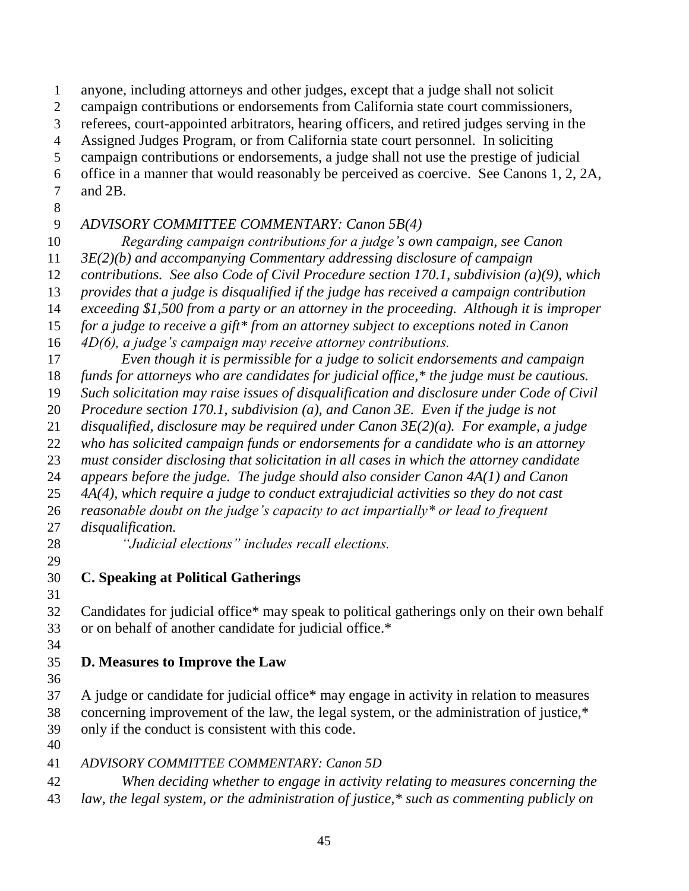anyone, including attorneys and other judges, except that a judge shall not solicit

- campaign contributions or endorsements from California state court commissioners,
- referees, court-appointed arbitrators, hearing officers, and retired judges serving in the
- Assigned Judges Program, or from California state court personnel. In soliciting
- campaign contributions or endorsements, a judge shall not use the prestige of judicial
- office in a manner that would reasonably be perceived as coercive. See Canons 1, 2, 2A,
- and 2B.
- *ADVISORY COMMITTEE COMMENTARY: Canon 5B(4)*

*Regarding campaign contributions for a judge's own campaign, see Canon* 

- *3E(2)(b) and accompanying Commentary addressing disclosure of campaign*
- *contributions. See also Code of Civil Procedure section 170.1, subdivision (a)(9), which*
- *provides that a judge is disqualified if the judge has received a campaign contribution*

*exceeding \$1,500 from a party or an attorney in the proceeding. Although it is improper* 

*for a judge to receive a gift\* from an attorney subject to exceptions noted in Canon* 

- *4D(6), a judge's campaign may receive attorney contributions.*
- *Even though it is permissible for a judge to solicit endorsements and campaign*
- *funds for attorneys who are candidates for judicial office,\* the judge must be cautious.*
- *Such solicitation may raise issues of disqualification and disclosure under Code of Civil*
- *Procedure section 170.1, subdivision (a), and Canon 3E. Even if the judge is not*
- *disqualified, disclosure may be required under Canon 3E(2)(a). For example, a judge*
- *who has solicited campaign funds or endorsements for a candidate who is an attorney*
- *must consider disclosing that solicitation in all cases in which the attorney candidate*
- *appears before the judge. The judge should also consider Canon 4A(1) and Canon*
- *4A(4), which require a judge to conduct extrajudicial activities so they do not cast*
- *reasonable doubt on the judge's capacity to act impartially\* or lead to frequent*
- *disqualification.*
- *"Judicial elections" includes recall elections.*
- 

# **C. Speaking at Political Gatherings**

 Candidates for judicial office\* may speak to political gatherings only on their own behalf or on behalf of another candidate for judicial office.\*

# **D. Measures to Improve the Law**

 A judge or candidate for judicial office\* may engage in activity in relation to measures concerning improvement of the law, the legal system, or the administration of justice,\* only if the conduct is consistent with this code.

- 
- *ADVISORY COMMITTEE COMMENTARY: Canon 5D*
- *When deciding whether to engage in activity relating to measures concerning the law, the legal system, or the administration of justice,\* such as commenting publicly on*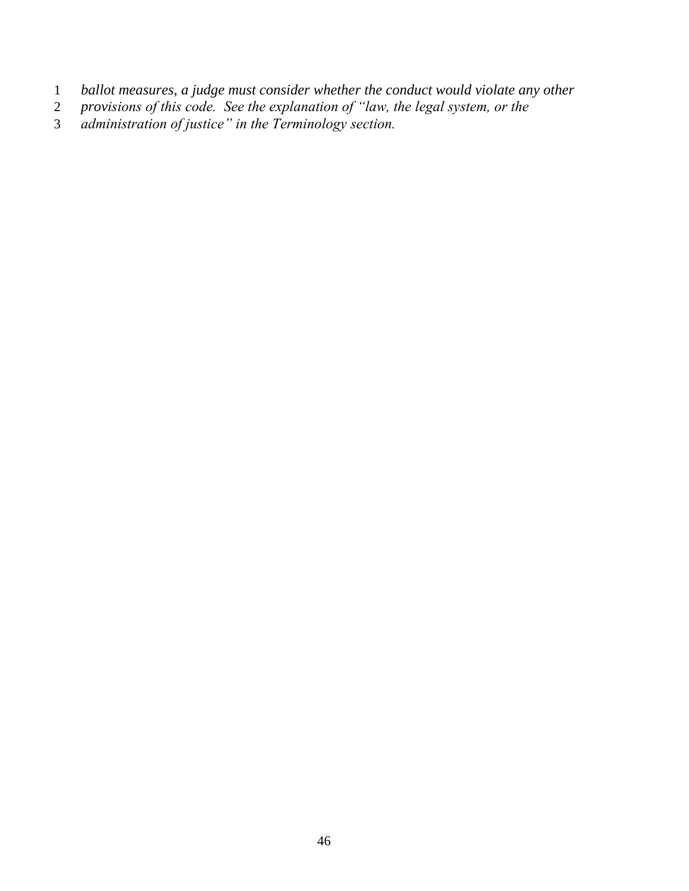- *ballot measures, a judge must consider whether the conduct would violate any other*
- *provisions of this code. See the explanation of "law, the legal system, or the*
- *administration of justice" in the Terminology section.*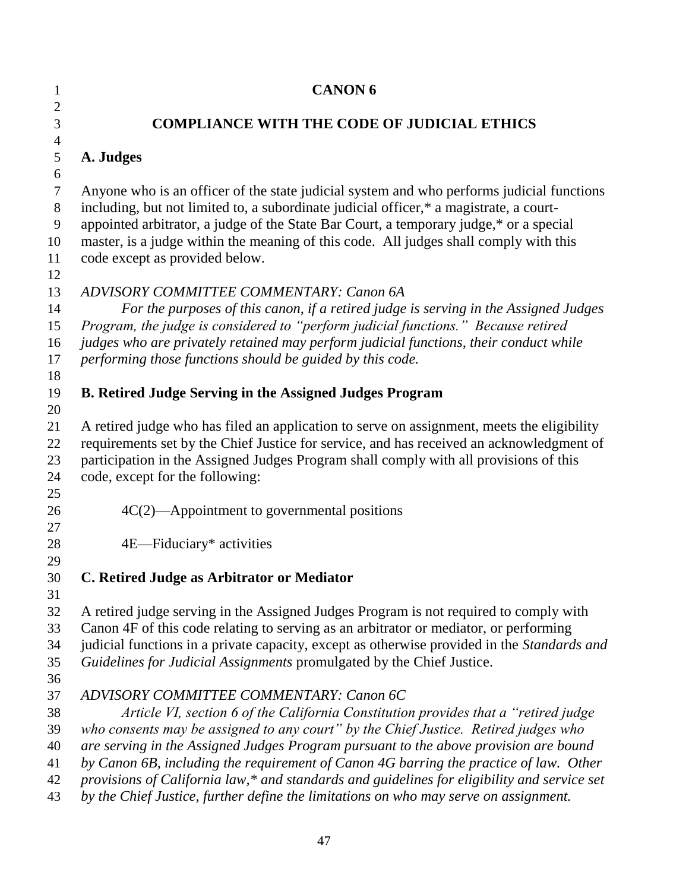| $\mathbf{1}$   | <b>CANON 6</b>                                                                                                                                                              |
|----------------|-----------------------------------------------------------------------------------------------------------------------------------------------------------------------------|
| $\overline{2}$ |                                                                                                                                                                             |
| $\mathfrak{Z}$ | <b>COMPLIANCE WITH THE CODE OF JUDICIAL ETHICS</b>                                                                                                                          |
| $\overline{4}$ |                                                                                                                                                                             |
| 5              | A. Judges                                                                                                                                                                   |
| 6              |                                                                                                                                                                             |
| $\overline{7}$ | Anyone who is an officer of the state judicial system and who performs judicial functions                                                                                   |
| 8              | including, but not limited to, a subordinate judicial officer,* a magistrate, a court-                                                                                      |
| 9              | appointed arbitrator, a judge of the State Bar Court, a temporary judge,* or a special                                                                                      |
| 10             | master, is a judge within the meaning of this code. All judges shall comply with this                                                                                       |
| 11             | code except as provided below.                                                                                                                                              |
| 12             |                                                                                                                                                                             |
| 13             | <b>ADVISORY COMMITTEE COMMENTARY: Canon 6A</b>                                                                                                                              |
| 14             | For the purposes of this canon, if a retired judge is serving in the Assigned Judges                                                                                        |
| 15             | Program, the judge is considered to "perform judicial functions." Because retired                                                                                           |
| 16             | judges who are privately retained may perform judicial functions, their conduct while                                                                                       |
| 17             | performing those functions should be guided by this code.                                                                                                                   |
| 18             |                                                                                                                                                                             |
| 19<br>20       | <b>B. Retired Judge Serving in the Assigned Judges Program</b>                                                                                                              |
| 21             | A retired judge who has filed an application to serve on assignment, meets the eligibility                                                                                  |
| 22             | requirements set by the Chief Justice for service, and has received an acknowledgment of                                                                                    |
| 23             | participation in the Assigned Judges Program shall comply with all provisions of this                                                                                       |
| 24             | code, except for the following:                                                                                                                                             |
| 25             |                                                                                                                                                                             |
| 26             | $4C(2)$ —Appointment to governmental positions                                                                                                                              |
| 27             |                                                                                                                                                                             |
| 28             | 4E—Fiduciary* activities                                                                                                                                                    |
| 29             |                                                                                                                                                                             |
| 30             | C. Retired Judge as Arbitrator or Mediator                                                                                                                                  |
| 31             |                                                                                                                                                                             |
| 32             | A retired judge serving in the Assigned Judges Program is not required to comply with                                                                                       |
| 33             | Canon 4F of this code relating to serving as an arbitrator or mediator, or performing                                                                                       |
| 34             | judicial functions in a private capacity, except as otherwise provided in the Standards and                                                                                 |
| 35             | Guidelines for Judicial Assignments promulgated by the Chief Justice.                                                                                                       |
| 36             |                                                                                                                                                                             |
| 37             | <b>ADVISORY COMMITTEE COMMENTARY: Canon 6C</b>                                                                                                                              |
| 38             | Article VI, section 6 of the California Constitution provides that a "retired judge                                                                                         |
| 39<br>40       | who consents may be assigned to any court" by the Chief Justice. Retired judges who<br>are serving in the Assigned Judges Program pursuant to the above provision are bound |
| 41             | by Canon 6B, including the requirement of Canon 4G barring the practice of law. Other                                                                                       |
| 42             | provisions of California law,* and standards and guidelines for eligibility and service set                                                                                 |
| 43             | by the Chief Justice, further define the limitations on who may serve on assignment.                                                                                        |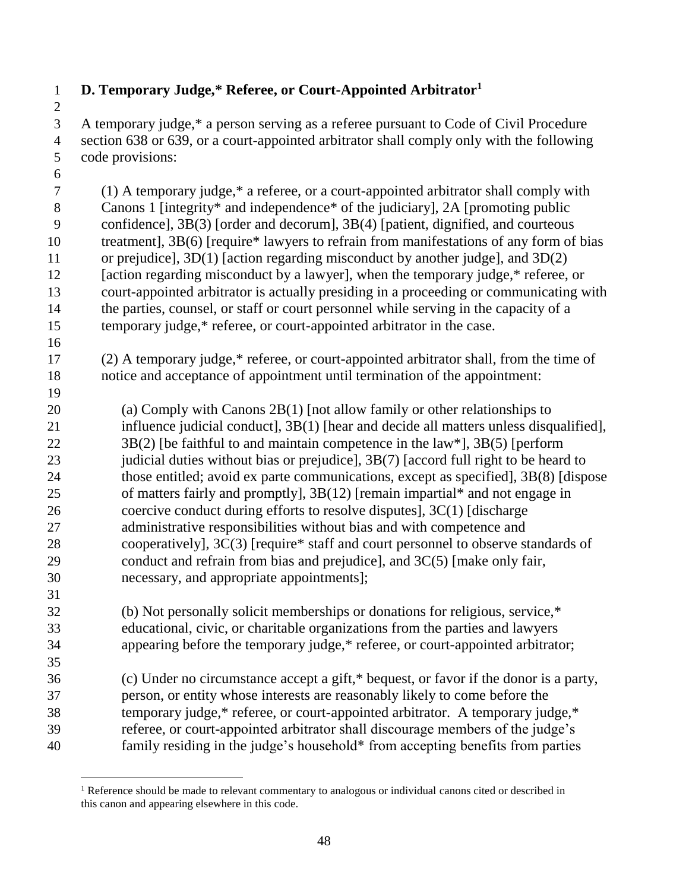#### **D. Temporary Judge,\* Referee, or Court-Appointed Arbitrator<sup>1</sup>**

 A temporary judge,\* a person serving as a referee pursuant to Code of Civil Procedure section 638 or 639, or a court-appointed arbitrator shall comply only with the following code provisions:

 $\overline{a}$ 

 (1) A temporary judge,\* a referee, or a court-appointed arbitrator shall comply with Canons 1 [integrity\* and independence\* of the judiciary], 2A [promoting public confidence], 3B(3) [order and decorum], 3B(4) [patient, dignified, and courteous treatment], 3B(6) [require\* lawyers to refrain from manifestations of any form of bias or prejudice], 3D(1) [action regarding misconduct by another judge], and 3D(2) [action regarding misconduct by a lawyer], when the temporary judge,\* referee, or court-appointed arbitrator is actually presiding in a proceeding or communicating with 14 the parties, counsel, or staff or court personnel while serving in the capacity of a temporary judge,\* referee, or court-appointed arbitrator in the case. 

- (2) A temporary judge,\* referee, or court-appointed arbitrator shall, from the time of notice and acceptance of appointment until termination of the appointment:
- (a) Comply with Canons 2B(1) [not allow family or other relationships to influence judicial conduct], 3B(1) [hear and decide all matters unless disqualified], 3B(2) [be faithful to and maintain competence in the law\*], 3B(5) [perform judicial duties without bias or prejudice], 3B(7) [accord full right to be heard to those entitled; avoid ex parte communications, except as specified], 3B(8) [dispose of matters fairly and promptly], 3B(12) [remain impartial\* and not engage in coercive conduct during efforts to resolve disputes], 3C(1) [discharge administrative responsibilities without bias and with competence and cooperatively], 3C(3) [require\* staff and court personnel to observe standards of conduct and refrain from bias and prejudice], and 3C(5) [make only fair, necessary, and appropriate appointments];
- (b) Not personally solicit memberships or donations for religious, service,\* educational, civic, or charitable organizations from the parties and lawyers appearing before the temporary judge,\* referee, or court-appointed arbitrator;
- (c) Under no circumstance accept a gift,\* bequest, or favor if the donor is a party, person, or entity whose interests are reasonably likely to come before the temporary judge,\* referee, or court-appointed arbitrator. A temporary judge,\* referee, or court-appointed arbitrator shall discourage members of the judge's family residing in the judge's household\* from accepting benefits from parties

<sup>&</sup>lt;sup>1</sup> Reference should be made to relevant commentary to analogous or individual canons cited or described in this canon and appearing elsewhere in this code.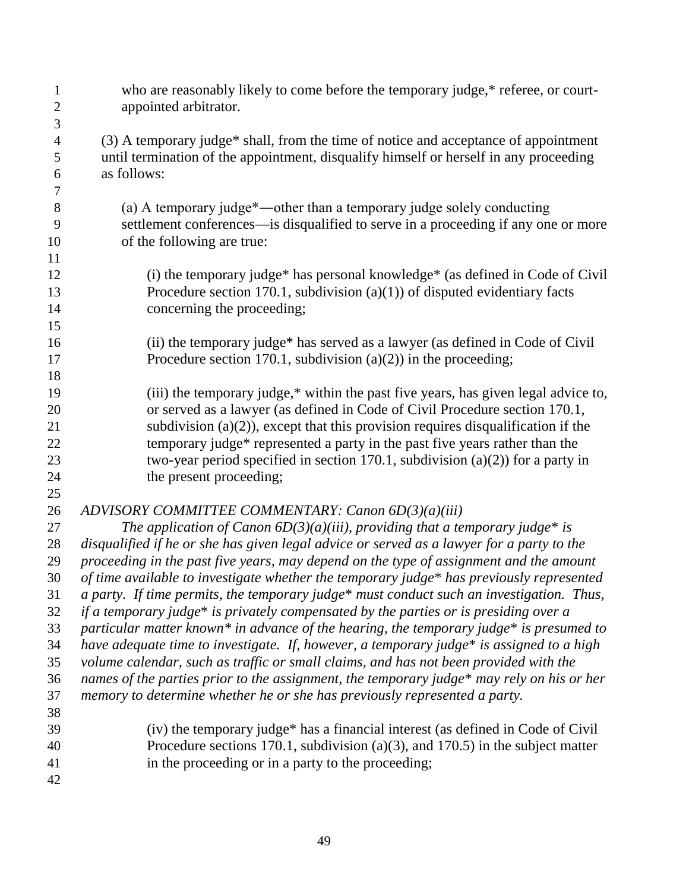| $\mathbf{1}$<br>$\boldsymbol{2}$ | who are reasonably likely to come before the temporary judge,* referee, or court-<br>appointed arbitrator.                                                                   |
|----------------------------------|------------------------------------------------------------------------------------------------------------------------------------------------------------------------------|
| 3                                |                                                                                                                                                                              |
| $\overline{\mathcal{L}}$         | (3) A temporary judge* shall, from the time of notice and acceptance of appointment                                                                                          |
| 5                                | until termination of the appointment, disqualify himself or herself in any proceeding                                                                                        |
| 6                                | as follows:                                                                                                                                                                  |
| $\tau$                           |                                                                                                                                                                              |
| $8\,$                            | (a) A temporary judge*—other than a temporary judge solely conducting                                                                                                        |
| 9                                | settlement conferences—is disqualified to serve in a proceeding if any one or more                                                                                           |
| 10                               | of the following are true:                                                                                                                                                   |
| 11                               |                                                                                                                                                                              |
| 12                               | (i) the temporary judge* has personal knowledge* (as defined in Code of Civil                                                                                                |
| 13                               | Procedure section 170.1, subdivision $(a)(1)$ of disputed evidentiary facts                                                                                                  |
| 14                               | concerning the proceeding;                                                                                                                                                   |
| 15                               |                                                                                                                                                                              |
| 16                               | (ii) the temporary judge* has served as a lawyer (as defined in Code of Civil                                                                                                |
| 17                               | Procedure section 170.1, subdivision $(a)(2)$ in the proceeding;                                                                                                             |
| 18                               |                                                                                                                                                                              |
| 19                               | (iii) the temporary judge,* within the past five years, has given legal advice to,                                                                                           |
| 20                               | or served as a lawyer (as defined in Code of Civil Procedure section 170.1,                                                                                                  |
| 21                               | subdivision $(a)(2)$ , except that this provision requires disqualification if the                                                                                           |
| 22                               | temporary judge* represented a party in the past five years rather than the                                                                                                  |
| 23                               | two-year period specified in section 170.1, subdivision (a)(2)) for a party in                                                                                               |
| 24                               | the present proceeding;                                                                                                                                                      |
| $25\,$<br>26                     |                                                                                                                                                                              |
| 27                               | ADVISORY COMMITTEE COMMENTARY: Canon 6D(3)(a)(iii)                                                                                                                           |
| 28                               | The application of Canon $6D(3)(a)(iii)$ , providing that a temporary judge* is<br>disqualified if he or she has given legal advice or served as a lawyer for a party to the |
| 29                               | proceeding in the past five years, may depend on the type of assignment and the amount                                                                                       |
| 30                               | of time available to investigate whether the temporary judge* has previously represented                                                                                     |
| 31                               | a party. If time permits, the temporary judge* must conduct such an investigation. Thus,                                                                                     |
| 32                               | if a temporary judge* is privately compensated by the parties or is presiding over a                                                                                         |
| 33                               | particular matter known* in advance of the hearing, the temporary judge* is presumed to                                                                                      |
| 34                               | have adequate time to investigate. If, however, a temporary judge* is assigned to a high                                                                                     |
| 35                               | volume calendar, such as traffic or small claims, and has not been provided with the                                                                                         |
| 36                               | names of the parties prior to the assignment, the temporary judge* may rely on his or her                                                                                    |
| 37                               | memory to determine whether he or she has previously represented a party.                                                                                                    |
| 38                               |                                                                                                                                                                              |
| 39                               | (iv) the temporary judge* has a financial interest (as defined in Code of Civil                                                                                              |
| 40                               | Procedure sections 170.1, subdivision (a)(3), and 170.5) in the subject matter                                                                                               |
| 41                               | in the proceeding or in a party to the proceeding;                                                                                                                           |
| 42                               |                                                                                                                                                                              |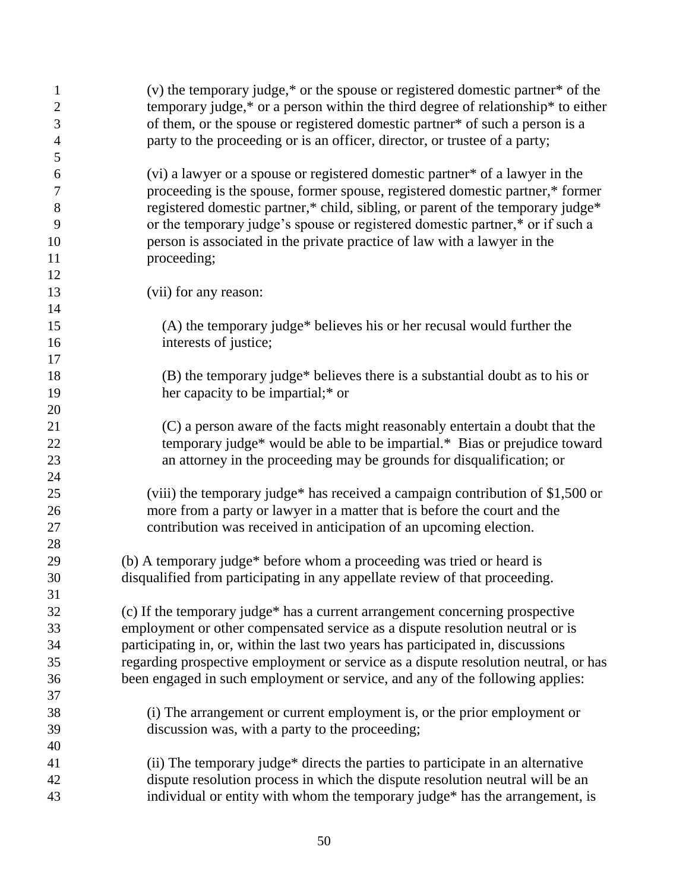| $\mathbf{1}$<br>$\mathbf{2}$<br>3<br>$\overline{4}$ | (v) the temporary judge,* or the spouse or registered domestic partner* of the<br>temporary judge,* or a person within the third degree of relationship* to either<br>of them, or the spouse or registered domestic partner* of such a person is a<br>party to the proceeding or is an officer, director, or trustee of a party; |
|-----------------------------------------------------|----------------------------------------------------------------------------------------------------------------------------------------------------------------------------------------------------------------------------------------------------------------------------------------------------------------------------------|
|                                                     |                                                                                                                                                                                                                                                                                                                                  |
| 5                                                   |                                                                                                                                                                                                                                                                                                                                  |
| 6<br>$\boldsymbol{7}$                               | (vi) a lawyer or a spouse or registered domestic partner* of a lawyer in the                                                                                                                                                                                                                                                     |
| $8\,$                                               | proceeding is the spouse, former spouse, registered domestic partner,* former<br>registered domestic partner,* child, sibling, or parent of the temporary judge*                                                                                                                                                                 |
| 9                                                   | or the temporary judge's spouse or registered domestic partner,* or if such a                                                                                                                                                                                                                                                    |
| 10                                                  | person is associated in the private practice of law with a lawyer in the                                                                                                                                                                                                                                                         |
| 11                                                  | proceeding;                                                                                                                                                                                                                                                                                                                      |
| 12                                                  |                                                                                                                                                                                                                                                                                                                                  |
| 13                                                  | (vii) for any reason:                                                                                                                                                                                                                                                                                                            |
| 14                                                  |                                                                                                                                                                                                                                                                                                                                  |
| 15                                                  | (A) the temporary judge* believes his or her recusal would further the                                                                                                                                                                                                                                                           |
| 16                                                  | interests of justice;                                                                                                                                                                                                                                                                                                            |
| 17                                                  |                                                                                                                                                                                                                                                                                                                                  |
| 18                                                  | (B) the temporary judge* believes there is a substantial doubt as to his or                                                                                                                                                                                                                                                      |
| 19                                                  | her capacity to be impartial;* or                                                                                                                                                                                                                                                                                                |
| 20                                                  |                                                                                                                                                                                                                                                                                                                                  |
| 21                                                  | (C) a person aware of the facts might reasonably entertain a doubt that the                                                                                                                                                                                                                                                      |
| 22                                                  | temporary judge* would be able to be impartial.* Bias or prejudice toward                                                                                                                                                                                                                                                        |
| 23                                                  | an attorney in the proceeding may be grounds for disqualification; or                                                                                                                                                                                                                                                            |
| $24\,$                                              |                                                                                                                                                                                                                                                                                                                                  |
| 25                                                  | (viii) the temporary judge* has received a campaign contribution of \$1,500 or                                                                                                                                                                                                                                                   |
| 26                                                  | more from a party or lawyer in a matter that is before the court and the                                                                                                                                                                                                                                                         |
| 27                                                  | contribution was received in anticipation of an upcoming election.                                                                                                                                                                                                                                                               |
| 28                                                  |                                                                                                                                                                                                                                                                                                                                  |
| 29                                                  | (b) A temporary judge* before whom a proceeding was tried or heard is                                                                                                                                                                                                                                                            |
| 30                                                  | disqualified from participating in any appellate review of that proceeding.                                                                                                                                                                                                                                                      |
| 31                                                  |                                                                                                                                                                                                                                                                                                                                  |
| 32                                                  | (c) If the temporary judge* has a current arrangement concerning prospective                                                                                                                                                                                                                                                     |
| 33                                                  | employment or other compensated service as a dispute resolution neutral or is                                                                                                                                                                                                                                                    |
| 34                                                  | participating in, or, within the last two years has participated in, discussions                                                                                                                                                                                                                                                 |
| 35                                                  | regarding prospective employment or service as a dispute resolution neutral, or has                                                                                                                                                                                                                                              |
| 36                                                  | been engaged in such employment or service, and any of the following applies:                                                                                                                                                                                                                                                    |
| 37                                                  |                                                                                                                                                                                                                                                                                                                                  |
| 38                                                  | (i) The arrangement or current employment is, or the prior employment or                                                                                                                                                                                                                                                         |
| 39                                                  | discussion was, with a party to the proceeding;                                                                                                                                                                                                                                                                                  |
| 40                                                  |                                                                                                                                                                                                                                                                                                                                  |
| 41                                                  | (ii) The temporary judge* directs the parties to participate in an alternative                                                                                                                                                                                                                                                   |
| 42                                                  | dispute resolution process in which the dispute resolution neutral will be an                                                                                                                                                                                                                                                    |
| 43                                                  | individual or entity with whom the temporary judge* has the arrangement, is                                                                                                                                                                                                                                                      |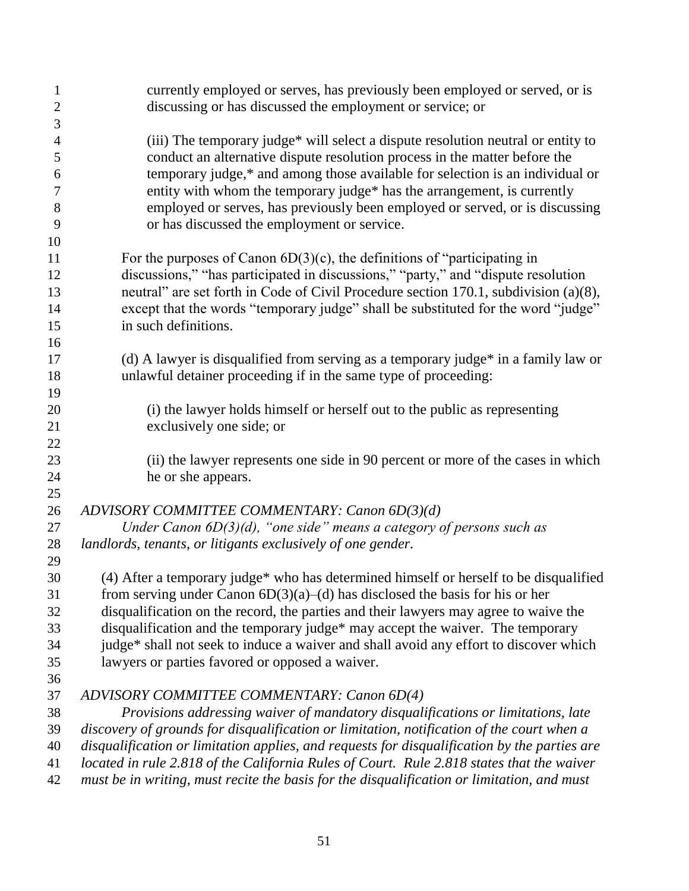| 1                        | currently employed or serves, has previously been employed or served, or is                  |
|--------------------------|----------------------------------------------------------------------------------------------|
| $\mathbf{2}$             | discussing or has discussed the employment or service; or                                    |
| 3                        |                                                                                              |
| $\overline{\mathcal{A}}$ | (iii) The temporary judge* will select a dispute resolution neutral or entity to             |
| 5                        | conduct an alternative dispute resolution process in the matter before the                   |
| 6                        | temporary judge,* and among those available for selection is an individual or                |
| $\tau$                   | entity with whom the temporary judge* has the arrangement, is currently                      |
| $8\,$                    | employed or serves, has previously been employed or served, or is discussing                 |
| 9                        | or has discussed the employment or service.                                                  |
| 10                       |                                                                                              |
| 11                       | For the purposes of Canon $6D(3)(c)$ , the definitions of "participating in                  |
| 12                       | discussions," "has participated in discussions," "party," and "dispute resolution            |
| 13                       | neutral" are set forth in Code of Civil Procedure section 170.1, subdivision (a)(8),         |
| 14                       | except that the words "temporary judge" shall be substituted for the word "judge"            |
| 15                       | in such definitions.                                                                         |
| 16                       |                                                                                              |
| 17                       | (d) A lawyer is disqualified from serving as a temporary judge* in a family law or           |
| 18                       | unlawful detainer proceeding if in the same type of proceeding:                              |
| 19                       |                                                                                              |
| 20                       | (i) the lawyer holds himself or herself out to the public as representing                    |
| 21                       | exclusively one side; or                                                                     |
| 22                       |                                                                                              |
| 23                       | (ii) the lawyer represents one side in 90 percent or more of the cases in which              |
| $24\,$                   | he or she appears.                                                                           |
| 25                       |                                                                                              |
| 26                       | ADVISORY COMMITTEE COMMENTARY: Canon 6D(3)(d)                                                |
| 27                       | Under Canon $6D(3)(d)$ , "one side" means a category of persons such as                      |
| 28                       | landlords, tenants, or litigants exclusively of one gender.                                  |
| 29                       |                                                                                              |
| 30                       | (4) After a temporary judge* who has determined himself or herself to be disqualified        |
| 31                       | from serving under Canon $6D(3)(a)$ –(d) has disclosed the basis for his or her              |
| 32                       | disqualification on the record, the parties and their lawyers may agree to waive the         |
| 33                       | disqualification and the temporary judge* may accept the waiver. The temporary               |
| 34                       | judge* shall not seek to induce a waiver and shall avoid any effort to discover which        |
| 35                       | lawyers or parties favored or opposed a waiver.                                              |
| 36                       |                                                                                              |
| 37                       | ADVISORY COMMITTEE COMMENTARY: Canon 6D(4)                                                   |
| 38                       | Provisions addressing waiver of mandatory disqualifications or limitations, late             |
| 39                       | discovery of grounds for disqualification or limitation, notification of the court when a    |
| 40                       | disqualification or limitation applies, and requests for disqualification by the parties are |
| 41                       | located in rule 2.818 of the California Rules of Court. Rule 2.818 states that the waiver    |
| 42                       | must be in writing, must recite the basis for the disqualification or limitation, and must   |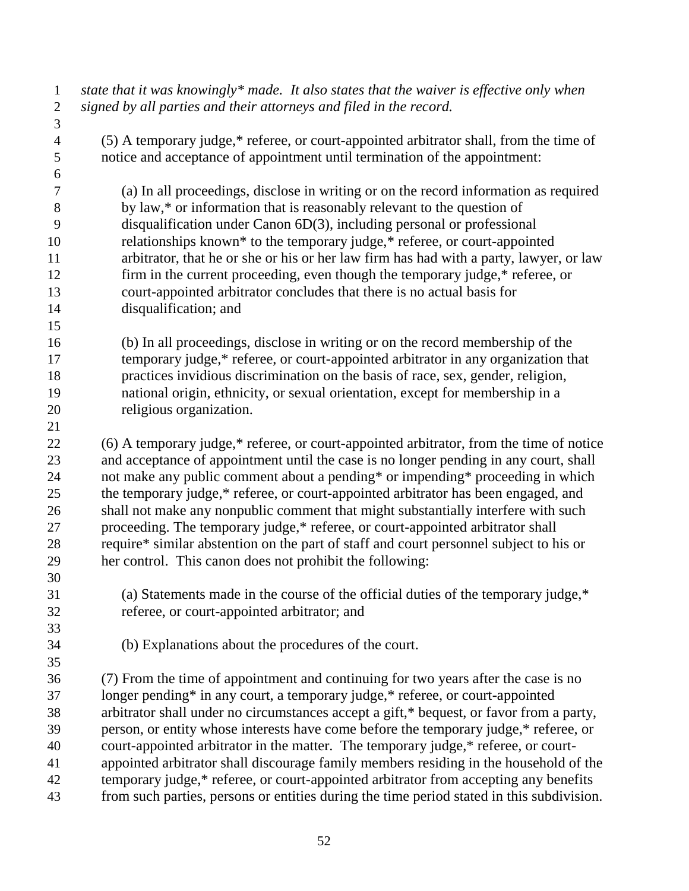- *state that it was knowingly\* made. It also states that the waiver is effective only when signed by all parties and their attorneys and filed in the record.*
- 

 (5) A temporary judge,\* referee, or court-appointed arbitrator shall, from the time of notice and acceptance of appointment until termination of the appointment:

 (a) In all proceedings, disclose in writing or on the record information as required by law,\* or information that is reasonably relevant to the question of disqualification under Canon 6D(3), including personal or professional relationships known\* to the temporary judge,\* referee, or court-appointed arbitrator, that he or she or his or her law firm has had with a party, lawyer, or law firm in the current proceeding, even though the temporary judge,\* referee, or court-appointed arbitrator concludes that there is no actual basis for disqualification; and

 (b) In all proceedings, disclose in writing or on the record membership of the temporary judge,\* referee, or court-appointed arbitrator in any organization that practices invidious discrimination on the basis of race, sex, gender, religion, national origin, ethnicity, or sexual orientation, except for membership in a religious organization.

 (6) A temporary judge,\* referee, or court-appointed arbitrator, from the time of notice and acceptance of appointment until the case is no longer pending in any court, shall not make any public comment about a pending\* or impending\* proceeding in which the temporary judge,\* referee, or court-appointed arbitrator has been engaged, and shall not make any nonpublic comment that might substantially interfere with such proceeding. The temporary judge,\* referee, or court-appointed arbitrator shall require\* similar abstention on the part of staff and court personnel subject to his or her control. This canon does not prohibit the following:

- (a) Statements made in the course of the official duties of the temporary judge,\* referee, or court-appointed arbitrator; and
- (b) Explanations about the procedures of the court.

 (7) From the time of appointment and continuing for two years after the case is no longer pending\* in any court, a temporary judge,\* referee, or court-appointed arbitrator shall under no circumstances accept a gift,\* bequest, or favor from a party, person, or entity whose interests have come before the temporary judge,\* referee, or court-appointed arbitrator in the matter. The temporary judge,\* referee, or court- appointed arbitrator shall discourage family members residing in the household of the temporary judge,\* referee, or court-appointed arbitrator from accepting any benefits from such parties, persons or entities during the time period stated in this subdivision.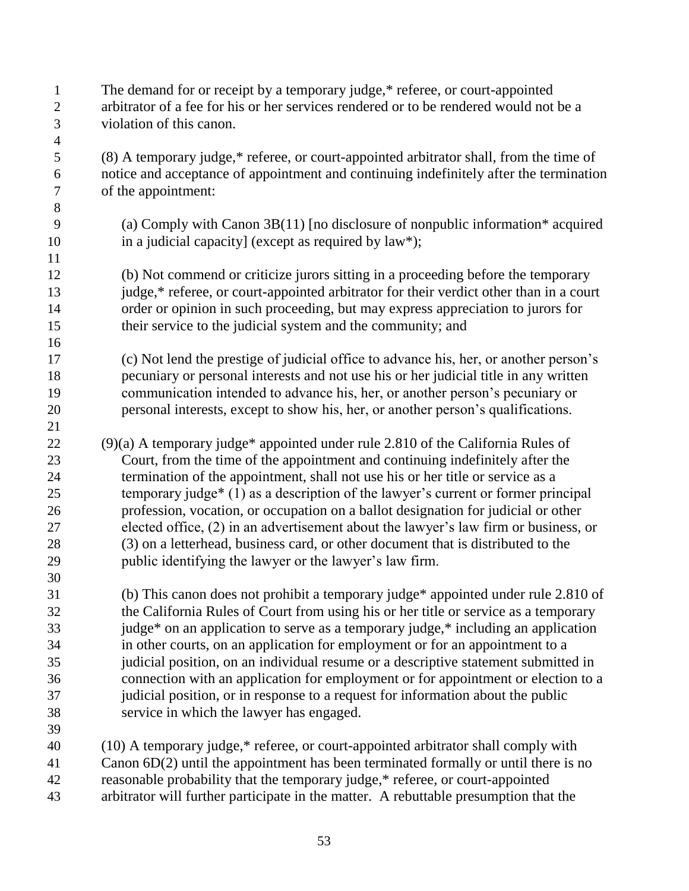The demand for or receipt by a temporary judge,\* referee, or court-appointed arbitrator of a fee for his or her services rendered or to be rendered would not be a violation of this canon. (8) A temporary judge,\* referee, or court-appointed arbitrator shall, from the time of notice and acceptance of appointment and continuing indefinitely after the termination of the appointment: (a) Comply with Canon 3B(11) [no disclosure of nonpublic information\* acquired 10 in a judicial capacity] (except as required by law\*); (b) Not commend or criticize jurors sitting in a proceeding before the temporary 13 judge,\* referee, or court-appointed arbitrator for their verdict other than in a court order or opinion in such proceeding, but may express appreciation to jurors for their service to the judicial system and the community; and (c) Not lend the prestige of judicial office to advance his, her, or another person's pecuniary or personal interests and not use his or her judicial title in any written communication intended to advance his, her, or another person's pecuniary or personal interests, except to show his, her, or another person's qualifications. (9)(a) A temporary judge\* appointed under rule 2.810 of the California Rules of Court, from the time of the appointment and continuing indefinitely after the termination of the appointment, shall not use his or her title or service as a temporary judge\* (1) as a description of the lawyer's current or former principal profession, vocation, or occupation on a ballot designation for judicial or other elected office, (2) in an advertisement about the lawyer's law firm or business, or (3) on a letterhead, business card, or other document that is distributed to the public identifying the lawyer or the lawyer's law firm. (b) This canon does not prohibit a temporary judge\* appointed under rule 2.810 of the California Rules of Court from using his or her title or service as a temporary judge\* on an application to serve as a temporary judge,\* including an application in other courts, on an application for employment or for an appointment to a judicial position, on an individual resume or a descriptive statement submitted in connection with an application for employment or for appointment or election to a judicial position, or in response to a request for information about the public service in which the lawyer has engaged. (10) A temporary judge,\* referee, or court-appointed arbitrator shall comply with Canon 6D(2) until the appointment has been terminated formally or until there is no reasonable probability that the temporary judge,\* referee, or court-appointed arbitrator will further participate in the matter. A rebuttable presumption that the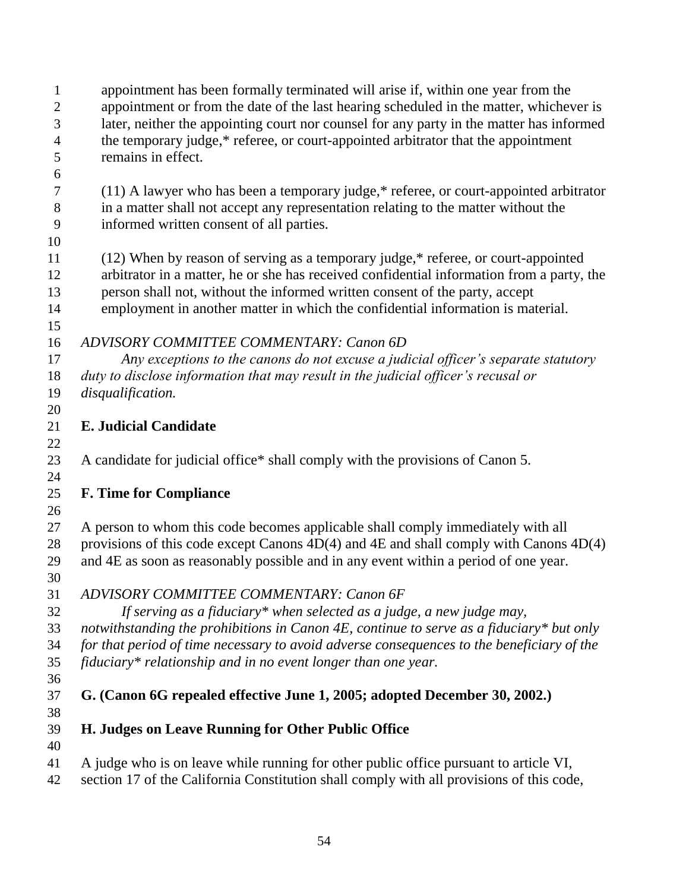| $\mathbf{1}$<br>$\mathbf{2}$ | appointment has been formally terminated will arise if, within one year from the<br>appointment or from the date of the last hearing scheduled in the matter, whichever is |
|------------------------------|----------------------------------------------------------------------------------------------------------------------------------------------------------------------------|
| 3                            | later, neither the appointing court nor counsel for any party in the matter has informed                                                                                   |
| $\overline{4}$               | the temporary judge,* referee, or court-appointed arbitrator that the appointment                                                                                          |
| 5                            | remains in effect.                                                                                                                                                         |
| 6                            |                                                                                                                                                                            |
| 7                            | (11) A lawyer who has been a temporary judge,* referee, or court-appointed arbitrator                                                                                      |
| 8<br>9                       | in a matter shall not accept any representation relating to the matter without the<br>informed written consent of all parties.                                             |
| 10                           |                                                                                                                                                                            |
| 11                           | (12) When by reason of serving as a temporary judge,* referee, or court-appointed                                                                                          |
| 12                           | arbitrator in a matter, he or she has received confidential information from a party, the                                                                                  |
| 13                           | person shall not, without the informed written consent of the party, accept                                                                                                |
| 14                           | employment in another matter in which the confidential information is material.                                                                                            |
| 15                           |                                                                                                                                                                            |
| 16                           | <b>ADVISORY COMMITTEE COMMENTARY: Canon 6D</b>                                                                                                                             |
| 17                           | Any exceptions to the canons do not excuse a judicial officer's separate statutory                                                                                         |
| 18                           | duty to disclose information that may result in the judicial officer's recusal or                                                                                          |
| 19                           | disqualification.                                                                                                                                                          |
| 20                           |                                                                                                                                                                            |
| 21                           | <b>E. Judicial Candidate</b>                                                                                                                                               |
| 22                           |                                                                                                                                                                            |
| 23                           | A candidate for judicial office* shall comply with the provisions of Canon 5.                                                                                              |
| 24                           |                                                                                                                                                                            |
| 25                           | <b>F. Time for Compliance</b>                                                                                                                                              |
| 26                           |                                                                                                                                                                            |
| 27                           | A person to whom this code becomes applicable shall comply immediately with all                                                                                            |
| 28                           | provisions of this code except Canons $4D(4)$ and $4E$ and shall comply with Canons $4D(4)$                                                                                |
| 29                           | and 4E as soon as reasonably possible and in any event within a period of one year.                                                                                        |
| 30<br>31                     | <b>ADVISORY COMMITTEE COMMENTARY: Canon 6F</b>                                                                                                                             |
| 32                           | If serving as a fiduciary* when selected as a judge, a new judge may,                                                                                                      |
| 33                           | notwithstanding the prohibitions in Canon $4E$ , continue to serve as a fiduciary* but only                                                                                |
| 34                           | for that period of time necessary to avoid adverse consequences to the beneficiary of the                                                                                  |
| 35                           | fiduciary* relationship and in no event longer than one year.                                                                                                              |
| 36                           |                                                                                                                                                                            |
| 37                           | G. (Canon 6G repealed effective June 1, 2005; adopted December 30, 2002.)                                                                                                  |
| 38                           |                                                                                                                                                                            |
| 39                           | H. Judges on Leave Running for Other Public Office                                                                                                                         |
| 40                           |                                                                                                                                                                            |
| 41                           | A judge who is on leave while running for other public office pursuant to article VI,                                                                                      |
| $\Delta$                     | section 17 of the California Constitution shall comply with all provisions of this code                                                                                    |

section 17 of the California Constitution shall comply with all provisions of this code,